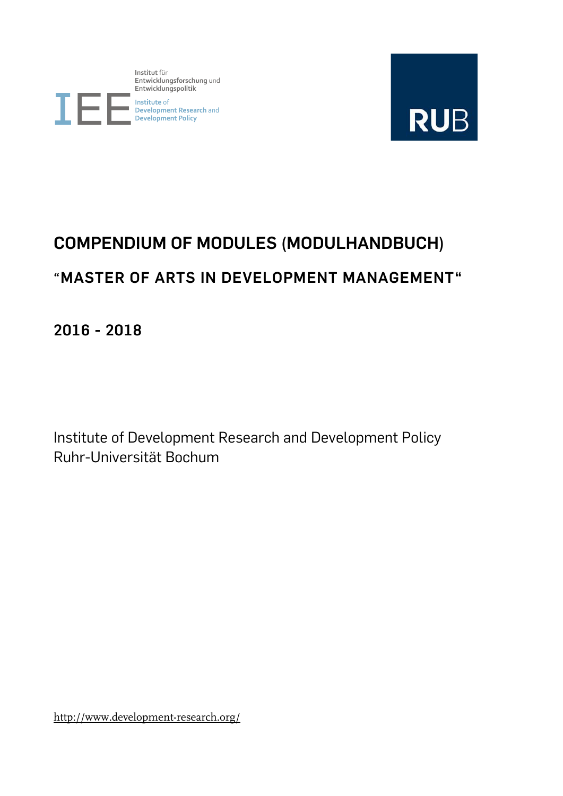Institut für mstruct for<br>Entwicklungsforschung und<br>Entwicklungspolitik



I<br>| Institute of<br>| Development Research and<br>| Development Policy



# **COMPENDIUM OF MODULES (MODULHANDBUCH) "MASTER OF ARTS IN DEVELOPMENT MANAGEMENT"**

**2016 - 2018**

Institute of Development Research and Development Policy Ruhr-Universität Bochum

http://www.development-research.org/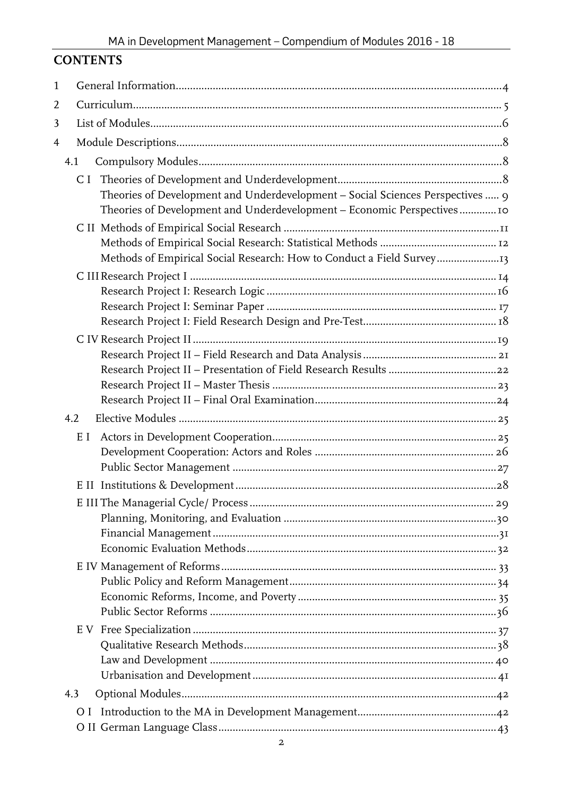# **CONTENTS**

| 1 |                                                                                |  |
|---|--------------------------------------------------------------------------------|--|
| 2 |                                                                                |  |
| 3 |                                                                                |  |
| 4 |                                                                                |  |
|   | 4.1                                                                            |  |
|   |                                                                                |  |
|   | Theories of Development and Underdevelopment - Social Sciences Perspectives  9 |  |
|   | Theories of Development and Underdevelopment - Economic Perspectives  10       |  |
|   |                                                                                |  |
|   |                                                                                |  |
|   | Methods of Empirical Social Research: How to Conduct a Field Survey13          |  |
|   |                                                                                |  |
|   |                                                                                |  |
|   |                                                                                |  |
|   |                                                                                |  |
|   |                                                                                |  |
|   |                                                                                |  |
|   |                                                                                |  |
|   |                                                                                |  |
|   | 4.2                                                                            |  |
|   | E I                                                                            |  |
|   |                                                                                |  |
|   |                                                                                |  |
|   |                                                                                |  |
|   |                                                                                |  |
|   |                                                                                |  |
|   |                                                                                |  |
|   |                                                                                |  |
|   |                                                                                |  |
|   |                                                                                |  |
|   |                                                                                |  |
|   |                                                                                |  |
|   |                                                                                |  |
|   |                                                                                |  |
|   |                                                                                |  |
|   | 4.3                                                                            |  |
|   |                                                                                |  |
|   |                                                                                |  |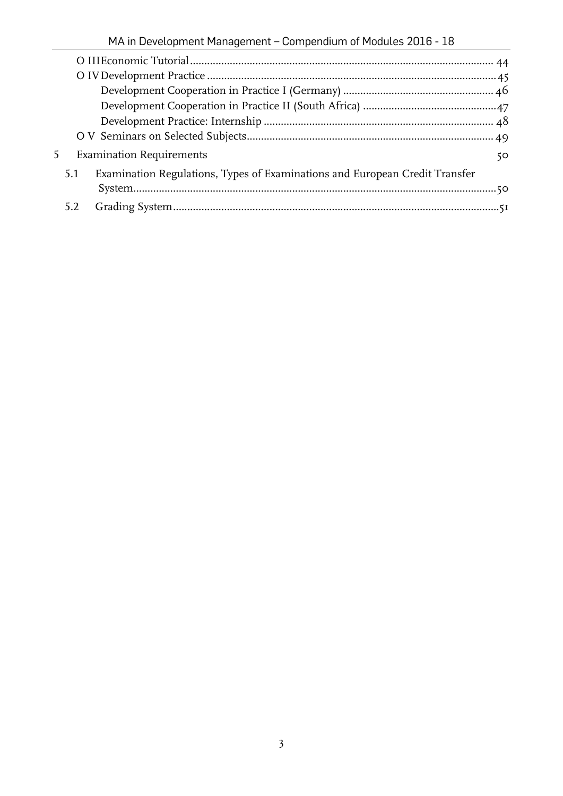| MA in Development Management - Compendium of Modules 2016 - 18 |  |  |
|----------------------------------------------------------------|--|--|
|                                                                |  |  |

| 5. |     | <b>Examination Requirements</b>                                             | 50 |
|----|-----|-----------------------------------------------------------------------------|----|
|    | 5.1 | Examination Regulations, Types of Examinations and European Credit Transfer |    |
|    |     |                                                                             |    |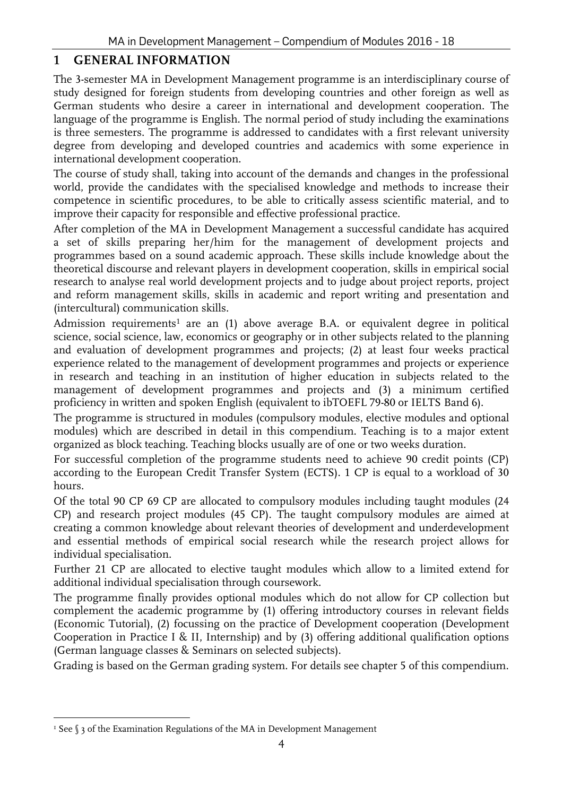# <span id="page-3-0"></span>**1 GENERAL INFORMATION**

The 3-semester MA in Development Management programme is an interdisciplinary course of study designed for foreign students from developing countries and other foreign as well as German students who desire a career in international and development cooperation. The language of the programme is English. The normal period of study including the examinations is three semesters. The programme is addressed to candidates with a first relevant university degree from developing and developed countries and academics with some experience in international development cooperation.

The course of study shall, taking into account of the demands and changes in the professional world, provide the candidates with the specialised knowledge and methods to increase their competence in scientific procedures, to be able to critically assess scientific material, and to improve their capacity for responsible and effective professional practice.

After completion of the MA in Development Management a successful candidate has acquired a set of skills preparing her/him for the management of development projects and programmes based on a sound academic approach. These skills include knowledge about the theoretical discourse and relevant players in development cooperation, skills in empirical social research to analyse real world development projects and to judge about project reports, project and reform management skills, skills in academic and report writing and presentation and (intercultural) communication skills.

Admission requirements<sup>1</sup> are an  $(1)$  above average B.A. or equivalent degree in political science, social science, law, economics or geography or in other subjects related to the planning and evaluation of development programmes and projects; (2) at least four weeks practical experience related to the management of development programmes and projects or experience in research and teaching in an institution of higher education in subjects related to the management of development programmes and projects and (3) a minimum certified proficiency in written and spoken English (equivalent to ibTOEFL 79-80 or IELTS Band 6).

The programme is structured in modules (compulsory modules, elective modules and optional modules) which are described in detail in this compendium. Teaching is to a major extent organized as block teaching. Teaching blocks usually are of one or two weeks duration.

For successful completion of the programme students need to achieve 90 credit points (CP) according to the European Credit Transfer System (ECTS). 1 CP is equal to a workload of 30 hours.

Of the total 90 CP 69 CP are allocated to compulsory modules including taught modules (24 CP) and research project modules (45 CP). The taught compulsory modules are aimed at creating a common knowledge about relevant theories of development and underdevelopment and essential methods of empirical social research while the research project allows for individual specialisation.

Further 21 CP are allocated to elective taught modules which allow to a limited extend for additional individual specialisation through coursework.

The programme finally provides optional modules which do not allow for CP collection but complement the academic programme by (1) offering introductory courses in relevant fields (Economic Tutorial), (2) focussing on the practice of Development cooperation (Development Cooperation in Practice I & II, Internship) and by (3) offering additional qualification options (German language classes & Seminars on selected subjects).

Grading is based on the German grading system. For details see chapter 5 of this compendium.

 $\overline{a}$ 

<sup>&</sup>lt;sup>1</sup> See  $\S$  3 of the Examination Regulations of the MA in Development Management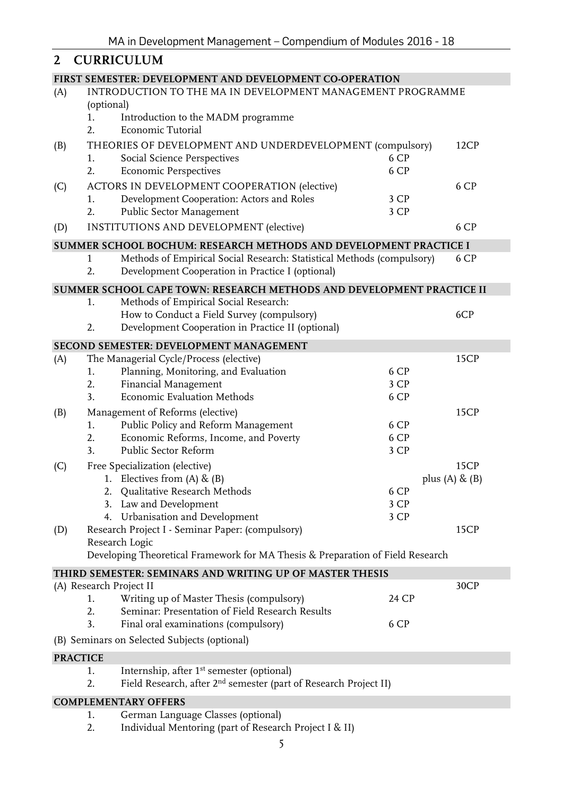<span id="page-4-0"></span>

| 2   | <b>CURRICULUM</b>                                                                  |       |                   |
|-----|------------------------------------------------------------------------------------|-------|-------------------|
|     | FIRST SEMESTER: DEVELOPMENT AND DEVELOPMENT CO-OPERATION                           |       |                   |
| (A) | INTRODUCTION TO THE MA IN DEVELOPMENT MANAGEMENT PROGRAMME                         |       |                   |
|     | (optional)                                                                         |       |                   |
|     | Introduction to the MADM programme<br>1.<br>Economic Tutorial<br>2.                |       |                   |
| (B) | THEORIES OF DEVELOPMENT AND UNDERDEVELOPMENT (compulsory)                          |       | 12CP              |
|     | <b>Social Science Perspectives</b><br>1.                                           | 6 CP  |                   |
|     | 2.<br><b>Economic Perspectives</b>                                                 | 6 CP  |                   |
| (C) | ACTORS IN DEVELOPMENT COOPERATION (elective)                                       |       | 6 CP              |
|     | Development Cooperation: Actors and Roles<br>1.                                    | 3 CP  |                   |
|     | Public Sector Management<br>2.                                                     | 3 CP  |                   |
| (D) | INSTITUTIONS AND DEVELOPMENT (elective)                                            |       | 6 CP              |
|     | SUMMER SCHOOL BOCHUM: RESEARCH METHODS AND DEVELOPMENT PRACTICE I                  |       |                   |
|     | Methods of Empirical Social Research: Statistical Methods (compulsory)<br>1        |       | 6 CP              |
|     | Development Cooperation in Practice I (optional)<br>2.                             |       |                   |
|     | SUMMER SCHOOL CAPE TOWN: RESEARCH METHODS AND DEVELOPMENT PRACTICE II              |       |                   |
|     | Methods of Empirical Social Research:<br>1.                                        |       |                   |
|     | How to Conduct a Field Survey (compulsory)                                         |       | 6CP               |
|     | Development Cooperation in Practice II (optional)<br>2.                            |       |                   |
|     | SECOND SEMESTER: DEVELOPMENT MANAGEMENT                                            |       |                   |
| (A) | The Managerial Cycle/Process (elective)                                            |       | 15CP              |
|     | Planning, Monitoring, and Evaluation<br>1.                                         | 6 CP  |                   |
|     | Financial Management<br>2.                                                         | 3 CP  |                   |
|     | Economic Evaluation Methods<br>3.                                                  | 6 CP  |                   |
| (B) | Management of Reforms (elective)                                                   |       | 15CP              |
|     | Public Policy and Reform Management<br>1.                                          | 6 CP  |                   |
|     | Economic Reforms, Income, and Poverty<br>2.                                        | 6 CP  |                   |
|     | 3.<br>Public Sector Reform                                                         | 3 CP  |                   |
| (C) | Free Specialization (elective)                                                     |       | 15CP              |
|     | 1. Electives from $(A)$ & $(B)$<br>2. Qualitative Research Methods                 | 6 CP  | plus (A) $\&$ (B) |
|     | 3. Law and Development                                                             | 3 CP  |                   |
|     | 4. Urbanisation and Development                                                    | 3 CP  |                   |
| (D) | Research Project I - Seminar Paper: (compulsory)                                   |       | 15CP              |
|     | Research Logic                                                                     |       |                   |
|     | Developing Theoretical Framework for MA Thesis & Preparation of Field Research     |       |                   |
|     | THIRD SEMESTER: SEMINARS AND WRITING UP OF MASTER THESIS                           |       |                   |
|     | (A) Research Project II                                                            |       | 30CP              |
|     | Writing up of Master Thesis (compulsory)<br>1.                                     | 24 CP |                   |
|     | Seminar: Presentation of Field Research Results<br>2.                              |       |                   |
|     | 3.<br>Final oral examinations (compulsory)                                         | 6 CP  |                   |
|     | (B) Seminars on Selected Subjects (optional)                                       |       |                   |
|     | <b>PRACTICE</b>                                                                    |       |                   |
|     | Internship, after 1 <sup>st</sup> semester (optional)<br>1.                        |       |                   |
|     | Field Research, after 2 <sup>nd</sup> semester (part of Research Project II)<br>2. |       |                   |
|     | <b>COMPLEMENTARY OFFERS</b>                                                        |       |                   |
|     | German Language Classes (optional)<br>1.                                           |       |                   |

2. Individual Mentoring (part of Research Project I & II)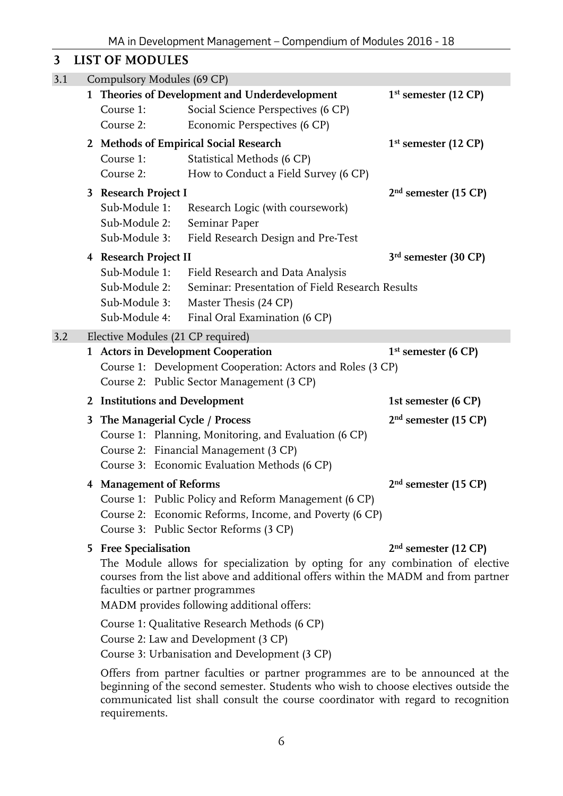# <span id="page-5-0"></span>**3 LIST OF MODULES**

| 3.1 |   | Compulsory Modules (69 CP)                   |                                                                                                                                                                                                                    |                        |  |  |  |  |  |  |  |
|-----|---|----------------------------------------------|--------------------------------------------------------------------------------------------------------------------------------------------------------------------------------------------------------------------|------------------------|--|--|--|--|--|--|--|
|     |   | Course 1:<br>Course 2:                       | 1 Theories of Development and Underdevelopment<br>Social Science Perspectives (6 CP)<br>Economic Perspectives (6 CP)                                                                                               | $1st$ semester (12 CP) |  |  |  |  |  |  |  |
|     |   |                                              | 2 Methods of Empirical Social Research                                                                                                                                                                             | $1st$ semester (12 CP) |  |  |  |  |  |  |  |
|     |   | Course 1:                                    | Statistical Methods (6 CP)                                                                                                                                                                                         |                        |  |  |  |  |  |  |  |
|     |   | Course 2:                                    | How to Conduct a Field Survey (6 CP)                                                                                                                                                                               |                        |  |  |  |  |  |  |  |
|     |   | 3 Research Project I                         |                                                                                                                                                                                                                    | $2nd$ semester (15 CP) |  |  |  |  |  |  |  |
|     |   | Sub-Module 1:                                | Research Logic (with coursework)                                                                                                                                                                                   |                        |  |  |  |  |  |  |  |
|     |   | Sub-Module 2:                                | Seminar Paper                                                                                                                                                                                                      |                        |  |  |  |  |  |  |  |
|     |   | Sub-Module 3:                                | Field Research Design and Pre-Test                                                                                                                                                                                 |                        |  |  |  |  |  |  |  |
|     |   | 4 Research Project II                        |                                                                                                                                                                                                                    | $3rd$ semester (30 CP) |  |  |  |  |  |  |  |
|     |   | Sub-Module 1:                                | Field Research and Data Analysis                                                                                                                                                                                   |                        |  |  |  |  |  |  |  |
|     |   | Sub-Module 2:                                | Seminar: Presentation of Field Research Results                                                                                                                                                                    |                        |  |  |  |  |  |  |  |
|     |   | Sub-Module 3:                                | Master Thesis (24 CP)                                                                                                                                                                                              |                        |  |  |  |  |  |  |  |
|     |   | Sub-Module 4:                                | Final Oral Examination (6 CP)                                                                                                                                                                                      |                        |  |  |  |  |  |  |  |
| 3.2 |   | Elective Modules (21 CP required)            |                                                                                                                                                                                                                    |                        |  |  |  |  |  |  |  |
|     |   |                                              | 1 Actors in Development Cooperation                                                                                                                                                                                | $1st$ semester (6 CP)  |  |  |  |  |  |  |  |
|     |   |                                              | Course 1: Development Cooperation: Actors and Roles (3 CP)                                                                                                                                                         |                        |  |  |  |  |  |  |  |
|     |   |                                              | Course 2: Public Sector Management (3 CP)                                                                                                                                                                          |                        |  |  |  |  |  |  |  |
|     |   | 2 Institutions and Development               |                                                                                                                                                                                                                    | 1st semester (6 CP)    |  |  |  |  |  |  |  |
|     | 3 | The Managerial Cycle / Process               |                                                                                                                                                                                                                    | $2nd$ semester (15 CP) |  |  |  |  |  |  |  |
|     |   |                                              | Course 1: Planning, Monitoring, and Evaluation (6 CP)                                                                                                                                                              |                        |  |  |  |  |  |  |  |
|     |   |                                              | Course 2: Financial Management (3 CP)                                                                                                                                                                              |                        |  |  |  |  |  |  |  |
|     |   | Course 3: Economic Evaluation Methods (6 CP) |                                                                                                                                                                                                                    |                        |  |  |  |  |  |  |  |
|     |   | 4 Management of Reforms                      |                                                                                                                                                                                                                    | $2nd$ semester (15 CP) |  |  |  |  |  |  |  |
|     |   |                                              | Course 1: Public Policy and Reform Management (6 CP)                                                                                                                                                               |                        |  |  |  |  |  |  |  |
|     |   |                                              | Course 2: Economic Reforms, Income, and Poverty (6 CP)                                                                                                                                                             |                        |  |  |  |  |  |  |  |
|     |   |                                              | Course 3: Public Sector Reforms (3 CP)                                                                                                                                                                             |                        |  |  |  |  |  |  |  |
|     |   | 5 Free Specialisation                        |                                                                                                                                                                                                                    | $2nd$ semester (12 CP) |  |  |  |  |  |  |  |
|     |   | faculties or partner programmes              | The Module allows for specialization by opting for any combination of elective<br>courses from the list above and additional offers within the MADM and from partner<br>MADM provides following additional offers: |                        |  |  |  |  |  |  |  |
|     |   |                                              | Course 1: Qualitative Research Methods (6 CP)                                                                                                                                                                      |                        |  |  |  |  |  |  |  |
|     |   |                                              | Course 2: Law and Development (3 CP)                                                                                                                                                                               |                        |  |  |  |  |  |  |  |
|     |   |                                              | Course 3: Urbanisation and Development (3 CP)                                                                                                                                                                      |                        |  |  |  |  |  |  |  |
|     |   | $\alpha$ C  C $\alpha$ $\alpha$ $\alpha$ 1   |                                                                                                                                                                                                                    |                        |  |  |  |  |  |  |  |

Offers from partner faculties or partner programmes are to be announced at the beginning of the second semester. Students who wish to choose electives outside the communicated list shall consult the course coordinator with regard to recognition requirements.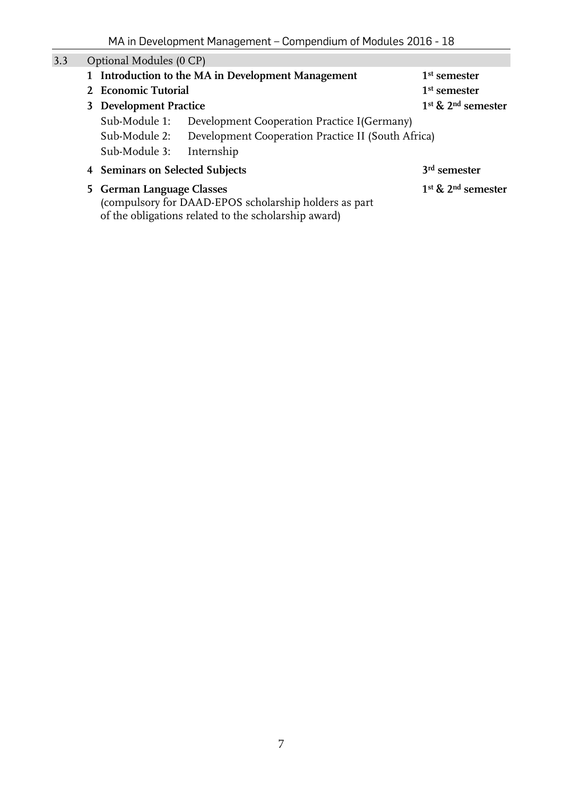| 3.3 | Optional Modules (0 CP)                                                                                                                    |                                                    |                                            |
|-----|--------------------------------------------------------------------------------------------------------------------------------------------|----------------------------------------------------|--------------------------------------------|
|     | 1 Introduction to the MA in Development Management                                                                                         | $1st$ semester                                     |                                            |
|     | 2 Economic Tutorial                                                                                                                        |                                                    | $1st$ semester                             |
|     | 3 Development Practice                                                                                                                     |                                                    | 1 <sup>st</sup> & 2 <sup>nd</sup> semester |
|     | Sub-Module 1:                                                                                                                              | Development Cooperation Practice I(Germany)        |                                            |
|     | Sub-Module 2:                                                                                                                              | Development Cooperation Practice II (South Africa) |                                            |
|     | Sub-Module 3:                                                                                                                              | Internship                                         |                                            |
|     | 4 Seminars on Selected Subjects                                                                                                            |                                                    | 3 <sup>rd</sup> semester                   |
|     | 5 German Language Classes<br>(compulsory for DAAD-EPOS scholarship holders as part<br>of the obligations related to the scholarship award) | $1st$ & $2nd$ semester                             |                                            |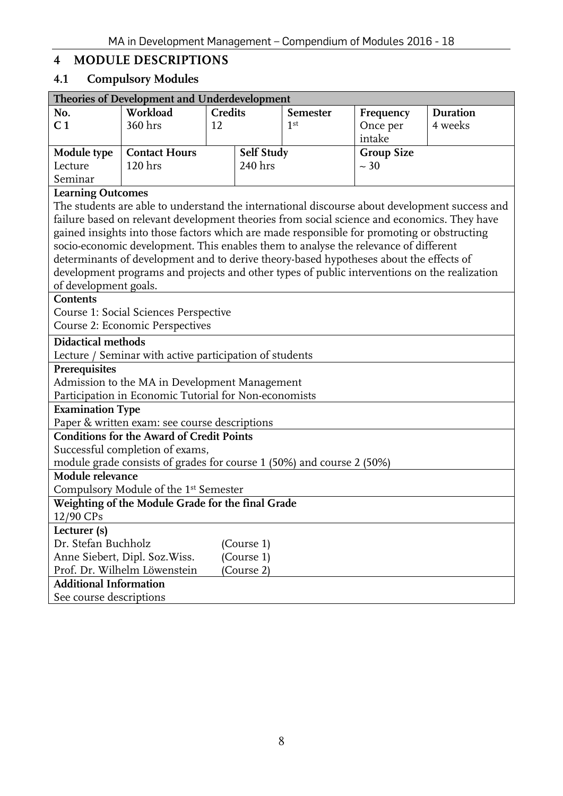# <span id="page-7-0"></span>**4 MODULE DESCRIPTIONS**

# <span id="page-7-1"></span>**4.1 Compulsory Modules**

<span id="page-7-2"></span>

|                               | Theories of Development and Underdevelopment                                                 |                |            |                 |                   |                                                                                               |  |  |
|-------------------------------|----------------------------------------------------------------------------------------------|----------------|------------|-----------------|-------------------|-----------------------------------------------------------------------------------------------|--|--|
| No.                           | Workload                                                                                     | <b>Credits</b> |            | <b>Semester</b> | Frequency         | <b>Duration</b>                                                                               |  |  |
| C <sub>1</sub>                | 360 hrs                                                                                      | 12             |            | 1 <sup>st</sup> | Once per          | 4 weeks                                                                                       |  |  |
|                               |                                                                                              |                |            |                 | intake            |                                                                                               |  |  |
| Module type                   | <b>Contact Hours</b>                                                                         |                | Self Study |                 | <b>Group Size</b> |                                                                                               |  |  |
| Lecture                       | 120 <sub>hrs</sub>                                                                           |                | 240 hrs    |                 | $~10^{-1}$        |                                                                                               |  |  |
| Seminar                       |                                                                                              |                |            |                 |                   |                                                                                               |  |  |
| <b>Learning Outcomes</b>      |                                                                                              |                |            |                 |                   |                                                                                               |  |  |
|                               |                                                                                              |                |            |                 |                   | The students are able to understand the international discourse about development success and |  |  |
|                               | failure based on relevant development theories from social science and economics. They have  |                |            |                 |                   |                                                                                               |  |  |
|                               | gained insights into those factors which are made responsible for promoting or obstructing   |                |            |                 |                   |                                                                                               |  |  |
|                               | socio-economic development. This enables them to analyse the relevance of different          |                |            |                 |                   |                                                                                               |  |  |
|                               | determinants of development and to derive theory-based hypotheses about the effects of       |                |            |                 |                   |                                                                                               |  |  |
|                               | development programs and projects and other types of public interventions on the realization |                |            |                 |                   |                                                                                               |  |  |
| of development goals.         |                                                                                              |                |            |                 |                   |                                                                                               |  |  |
| Contents                      |                                                                                              |                |            |                 |                   |                                                                                               |  |  |
|                               | Course 1: Social Sciences Perspective                                                        |                |            |                 |                   |                                                                                               |  |  |
|                               | <b>Course 2: Economic Perspectives</b>                                                       |                |            |                 |                   |                                                                                               |  |  |
| <b>Didactical methods</b>     |                                                                                              |                |            |                 |                   |                                                                                               |  |  |
|                               | Lecture / Seminar with active participation of students                                      |                |            |                 |                   |                                                                                               |  |  |
| Prerequisites                 |                                                                                              |                |            |                 |                   |                                                                                               |  |  |
|                               | Admission to the MA in Development Management                                                |                |            |                 |                   |                                                                                               |  |  |
|                               | Participation in Economic Tutorial for Non-economists                                        |                |            |                 |                   |                                                                                               |  |  |
| <b>Examination Type</b>       |                                                                                              |                |            |                 |                   |                                                                                               |  |  |
|                               | Paper & written exam: see course descriptions                                                |                |            |                 |                   |                                                                                               |  |  |
|                               | <b>Conditions for the Award of Credit Points</b>                                             |                |            |                 |                   |                                                                                               |  |  |
|                               | Successful completion of exams,                                                              |                |            |                 |                   |                                                                                               |  |  |
|                               | module grade consists of grades for course 1 (50%) and course 2 (50%)                        |                |            |                 |                   |                                                                                               |  |  |
| Module relevance              |                                                                                              |                |            |                 |                   |                                                                                               |  |  |
|                               | Compulsory Module of the 1st Semester                                                        |                |            |                 |                   |                                                                                               |  |  |
| 12/90 CPs                     | Weighting of the Module Grade for the final Grade                                            |                |            |                 |                   |                                                                                               |  |  |
| Lecturer (s)                  |                                                                                              |                |            |                 |                   |                                                                                               |  |  |
| Dr. Stefan Buchholz           |                                                                                              |                | (Course 1) |                 |                   |                                                                                               |  |  |
|                               | Anne Siebert, Dipl. Soz. Wiss.                                                               |                | (Course 1) |                 |                   |                                                                                               |  |  |
|                               | Prof. Dr. Wilhelm Löwenstein                                                                 |                | (Course 2) |                 |                   |                                                                                               |  |  |
| <b>Additional Information</b> |                                                                                              |                |            |                 |                   |                                                                                               |  |  |
| See course descriptions       |                                                                                              |                |            |                 |                   |                                                                                               |  |  |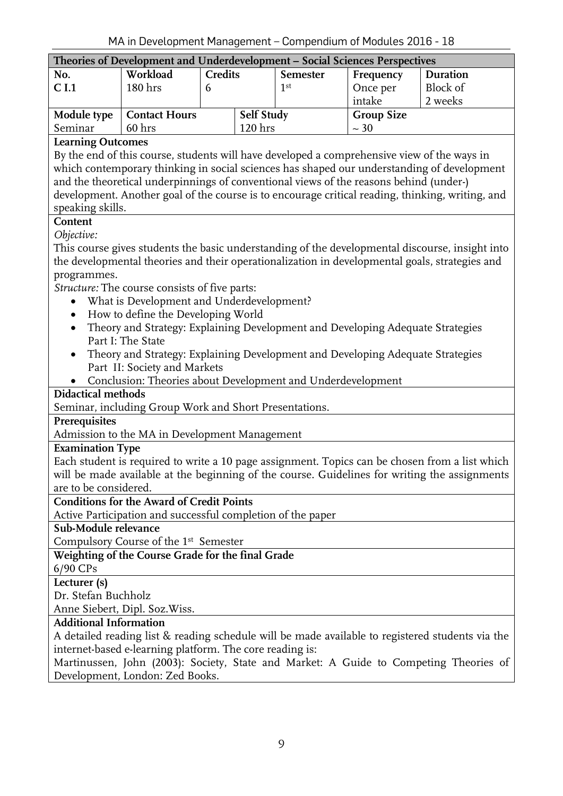<span id="page-8-0"></span>

| Theories of Development and Underdevelopment - Social Sciences Perspectives |                      |                   |                    |                 |                   |          |  |  |  |  |
|-----------------------------------------------------------------------------|----------------------|-------------------|--------------------|-----------------|-------------------|----------|--|--|--|--|
| No.                                                                         | Workload             | <b>Credits</b>    |                    | <b>Semester</b> | Frequency         | Duration |  |  |  |  |
| C <sub>1.1</sub>                                                            | 180 <sub>hrs</sub>   |                   |                    | 1st             | Once per          | Block of |  |  |  |  |
|                                                                             |                      |                   |                    |                 | intake            | 2 weeks  |  |  |  |  |
| Module type                                                                 | <b>Contact Hours</b> | <b>Self Study</b> |                    |                 | <b>Group Size</b> |          |  |  |  |  |
| Seminar                                                                     | 60 <sub>hrs</sub>    |                   | 120 <sub>hrs</sub> |                 | $~1$ – 30         |          |  |  |  |  |

By the end of this course, students will have developed a comprehensive view of the ways in which contemporary thinking in social sciences has shaped our understanding of development and the theoretical underpinnings of conventional views of the reasons behind (under-) development. Another goal of the course is to encourage critical reading, thinking, writing, and speaking skills.

# **Content**

*Objective:*

This course gives students the basic understanding of the developmental discourse, insight into the developmental theories and their operationalization in developmental goals, strategies and programmes.

*Structure:* The course consists of five parts:

- What is Development and Underdevelopment?
- How to define the Developing World
- Theory and Strategy: Explaining Development and Developing Adequate Strategies Part I: The State
- Theory and Strategy: Explaining Development and Developing Adequate Strategies Part II: Society and Markets
- Conclusion: Theories about Development and Underdevelopment

#### **Didactical methods**

Seminar, including Group Work and Short Presentations.

#### **Prerequisites**

Admission to the MA in Development Management

#### **Examination Type**

Each student is required to write a 10 page assignment. Topics can be chosen from a list which will be made available at the beginning of the course. Guidelines for writing the assignments are to be considered.

#### **Conditions for the Award of Credit Points**

Active Participation and successful completion of the paper

**Sub-Module relevance**

Compulsory Course of the 1<sup>st</sup> Semester

#### **Weighting of the Course Grade for the final Grade**

6/90 CPs

**Lecturer (s)**

Dr. Stefan Buchholz

Anne Siebert, Dipl. Soz.Wiss.

#### **Additional Information**

A detailed reading list & reading schedule will be made available to registered students via the internet-based e-learning platform. The core reading is:

Martinussen, John (2003): Society, State and Market: A Guide to Competing Theories of Development, London: Zed Books.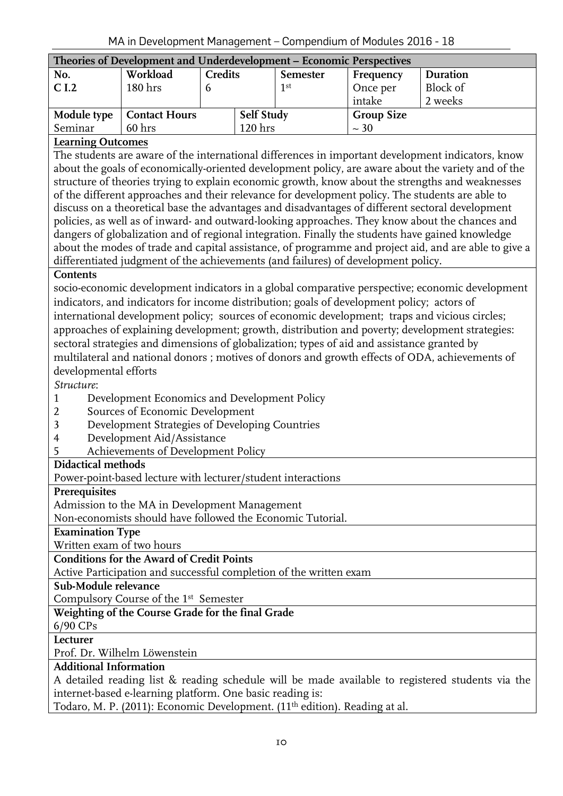<span id="page-9-0"></span>

| Theories of Development and Underdevelopment – Economic Perspectives |                      |                |                   |                 |                   |          |  |  |  |  |
|----------------------------------------------------------------------|----------------------|----------------|-------------------|-----------------|-------------------|----------|--|--|--|--|
| No.                                                                  | Workload             | <b>Credits</b> |                   | <b>Semester</b> | Frequency         | Duration |  |  |  |  |
| $\overline{\phantom{a}}$ C I.2                                       | 180 <sub>hrs</sub>   | υ              |                   | 1 <sup>st</sup> | Once per          | Block of |  |  |  |  |
|                                                                      |                      |                |                   |                 | intake            | 2 weeks  |  |  |  |  |
| Module type                                                          | <b>Contact Hours</b> |                | <b>Self Study</b> |                 | <b>Group Size</b> |          |  |  |  |  |
| Seminar                                                              | 60 <sub>hrs</sub>    |                | 120 hrs           |                 | $~10^{-30}$       |          |  |  |  |  |

The students are aware of the international differences in important development indicators, know about the goals of economically-oriented development policy, are aware about the variety and of the structure of theories trying to explain economic growth, know about the strengths and weaknesses of the different approaches and their relevance for development policy. The students are able to discuss on a theoretical base the advantages and disadvantages of different sectoral development policies, as well as of inward- and outward-looking approaches. They know about the chances and dangers of globalization and of regional integration. Finally the students have gained knowledge about the modes of trade and capital assistance, of programme and project aid, and are able to give a differentiated judgment of the achievements (and failures) of development policy.

#### **Contents**

socio-economic development indicators in a global comparative perspective; economic development indicators, and indicators for income distribution; goals of development policy; actors of international development policy; sources of economic development; traps and vicious circles; approaches of explaining development; growth, distribution and poverty; development strategies: sectoral strategies and dimensions of globalization; types of aid and assistance granted by multilateral and national donors ; motives of donors and growth effects of ODA, achievements of developmental efforts

*Structure*:

- 1 Development Economics and Development Policy
- 2 Sources of Economic Development
- 3 Development Strategies of Developing Countries
- 4 Development Aid/Assistance
- 5 Achievements of Development Policy

#### **Didactical methods**

Power-point-based lecture with lecturer/student interactions

#### **Prerequisites**

Admission to the MA in Development Management

Non-economists should have followed the Economic Tutorial.

#### **Examination Type**

Written exam of two hours

**Conditions for the Award of Credit Points**

Active Participation and successful completion of the written exam

#### **Sub-Module relevance**

Compulsory Course of the 1<sup>st</sup> Semester

#### **Weighting of the Course Grade for the final Grade**

6/90 CPs

**Lecturer**

Prof. Dr. Wilhelm Löwenstein

#### **Additional Information**

A detailed reading list & reading schedule will be made available to registered students via the internet-based e-learning platform. One basic reading is:

Todaro, M. P. (2011): Economic Development. (11th edition). Reading at al.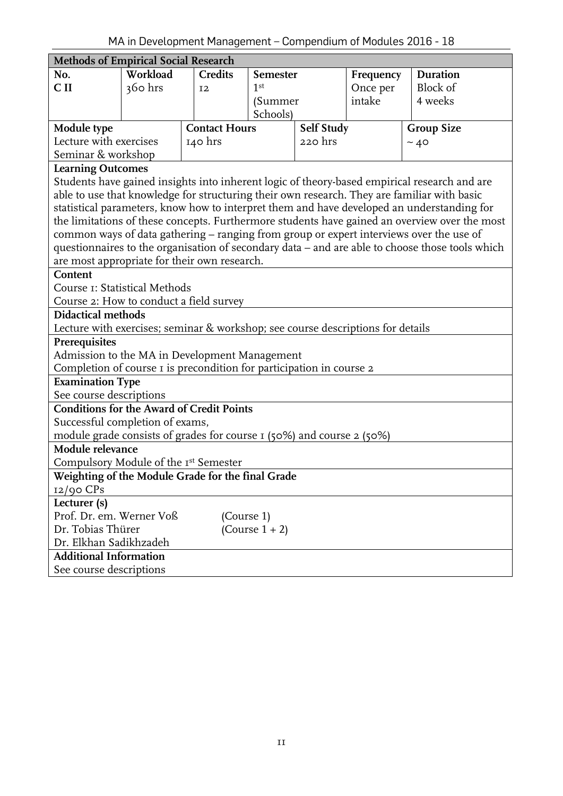<span id="page-10-0"></span>

| Methods of Empirical Social Research                                                                                  |                                                            |                      |                   |            |                 |                                                                                                 |  |  |
|-----------------------------------------------------------------------------------------------------------------------|------------------------------------------------------------|----------------------|-------------------|------------|-----------------|-------------------------------------------------------------------------------------------------|--|--|
| No.                                                                                                                   | Workload<br><b>Credits</b><br>Frequency<br><b>Semester</b> |                      |                   |            | <b>Duration</b> |                                                                                                 |  |  |
| C <sub>II</sub>                                                                                                       | 360 hrs                                                    | 12                   | 1 <sup>st</sup>   |            | Once per        | <b>Block of</b>                                                                                 |  |  |
|                                                                                                                       |                                                            |                      | (Summer           |            | intake          | 4 weeks                                                                                         |  |  |
|                                                                                                                       |                                                            |                      | Schools)          |            |                 |                                                                                                 |  |  |
| Module type                                                                                                           |                                                            | <b>Contact Hours</b> |                   | Self Study |                 | <b>Group Size</b>                                                                               |  |  |
| Lecture with exercises                                                                                                |                                                            | 140 hrs              |                   | 220 hrs    |                 | ~10                                                                                             |  |  |
| Seminar & workshop                                                                                                    |                                                            |                      |                   |            |                 |                                                                                                 |  |  |
| <b>Learning Outcomes</b>                                                                                              |                                                            |                      |                   |            |                 |                                                                                                 |  |  |
|                                                                                                                       |                                                            |                      |                   |            |                 | Students have gained insights into inherent logic of theory-based empirical research and are    |  |  |
|                                                                                                                       |                                                            |                      |                   |            |                 | able to use that knowledge for structuring their own research. They are familiar with basic     |  |  |
|                                                                                                                       |                                                            |                      |                   |            |                 | statistical parameters, know how to interpret them and have developed an understanding for      |  |  |
|                                                                                                                       |                                                            |                      |                   |            |                 | the limitations of these concepts. Furthermore students have gained an overview over the most   |  |  |
|                                                                                                                       |                                                            |                      |                   |            |                 | common ways of data gathering - ranging from group or expert interviews over the use of         |  |  |
|                                                                                                                       |                                                            |                      |                   |            |                 | questionnaires to the organisation of secondary data - and are able to choose those tools which |  |  |
| are most appropriate for their own research.                                                                          |                                                            |                      |                   |            |                 |                                                                                                 |  |  |
| Content                                                                                                               |                                                            |                      |                   |            |                 |                                                                                                 |  |  |
| Course I: Statistical Methods                                                                                         |                                                            |                      |                   |            |                 |                                                                                                 |  |  |
| Course 2: How to conduct a field survey                                                                               |                                                            |                      |                   |            |                 |                                                                                                 |  |  |
| <b>Didactical methods</b>                                                                                             |                                                            |                      |                   |            |                 |                                                                                                 |  |  |
| Lecture with exercises; seminar & workshop; see course descriptions for details                                       |                                                            |                      |                   |            |                 |                                                                                                 |  |  |
| Prerequisites                                                                                                         |                                                            |                      |                   |            |                 |                                                                                                 |  |  |
| Admission to the MA in Development Management<br>Completion of course I is precondition for participation in course 2 |                                                            |                      |                   |            |                 |                                                                                                 |  |  |
| <b>Examination Type</b>                                                                                               |                                                            |                      |                   |            |                 |                                                                                                 |  |  |
| See course descriptions                                                                                               |                                                            |                      |                   |            |                 |                                                                                                 |  |  |
| <b>Conditions for the Award of Credit Points</b>                                                                      |                                                            |                      |                   |            |                 |                                                                                                 |  |  |
| Successful completion of exams,                                                                                       |                                                            |                      |                   |            |                 |                                                                                                 |  |  |
| module grade consists of grades for course I (50%) and course 2 (50%)                                                 |                                                            |                      |                   |            |                 |                                                                                                 |  |  |
| Module relevance                                                                                                      |                                                            |                      |                   |            |                 |                                                                                                 |  |  |
| Compulsory Module of the Ist Semester                                                                                 |                                                            |                      |                   |            |                 |                                                                                                 |  |  |
| Weighting of the Module Grade for the final Grade                                                                     |                                                            |                      |                   |            |                 |                                                                                                 |  |  |
| $12/90$ CPs                                                                                                           |                                                            |                      |                   |            |                 |                                                                                                 |  |  |
| Lecturer (s)                                                                                                          |                                                            |                      |                   |            |                 |                                                                                                 |  |  |
| Prof. Dr. em. Werner Voß                                                                                              |                                                            | (Course 1)           |                   |            |                 |                                                                                                 |  |  |
| Dr. Tobias Thürer                                                                                                     |                                                            |                      | (Course $1 + 2$ ) |            |                 |                                                                                                 |  |  |
| Dr. Elkhan Sadikhzadeh                                                                                                |                                                            |                      |                   |            |                 |                                                                                                 |  |  |
| <b>Additional Information</b>                                                                                         |                                                            |                      |                   |            |                 |                                                                                                 |  |  |
| See course descriptions                                                                                               |                                                            |                      |                   |            |                 |                                                                                                 |  |  |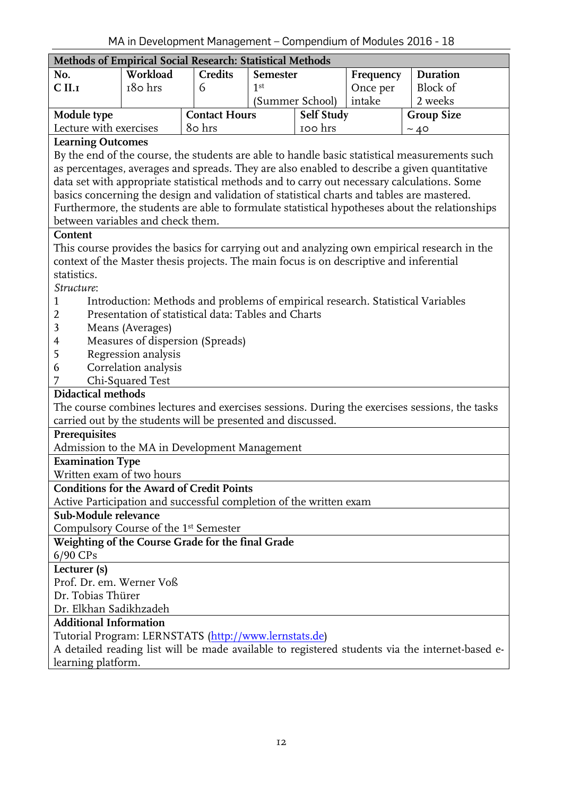<span id="page-11-0"></span>

| Methods of Empirical Social Research: Statistical Methods                                      |                      |                                                                                 |                 |                 |           |                   |                                                                                                 |  |
|------------------------------------------------------------------------------------------------|----------------------|---------------------------------------------------------------------------------|-----------------|-----------------|-----------|-------------------|-------------------------------------------------------------------------------------------------|--|
| No.                                                                                            | Workload             | <b>Credits</b>                                                                  | <b>Semester</b> |                 | Frequency |                   | Duration                                                                                        |  |
| C <sub>II,I</sub>                                                                              | 180 hrs              | 6                                                                               | 1 <sup>st</sup> |                 | Once per  |                   | Block of                                                                                        |  |
|                                                                                                |                      |                                                                                 |                 | (Summer School) | intake    | 2 weeks           |                                                                                                 |  |
| Module type                                                                                    |                      | <b>Contact Hours</b>                                                            |                 | Self Study      |           | <b>Group Size</b> |                                                                                                 |  |
| Lecture with exercises                                                                         |                      | 80 hrs                                                                          |                 | 100 hrs         |           | ~10               |                                                                                                 |  |
| <b>Learning Outcomes</b>                                                                       |                      |                                                                                 |                 |                 |           |                   |                                                                                                 |  |
| By the end of the course, the students are able to handle basic statistical measurements such  |                      |                                                                                 |                 |                 |           |                   |                                                                                                 |  |
| as percentages, averages and spreads. They are also enabled to describe a given quantitative   |                      |                                                                                 |                 |                 |           |                   |                                                                                                 |  |
| data set with appropriate statistical methods and to carry out necessary calculations. Some    |                      |                                                                                 |                 |                 |           |                   |                                                                                                 |  |
| basics concerning the design and validation of statistical charts and tables are mastered.     |                      |                                                                                 |                 |                 |           |                   |                                                                                                 |  |
| Furthermore, the students are able to formulate statistical hypotheses about the relationships |                      |                                                                                 |                 |                 |           |                   |                                                                                                 |  |
| between variables and check them.                                                              |                      |                                                                                 |                 |                 |           |                   |                                                                                                 |  |
| Content                                                                                        |                      |                                                                                 |                 |                 |           |                   |                                                                                                 |  |
| This course provides the basics for carrying out and analyzing own empirical research in the   |                      |                                                                                 |                 |                 |           |                   |                                                                                                 |  |
| context of the Master thesis projects. The main focus is on descriptive and inferential        |                      |                                                                                 |                 |                 |           |                   |                                                                                                 |  |
| statistics.                                                                                    |                      |                                                                                 |                 |                 |           |                   |                                                                                                 |  |
| Structure:                                                                                     |                      |                                                                                 |                 |                 |           |                   |                                                                                                 |  |
| 1                                                                                              |                      | Introduction: Methods and problems of empirical research. Statistical Variables |                 |                 |           |                   |                                                                                                 |  |
| 2                                                                                              |                      | Presentation of statistical data: Tables and Charts                             |                 |                 |           |                   |                                                                                                 |  |
| 3                                                                                              | Means (Averages)     |                                                                                 |                 |                 |           |                   |                                                                                                 |  |
| 4                                                                                              |                      | Measures of dispersion (Spreads)                                                |                 |                 |           |                   |                                                                                                 |  |
| 5                                                                                              | Regression analysis  |                                                                                 |                 |                 |           |                   |                                                                                                 |  |
| 6                                                                                              | Correlation analysis |                                                                                 |                 |                 |           |                   |                                                                                                 |  |
| 7                                                                                              | Chi-Squared Test     |                                                                                 |                 |                 |           |                   |                                                                                                 |  |
| <b>Didactical methods</b>                                                                      |                      |                                                                                 |                 |                 |           |                   |                                                                                                 |  |
| The course combines lectures and exercises sessions. During the exercises sessions, the tasks  |                      |                                                                                 |                 |                 |           |                   |                                                                                                 |  |
| carried out by the students will be presented and discussed.                                   |                      |                                                                                 |                 |                 |           |                   |                                                                                                 |  |
| Prerequisites                                                                                  |                      |                                                                                 |                 |                 |           |                   |                                                                                                 |  |
| Admission to the MA in Development Management                                                  |                      |                                                                                 |                 |                 |           |                   |                                                                                                 |  |
| <b>Examination Type</b>                                                                        |                      |                                                                                 |                 |                 |           |                   |                                                                                                 |  |
| Written exam of two hours                                                                      |                      |                                                                                 |                 |                 |           |                   |                                                                                                 |  |
| <b>Conditions for the Award of Credit Points</b>                                               |                      |                                                                                 |                 |                 |           |                   |                                                                                                 |  |
| Active Participation and successful completion of the written exam                             |                      |                                                                                 |                 |                 |           |                   |                                                                                                 |  |
| Sub-Module relevance                                                                           |                      |                                                                                 |                 |                 |           |                   |                                                                                                 |  |
| Compulsory Course of the 1 <sup>st</sup> Semester                                              |                      |                                                                                 |                 |                 |           |                   |                                                                                                 |  |
| Weighting of the Course Grade for the final Grade                                              |                      |                                                                                 |                 |                 |           |                   |                                                                                                 |  |
| 6/90 CPs                                                                                       |                      |                                                                                 |                 |                 |           |                   |                                                                                                 |  |
| Lecturer (s)                                                                                   |                      |                                                                                 |                 |                 |           |                   |                                                                                                 |  |
| Prof. Dr. em. Werner Voß                                                                       |                      |                                                                                 |                 |                 |           |                   |                                                                                                 |  |
| Dr. Tobias Thürer                                                                              |                      |                                                                                 |                 |                 |           |                   |                                                                                                 |  |
| Dr. Elkhan Sadikhzadeh                                                                         |                      |                                                                                 |                 |                 |           |                   |                                                                                                 |  |
| <b>Additional Information</b>                                                                  |                      |                                                                                 |                 |                 |           |                   |                                                                                                 |  |
| Tutorial Program: LERNSTATS (http://www.lernstats.de)                                          |                      |                                                                                 |                 |                 |           |                   |                                                                                                 |  |
|                                                                                                |                      |                                                                                 |                 |                 |           |                   | A detailed reading list will be made available to registered students via the internet-based e- |  |
| learning platform.                                                                             |                      |                                                                                 |                 |                 |           |                   |                                                                                                 |  |
|                                                                                                |                      |                                                                                 |                 |                 |           |                   |                                                                                                 |  |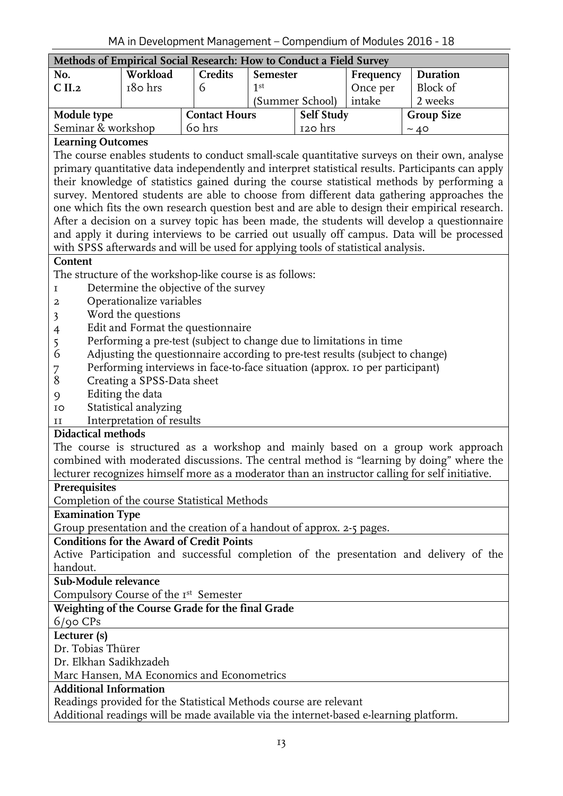<span id="page-12-0"></span>

| Methods of Empirical Social Research: How to Conduct a Field Survey |                     |  |                      |                 |            |           |                   |  |  |
|---------------------------------------------------------------------|---------------------|--|----------------------|-----------------|------------|-----------|-------------------|--|--|
| No.                                                                 | Workload<br>Credits |  |                      | Semester        |            | Frequency | <b>Duration</b>   |  |  |
| $\vert$ C II.2                                                      | 180 hrs             |  |                      | 1st             |            | Once per  | Block of          |  |  |
|                                                                     |                     |  |                      | (Summer School) |            | intake    | 2 weeks           |  |  |
| Module type                                                         |                     |  | <b>Contact Hours</b> |                 | Self Study |           | <b>Group Size</b> |  |  |
| Seminar & workshop                                                  |                     |  | 60 hrs               |                 | 120 hrs    |           | ~10               |  |  |
|                                                                     |                     |  |                      |                 |            |           |                   |  |  |

The course enables students to conduct small-scale quantitative surveys on their own, analyse primary quantitative data independently and interpret statistical results. Participants can apply their knowledge of statistics gained during the course statistical methods by performing a survey. Mentored students are able to choose from different data gathering approaches the one which fits the own research question best and are able to design their empirical research. After a decision on a survey topic has been made, the students will develop a questionnaire and apply it during interviews to be carried out usually off campus. Data will be processed with SPSS afterwards and will be used for applying tools of statistical analysis.

#### **Content**

The structure of the workshop-like course is as follows:

- 1 Determine the objective of the survey
- 2 Operationalize variables
- 3 Word the questions
- 4 Edit and Format the questionnaire
- 5 Performing a pre-test (subject to change due to limitations in time
- 6 Adjusting the questionnaire according to pre-test results (subject to change)
- 7 Performing interviews in face-to-face situation (approx. 10 per participant)
- 8 Creating a SPSS-Data sheet
- 9 Editing the data
- 10 Statistical analyzing
- 11 Interpretation of results

#### **Didactical methods**

The course is structured as a workshop and mainly based on a group work approach combined with moderated discussions. The central method is "learning by doing" where the lecturer recognizes himself more as a moderator than an instructor calling for self initiative.

#### **Prerequisites**

Completion of the course Statistical Methods

#### **Examination Type**

Group presentation and the creation of a handout of approx. 2-5 pages.

#### **Conditions for the Award of Credit Points**

Active Participation and successful completion of the presentation and delivery of the handout.

#### **Sub-Module relevance**

Compulsory Course of the Ist Semester

#### **Weighting of the Course Grade for the final Grade**

 $6$ /90 CPs

#### **Lecturer (s)**

Dr. Tobias Thürer

Dr. Elkhan Sadikhzadeh

Marc Hansen, MA Economics and Econometrics

### **Additional Information**

Readings provided for the Statistical Methods course are relevant

Additional readings will be made available via the internet-based e-learning platform.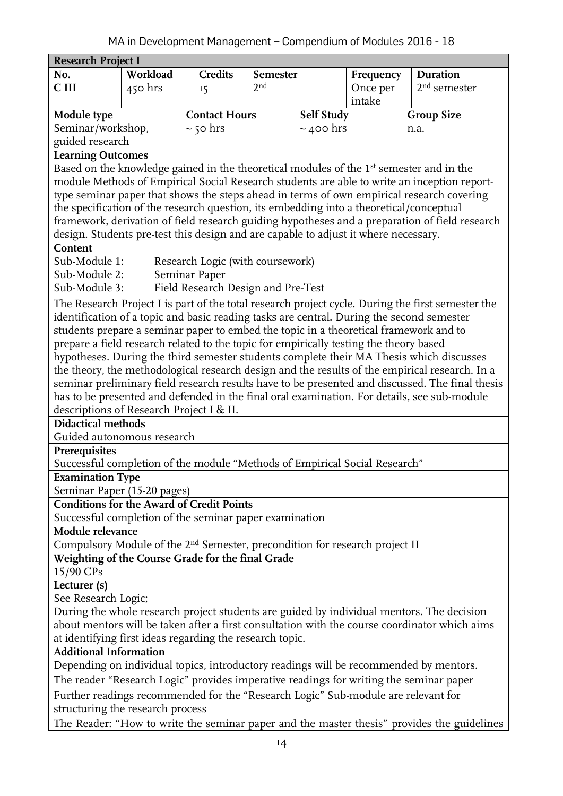<span id="page-13-0"></span>

| <b>Research Project I</b> |           |  |                      |                 |                   |           |                   |
|---------------------------|-----------|--|----------------------|-----------------|-------------------|-----------|-------------------|
| No.                       | Workload  |  | <b>Credits</b>       | <b>Semester</b> |                   | Frequency | Duration          |
| C III                     | $450$ hrs |  | I5                   | 2 <sup>nd</sup> |                   | Once per  | $2nd$ semester    |
|                           |           |  |                      |                 |                   | intake    |                   |
| Module type               |           |  | <b>Contact Hours</b> |                 | <b>Self Study</b> |           | <b>Group Size</b> |
| Seminar/workshop,         |           |  | $\sim$ 50 hrs        |                 | $\sim$ 400 hrs    |           | n.a.              |
| guided research           |           |  |                      |                 |                   |           |                   |

Based on the knowledge gained in the theoretical modules of the 1st semester and in the module Methods of Empirical Social Research students are able to write an inception reporttype seminar paper that shows the steps ahead in terms of own empirical research covering the specification of the research question, its embedding into a theoretical/conceptual framework, derivation of field research guiding hypotheses and a preparation of field research design. Students pre-test this design and are capable to adjust it where necessary.

#### **Content**

| Sub-Module 1: | Research Logic (with coursework)   |
|---------------|------------------------------------|
| Sub-Module 2: | Seminar Paper                      |
| Sub-Module 3: | Field Research Design and Pre-Test |

The Research Project I is part of the total research project cycle. During the first semester the identification of a topic and basic reading tasks are central. During the second semester students prepare a seminar paper to embed the topic in a theoretical framework and to prepare a field research related to the topic for empirically testing the theory based hypotheses. During the third semester students complete their MA Thesis which discusses the theory, the methodological research design and the results of the empirical research. In a seminar preliminary field research results have to be presented and discussed. The final thesis has to be presented and defended in the final oral examination. For details, see sub-module descriptions of Research Project I & II.

#### **Didactical methods**

Guided autonomous research

#### **Prerequisites**

Successful completion of the module "Methods of Empirical Social Research"

**Examination Type**

Seminar Paper (15-20 pages)

#### **Conditions for the Award of Credit Points**

Successful completion of the seminar paper examination

**Module relevance**

Compulsory Module of the 2nd Semester, precondition for research project II

#### **Weighting of the Course Grade for the final Grade**

15/90 CPs

#### **Lecturer (s)**

See Research Logic;

During the whole research project students are guided by individual mentors. The decision about mentors will be taken after a first consultation with the course coordinator which aims at identifying first ideas regarding the research topic.

#### **Additional Information**

Depending on individual topics, introductory readings will be recommended by mentors. The reader "Research Logic" provides imperative readings for writing the seminar paper Further readings recommended for the "Research Logic" Sub-module are relevant for structuring the research process

The Reader: "How to write the seminar paper and the master thesis" provides the guidelines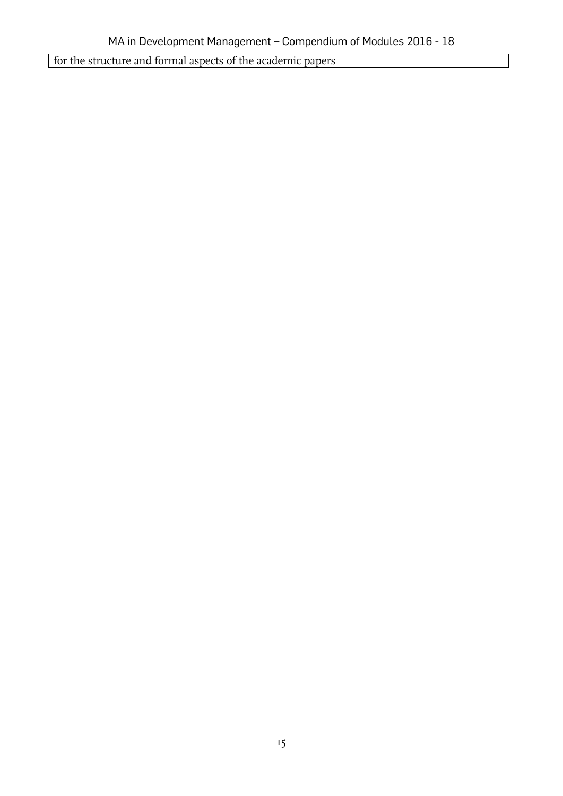<span id="page-14-0"></span>for the structure and formal aspects of the academic papers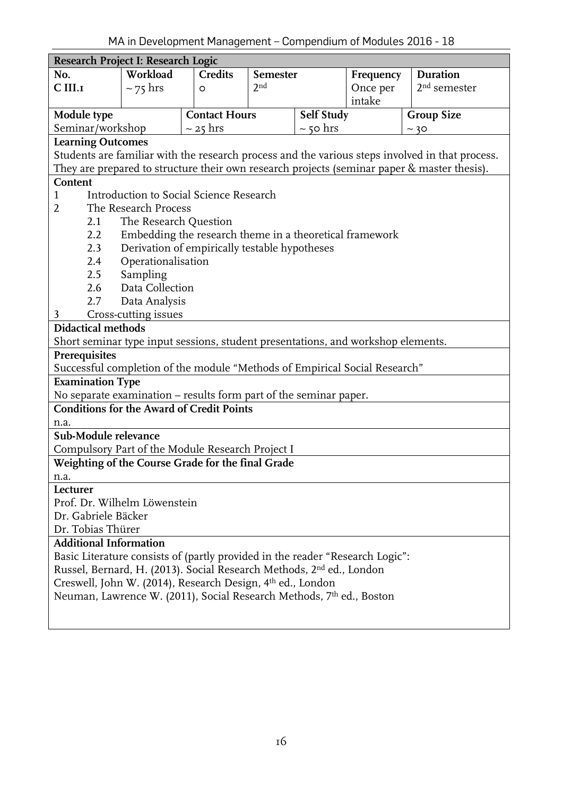|                               | Research Project I: Research Logic                                               |                      |                 |               |           |                                                                                                 |  |  |
|-------------------------------|----------------------------------------------------------------------------------|----------------------|-----------------|---------------|-----------|-------------------------------------------------------------------------------------------------|--|--|
| No.                           | Workload                                                                         | <b>Credits</b>       | Semester        |               | Frequency | <b>Duration</b>                                                                                 |  |  |
| C III.I                       | $~1$ 75 hrs                                                                      | O                    | 2 <sub>nd</sub> |               | Once per  | $2nd$ semester                                                                                  |  |  |
|                               |                                                                                  |                      |                 |               | intake    |                                                                                                 |  |  |
| Module type                   |                                                                                  | <b>Contact Hours</b> |                 | Self Study    |           | <b>Group Size</b>                                                                               |  |  |
| Seminar/workshop              |                                                                                  | $\sim$ 25 hrs        |                 | $\sim$ 50 hrs |           | ~10                                                                                             |  |  |
| <b>Learning Outcomes</b>      |                                                                                  |                      |                 |               |           |                                                                                                 |  |  |
|                               |                                                                                  |                      |                 |               |           | Students are familiar with the research process and the various steps involved in that process. |  |  |
|                               |                                                                                  |                      |                 |               |           | They are prepared to structure their own research projects (seminar paper & master thesis).     |  |  |
| Content                       |                                                                                  |                      |                 |               |           |                                                                                                 |  |  |
| $\mathbf{1}$                  | Introduction to Social Science Research                                          |                      |                 |               |           |                                                                                                 |  |  |
| $\overline{2}$                | The Research Process                                                             |                      |                 |               |           |                                                                                                 |  |  |
| 2.1                           | The Research Question                                                            |                      |                 |               |           |                                                                                                 |  |  |
| 2.2                           | Embedding the research theme in a theoretical framework                          |                      |                 |               |           |                                                                                                 |  |  |
| 2.3                           | Derivation of empirically testable hypotheses                                    |                      |                 |               |           |                                                                                                 |  |  |
| 2.4                           | Operationalisation                                                               |                      |                 |               |           |                                                                                                 |  |  |
| 2.5                           | Sampling                                                                         |                      |                 |               |           |                                                                                                 |  |  |
| 2.6                           | Data Collection                                                                  |                      |                 |               |           |                                                                                                 |  |  |
| 2.7                           | Data Analysis                                                                    |                      |                 |               |           |                                                                                                 |  |  |
| 3                             | Cross-cutting issues                                                             |                      |                 |               |           |                                                                                                 |  |  |
| <b>Didactical methods</b>     |                                                                                  |                      |                 |               |           |                                                                                                 |  |  |
|                               | Short seminar type input sessions, student presentations, and workshop elements. |                      |                 |               |           |                                                                                                 |  |  |
| Prerequisites                 |                                                                                  |                      |                 |               |           |                                                                                                 |  |  |
|                               | Successful completion of the module "Methods of Empirical Social Research"       |                      |                 |               |           |                                                                                                 |  |  |
| <b>Examination Type</b>       |                                                                                  |                      |                 |               |           |                                                                                                 |  |  |
|                               | No separate examination – results form part of the seminar paper.                |                      |                 |               |           |                                                                                                 |  |  |
|                               | <b>Conditions for the Award of Credit Points</b>                                 |                      |                 |               |           |                                                                                                 |  |  |
| n.a.                          |                                                                                  |                      |                 |               |           |                                                                                                 |  |  |
| Sub-Module relevance          |                                                                                  |                      |                 |               |           |                                                                                                 |  |  |
|                               | Compulsory Part of the Module Research Project I                                 |                      |                 |               |           |                                                                                                 |  |  |
|                               | Weighting of the Course Grade for the final Grade                                |                      |                 |               |           |                                                                                                 |  |  |
| n.a.                          |                                                                                  |                      |                 |               |           |                                                                                                 |  |  |
| Lecturer                      |                                                                                  |                      |                 |               |           |                                                                                                 |  |  |
|                               | Prof. Dr. Wilhelm Löwenstein                                                     |                      |                 |               |           |                                                                                                 |  |  |
| Dr. Gabriele Bäcker           |                                                                                  |                      |                 |               |           |                                                                                                 |  |  |
| Dr. Tobias Thürer             |                                                                                  |                      |                 |               |           |                                                                                                 |  |  |
| <b>Additional Information</b> |                                                                                  |                      |                 |               |           |                                                                                                 |  |  |
|                               | Basic Literature consists of (partly provided in the reader "Research Logic":    |                      |                 |               |           |                                                                                                 |  |  |
|                               | Russel, Bernard, H. (2013). Social Research Methods, 2 <sup>nd</sup> ed., London |                      |                 |               |           |                                                                                                 |  |  |
|                               | Creswell, John W. (2014), Research Design, 4 <sup>th</sup> ed., London           |                      |                 |               |           |                                                                                                 |  |  |
|                               | Neuman, Lawrence W. (2011), Social Research Methods, 7 <sup>th</sup> ed., Boston |                      |                 |               |           |                                                                                                 |  |  |
|                               |                                                                                  |                      |                 |               |           |                                                                                                 |  |  |
|                               |                                                                                  |                      |                 |               |           |                                                                                                 |  |  |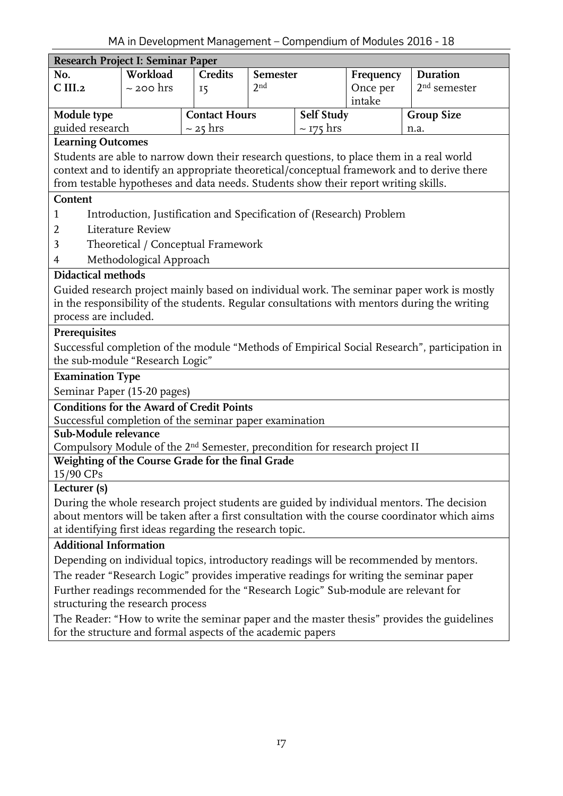<span id="page-16-0"></span>

| Research Project I: Seminar Paper                                                                                     |                                                                                                                      |                                                                     |                        |            |           |                                                                                               |  |  |
|-----------------------------------------------------------------------------------------------------------------------|----------------------------------------------------------------------------------------------------------------------|---------------------------------------------------------------------|------------------------|------------|-----------|-----------------------------------------------------------------------------------------------|--|--|
| No.                                                                                                                   | Workload                                                                                                             | <b>Credits</b>                                                      | Semester               |            | Frequency | <b>Duration</b>                                                                               |  |  |
| C <sub>III.2</sub>                                                                                                    | $\sim$ 200 hrs                                                                                                       | <b>15</b>                                                           | 2 <sub>nd</sub>        |            | Once per  | $2nd$ semester                                                                                |  |  |
|                                                                                                                       |                                                                                                                      |                                                                     |                        |            | intake    |                                                                                               |  |  |
| Module type                                                                                                           |                                                                                                                      | <b>Contact Hours</b>                                                |                        | Self Study |           | <b>Group Size</b>                                                                             |  |  |
| guided research                                                                                                       |                                                                                                                      | $\sim$ 25 hrs                                                       | $\sim$ 175 hrs<br>n.a. |            |           |                                                                                               |  |  |
|                                                                                                                       | <b>Learning Outcomes</b><br>Students are able to narrow down their research questions, to place them in a real world |                                                                     |                        |            |           |                                                                                               |  |  |
|                                                                                                                       |                                                                                                                      |                                                                     |                        |            |           |                                                                                               |  |  |
| from testable hypotheses and data needs. Students show their report writing skills.                                   |                                                                                                                      |                                                                     |                        |            |           | context and to identify an appropriate theoretical/conceptual framework and to derive there   |  |  |
| Content                                                                                                               |                                                                                                                      |                                                                     |                        |            |           |                                                                                               |  |  |
|                                                                                                                       |                                                                                                                      |                                                                     |                        |            |           |                                                                                               |  |  |
| 1                                                                                                                     | Literature Review                                                                                                    | Introduction, Justification and Specification of (Research) Problem |                        |            |           |                                                                                               |  |  |
| 2                                                                                                                     |                                                                                                                      |                                                                     |                        |            |           |                                                                                               |  |  |
| 3                                                                                                                     |                                                                                                                      | Theoretical / Conceptual Framework                                  |                        |            |           |                                                                                               |  |  |
| 4                                                                                                                     | Methodological Approach                                                                                              |                                                                     |                        |            |           |                                                                                               |  |  |
| Didactical methods                                                                                                    |                                                                                                                      |                                                                     |                        |            |           |                                                                                               |  |  |
|                                                                                                                       |                                                                                                                      |                                                                     |                        |            |           | Guided research project mainly based on individual work. The seminar paper work is mostly     |  |  |
| process are included.                                                                                                 |                                                                                                                      |                                                                     |                        |            |           | in the responsibility of the students. Regular consultations with mentors during the writing  |  |  |
|                                                                                                                       |                                                                                                                      |                                                                     |                        |            |           |                                                                                               |  |  |
| Prerequisites                                                                                                         |                                                                                                                      |                                                                     |                        |            |           |                                                                                               |  |  |
| the sub-module "Research Logic"                                                                                       |                                                                                                                      |                                                                     |                        |            |           | Successful completion of the module "Methods of Empirical Social Research", participation in  |  |  |
| <b>Examination Type</b>                                                                                               |                                                                                                                      |                                                                     |                        |            |           |                                                                                               |  |  |
| Seminar Paper (15-20 pages)                                                                                           |                                                                                                                      |                                                                     |                        |            |           |                                                                                               |  |  |
| <b>Conditions for the Award of Credit Points</b>                                                                      |                                                                                                                      |                                                                     |                        |            |           |                                                                                               |  |  |
| Successful completion of the seminar paper examination                                                                |                                                                                                                      |                                                                     |                        |            |           |                                                                                               |  |  |
| Sub-Module relevance                                                                                                  |                                                                                                                      |                                                                     |                        |            |           |                                                                                               |  |  |
| Compulsory Module of the 2 <sup>nd</sup> Semester, precondition for research project II                               |                                                                                                                      |                                                                     |                        |            |           |                                                                                               |  |  |
| Weighting of the Course Grade for the final Grade                                                                     |                                                                                                                      |                                                                     |                        |            |           |                                                                                               |  |  |
| 15/90 CPs                                                                                                             |                                                                                                                      |                                                                     |                        |            |           |                                                                                               |  |  |
| Lecturer (s)                                                                                                          |                                                                                                                      |                                                                     |                        |            |           |                                                                                               |  |  |
|                                                                                                                       |                                                                                                                      |                                                                     |                        |            |           | During the whole research project students are guided by individual mentors. The decision     |  |  |
|                                                                                                                       |                                                                                                                      |                                                                     |                        |            |           | about mentors will be taken after a first consultation with the course coordinator which aims |  |  |
| at identifying first ideas regarding the research topic.                                                              |                                                                                                                      |                                                                     |                        |            |           |                                                                                               |  |  |
| <b>Additional Information</b>                                                                                         |                                                                                                                      |                                                                     |                        |            |           |                                                                                               |  |  |
|                                                                                                                       |                                                                                                                      |                                                                     |                        |            |           | Depending on individual topics, introductory readings will be recommended by mentors.         |  |  |
|                                                                                                                       |                                                                                                                      |                                                                     |                        |            |           | The reader "Research Logic" provides imperative readings for writing the seminar paper        |  |  |
| Further readings recommended for the "Research Logic" Sub-module are relevant for<br>structuring the research process |                                                                                                                      |                                                                     |                        |            |           |                                                                                               |  |  |
|                                                                                                                       |                                                                                                                      |                                                                     |                        |            |           | The Reader: "How to write the seminar paper and the master thesis" provides the guidelines    |  |  |
| for the structure and formal aspects of the academic papers                                                           |                                                                                                                      |                                                                     |                        |            |           |                                                                                               |  |  |
|                                                                                                                       |                                                                                                                      |                                                                     |                        |            |           |                                                                                               |  |  |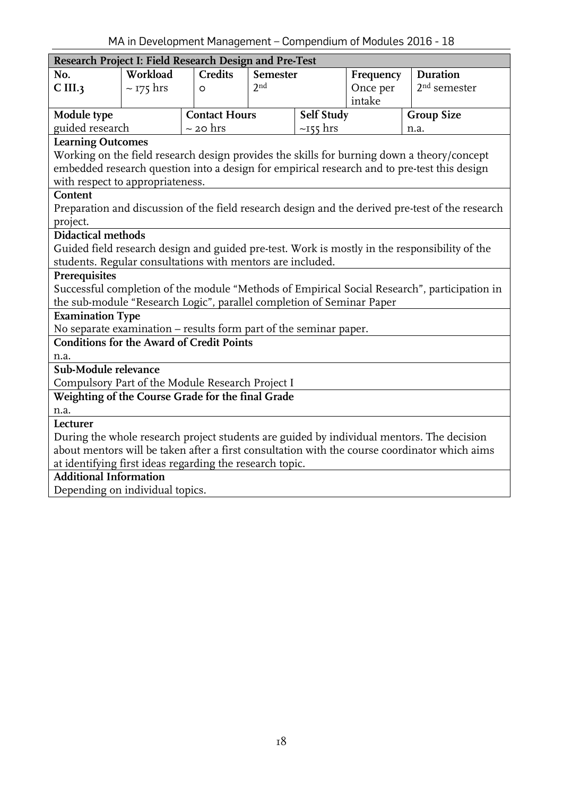<span id="page-17-0"></span>

| Research Project I: Field Research Design and Pre-Test                                                                |                |                      |                 |                              |          |                                                                                                  |
|-----------------------------------------------------------------------------------------------------------------------|----------------|----------------------|-----------------|------------------------------|----------|--------------------------------------------------------------------------------------------------|
| No.                                                                                                                   | Workload       | <b>Credits</b>       |                 | <b>Semester</b><br>Frequency |          | <b>Duration</b>                                                                                  |
| C III.3                                                                                                               | $\sim$ 175 hrs | $\circ$              | 2 <sub>nd</sub> |                              | Once per | $2nd$ semester                                                                                   |
|                                                                                                                       |                |                      |                 |                              | intake   |                                                                                                  |
| Module type                                                                                                           |                | <b>Contact Hours</b> |                 | Self Study                   |          | <b>Group Size</b>                                                                                |
| guided research                                                                                                       |                | $\sim$ 20 hrs        |                 | $\sim$ 155 hrs               |          | n.a.                                                                                             |
| <b>Learning Outcomes</b>                                                                                              |                |                      |                 |                              |          |                                                                                                  |
| Working on the field research design provides the skills for burning down a theory/concept                            |                |                      |                 |                              |          |                                                                                                  |
|                                                                                                                       |                |                      |                 |                              |          | embedded research question into a design for empirical research and to pre-test this design      |
| with respect to appropriateness.                                                                                      |                |                      |                 |                              |          |                                                                                                  |
| Content                                                                                                               |                |                      |                 |                              |          |                                                                                                  |
|                                                                                                                       |                |                      |                 |                              |          | Preparation and discussion of the field research design and the derived pre-test of the research |
| project.                                                                                                              |                |                      |                 |                              |          |                                                                                                  |
| <b>Didactical methods</b>                                                                                             |                |                      |                 |                              |          |                                                                                                  |
|                                                                                                                       |                |                      |                 |                              |          | Guided field research design and guided pre-test. Work is mostly in the responsibility of the    |
| students. Regular consultations with mentors are included.                                                            |                |                      |                 |                              |          |                                                                                                  |
| Prerequisites                                                                                                         |                |                      |                 |                              |          |                                                                                                  |
|                                                                                                                       |                |                      |                 |                              |          | Successful completion of the module "Methods of Empirical Social Research", participation in     |
| the sub-module "Research Logic", parallel completion of Seminar Paper                                                 |                |                      |                 |                              |          |                                                                                                  |
| <b>Examination Type</b>                                                                                               |                |                      |                 |                              |          |                                                                                                  |
| No separate examination - results form part of the seminar paper.<br><b>Conditions for the Award of Credit Points</b> |                |                      |                 |                              |          |                                                                                                  |
| n.a.                                                                                                                  |                |                      |                 |                              |          |                                                                                                  |
| Sub-Module relevance                                                                                                  |                |                      |                 |                              |          |                                                                                                  |
| Compulsory Part of the Module Research Project I                                                                      |                |                      |                 |                              |          |                                                                                                  |
| Weighting of the Course Grade for the final Grade                                                                     |                |                      |                 |                              |          |                                                                                                  |
| n.a.                                                                                                                  |                |                      |                 |                              |          |                                                                                                  |
| Lecturer                                                                                                              |                |                      |                 |                              |          |                                                                                                  |
|                                                                                                                       |                |                      |                 |                              |          | During the whole research project students are guided by individual mentors. The decision        |
|                                                                                                                       |                |                      |                 |                              |          | about mentors will be taken after a first consultation with the course coordinator which aims    |
| at identifying first ideas regarding the research topic.                                                              |                |                      |                 |                              |          |                                                                                                  |
| <b>Additional Information</b>                                                                                         |                |                      |                 |                              |          |                                                                                                  |
| Depending on individual topics.                                                                                       |                |                      |                 |                              |          |                                                                                                  |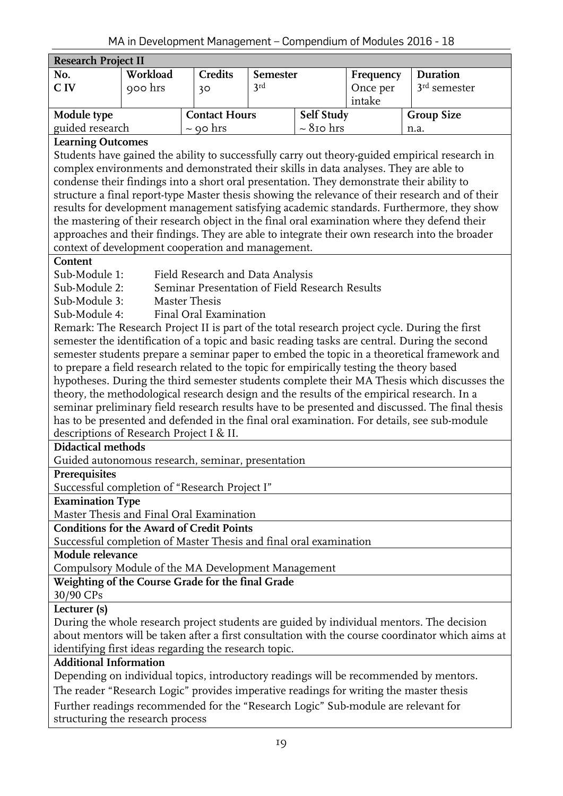<span id="page-18-0"></span>

| Research Project II                                                                              |                                                                                                  |                                                |          |                 |           |                                                                                                 |  |  |
|--------------------------------------------------------------------------------------------------|--------------------------------------------------------------------------------------------------|------------------------------------------------|----------|-----------------|-----------|-------------------------------------------------------------------------------------------------|--|--|
| No.                                                                                              | Workload                                                                                         | <b>Credits</b>                                 | Semester |                 | Frequency | <b>Duration</b>                                                                                 |  |  |
| C IV                                                                                             | 900 hrs                                                                                          | 30                                             | 3rd      |                 | Once per  | $3rd$ semester                                                                                  |  |  |
|                                                                                                  |                                                                                                  |                                                |          |                 | intake    |                                                                                                 |  |  |
| Module type                                                                                      |                                                                                                  | <b>Contact Hours</b>                           |          | Self Study      |           | <b>Group Size</b>                                                                               |  |  |
| guided research                                                                                  |                                                                                                  | $\sim$ 90 hrs                                  |          | $\sim 8$ 10 hrs |           | n.a.                                                                                            |  |  |
| <b>Learning Outcomes</b>                                                                         |                                                                                                  |                                                |          |                 |           |                                                                                                 |  |  |
|                                                                                                  |                                                                                                  |                                                |          |                 |           | Students have gained the ability to successfully carry out theory-guided empirical research in  |  |  |
| complex environments and demonstrated their skills in data analyses. They are able to            |                                                                                                  |                                                |          |                 |           |                                                                                                 |  |  |
|                                                                                                  | condense their findings into a short oral presentation. They demonstrate their ability to        |                                                |          |                 |           |                                                                                                 |  |  |
|                                                                                                  | structure a final report-type Master thesis showing the relevance of their research and of their |                                                |          |                 |           |                                                                                                 |  |  |
|                                                                                                  |                                                                                                  |                                                |          |                 |           | results for development management satisfying academic standards. Furthermore, they show        |  |  |
|                                                                                                  |                                                                                                  |                                                |          |                 |           | the mastering of their research object in the final oral examination where they defend their    |  |  |
|                                                                                                  |                                                                                                  |                                                |          |                 |           | approaches and their findings. They are able to integrate their own research into the broader   |  |  |
| context of development cooperation and management.                                               |                                                                                                  |                                                |          |                 |           |                                                                                                 |  |  |
| Content                                                                                          |                                                                                                  |                                                |          |                 |           |                                                                                                 |  |  |
| Sub-Module 1:                                                                                    |                                                                                                  | Field Research and Data Analysis               |          |                 |           |                                                                                                 |  |  |
| Sub-Module 2:                                                                                    |                                                                                                  | Seminar Presentation of Field Research Results |          |                 |           |                                                                                                 |  |  |
| Sub-Module 3:                                                                                    |                                                                                                  | Master Thesis                                  |          |                 |           |                                                                                                 |  |  |
| Sub-Module 4:                                                                                    |                                                                                                  | Final Oral Examination                         |          |                 |           |                                                                                                 |  |  |
|                                                                                                  |                                                                                                  |                                                |          |                 |           | Remark: The Research Project II is part of the total research project cycle. During the first   |  |  |
|                                                                                                  |                                                                                                  |                                                |          |                 |           | semester the identification of a topic and basic reading tasks are central. During the second   |  |  |
|                                                                                                  |                                                                                                  |                                                |          |                 |           | semester students prepare a seminar paper to embed the topic in a theoretical framework and     |  |  |
| to prepare a field research related to the topic for empirically testing the theory based        |                                                                                                  |                                                |          |                 |           |                                                                                                 |  |  |
|                                                                                                  |                                                                                                  |                                                |          |                 |           | hypotheses. During the third semester students complete their MA Thesis which discusses the     |  |  |
|                                                                                                  |                                                                                                  |                                                |          |                 |           | theory, the methodological research design and the results of the empirical research. In a      |  |  |
|                                                                                                  |                                                                                                  |                                                |          |                 |           | seminar preliminary field research results have to be presented and discussed. The final thesis |  |  |
|                                                                                                  |                                                                                                  |                                                |          |                 |           | has to be presented and defended in the final oral examination. For details, see sub-module     |  |  |
| descriptions of Research Project I & II.<br><b>Didactical methods</b>                            |                                                                                                  |                                                |          |                 |           |                                                                                                 |  |  |
|                                                                                                  |                                                                                                  |                                                |          |                 |           |                                                                                                 |  |  |
| Guided autonomous research, seminar, presentation<br>Prerequisites                               |                                                                                                  |                                                |          |                 |           |                                                                                                 |  |  |
|                                                                                                  |                                                                                                  |                                                |          |                 |           |                                                                                                 |  |  |
| Successful completion of "Research Project I"<br><b>Examination Type</b>                         |                                                                                                  |                                                |          |                 |           |                                                                                                 |  |  |
| Master Thesis and Final Oral Examination                                                         |                                                                                                  |                                                |          |                 |           |                                                                                                 |  |  |
| <b>Conditions for the Award of Credit Points</b>                                                 |                                                                                                  |                                                |          |                 |           |                                                                                                 |  |  |
| Successful completion of Master Thesis and final oral examination                                |                                                                                                  |                                                |          |                 |           |                                                                                                 |  |  |
| Module relevance                                                                                 |                                                                                                  |                                                |          |                 |           |                                                                                                 |  |  |
| Compulsory Module of the MA Development Management                                               |                                                                                                  |                                                |          |                 |           |                                                                                                 |  |  |
| Weighting of the Course Grade for the final Grade                                                |                                                                                                  |                                                |          |                 |           |                                                                                                 |  |  |
| 30/90 CPs                                                                                        |                                                                                                  |                                                |          |                 |           |                                                                                                 |  |  |
| Lecturer (s)                                                                                     |                                                                                                  |                                                |          |                 |           |                                                                                                 |  |  |
|                                                                                                  |                                                                                                  |                                                |          |                 |           | During the whole research project students are guided by individual mentors. The decision       |  |  |
| about mentors will be taken after a first consultation with the course coordinator which aims at |                                                                                                  |                                                |          |                 |           |                                                                                                 |  |  |
| identifying first ideas regarding the research topic.                                            |                                                                                                  |                                                |          |                 |           |                                                                                                 |  |  |
| <b>Additional Information</b>                                                                    |                                                                                                  |                                                |          |                 |           |                                                                                                 |  |  |
|                                                                                                  |                                                                                                  |                                                |          |                 |           | Depending on individual topics, introductory readings will be recommended by mentors.           |  |  |
| The reader "Research Logic" provides imperative readings for writing the master thesis           |                                                                                                  |                                                |          |                 |           |                                                                                                 |  |  |
| Further readings recommended for the "Research Logic" Sub-module are relevant for                |                                                                                                  |                                                |          |                 |           |                                                                                                 |  |  |
| structuring the research process                                                                 |                                                                                                  |                                                |          |                 |           |                                                                                                 |  |  |
|                                                                                                  |                                                                                                  |                                                |          |                 |           |                                                                                                 |  |  |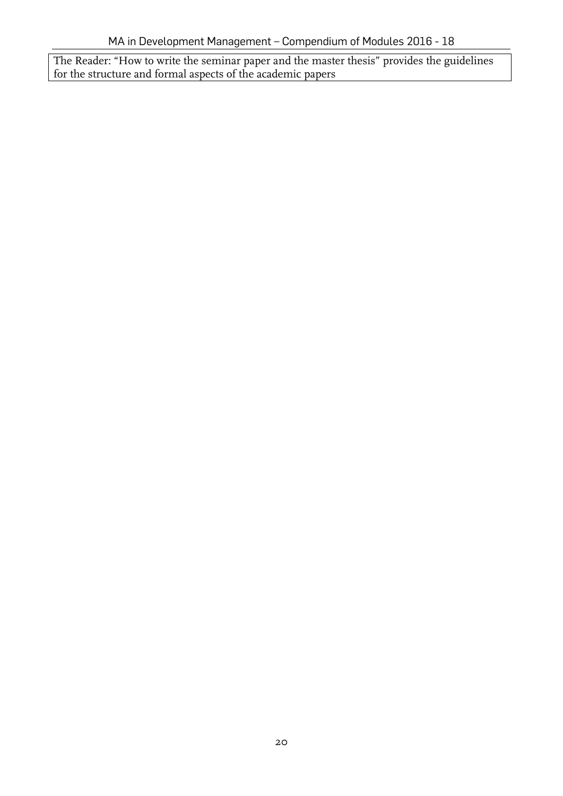<span id="page-19-0"></span>The Reader: "How to write the seminar paper and the master thesis" provides the guidelines for the structure and formal aspects of the academic papers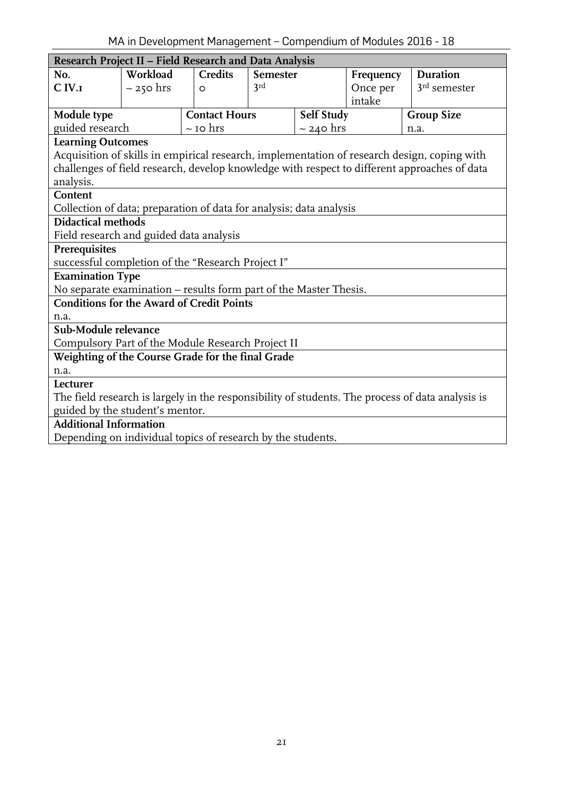| Research Project II - Field Research and Data Analysis              |                |                      |                 |                |           |                                                                                                  |
|---------------------------------------------------------------------|----------------|----------------------|-----------------|----------------|-----------|--------------------------------------------------------------------------------------------------|
| No.                                                                 | Workload       | <b>Credits</b>       | <b>Semester</b> |                | Frequency | Duration                                                                                         |
| $C$ IV. $I$                                                         | $\sim$ 250 hrs | $\circ$              | 3rd             |                | Once per  | $3rd$ semester                                                                                   |
|                                                                     |                |                      |                 |                | intake    |                                                                                                  |
| Module type                                                         |                | <b>Contact Hours</b> |                 | Self Study     |           | <b>Group Size</b>                                                                                |
| guided research                                                     |                | $\sim$ 10 hrs        |                 | $\sim$ 240 hrs |           | n.a.                                                                                             |
| <b>Learning Outcomes</b>                                            |                |                      |                 |                |           |                                                                                                  |
|                                                                     |                |                      |                 |                |           | Acquisition of skills in empirical research, implementation of research design, coping with      |
|                                                                     |                |                      |                 |                |           | challenges of field research, develop knowledge with respect to different approaches of data     |
| analysis.                                                           |                |                      |                 |                |           |                                                                                                  |
| Content                                                             |                |                      |                 |                |           |                                                                                                  |
| Collection of data; preparation of data for analysis; data analysis |                |                      |                 |                |           |                                                                                                  |
| <b>Didactical methods</b>                                           |                |                      |                 |                |           |                                                                                                  |
| Field research and guided data analysis                             |                |                      |                 |                |           |                                                                                                  |
| Prerequisites                                                       |                |                      |                 |                |           |                                                                                                  |
| successful completion of the "Research Project I"                   |                |                      |                 |                |           |                                                                                                  |
| <b>Examination Type</b>                                             |                |                      |                 |                |           |                                                                                                  |
| No separate examination – results form part of the Master Thesis.   |                |                      |                 |                |           |                                                                                                  |
| <b>Conditions for the Award of Credit Points</b>                    |                |                      |                 |                |           |                                                                                                  |
| n.a.                                                                |                |                      |                 |                |           |                                                                                                  |
| Sub-Module relevance                                                |                |                      |                 |                |           |                                                                                                  |
| Compulsory Part of the Module Research Project II                   |                |                      |                 |                |           |                                                                                                  |
| Weighting of the Course Grade for the final Grade                   |                |                      |                 |                |           |                                                                                                  |
| n.a.                                                                |                |                      |                 |                |           |                                                                                                  |
| Lecturer                                                            |                |                      |                 |                |           |                                                                                                  |
|                                                                     |                |                      |                 |                |           | The field research is largely in the responsibility of students. The process of data analysis is |
| guided by the student's mentor.                                     |                |                      |                 |                |           |                                                                                                  |
| <b>Additional Information</b>                                       |                |                      |                 |                |           |                                                                                                  |
| Depending on individual topics of research by the students.         |                |                      |                 |                |           |                                                                                                  |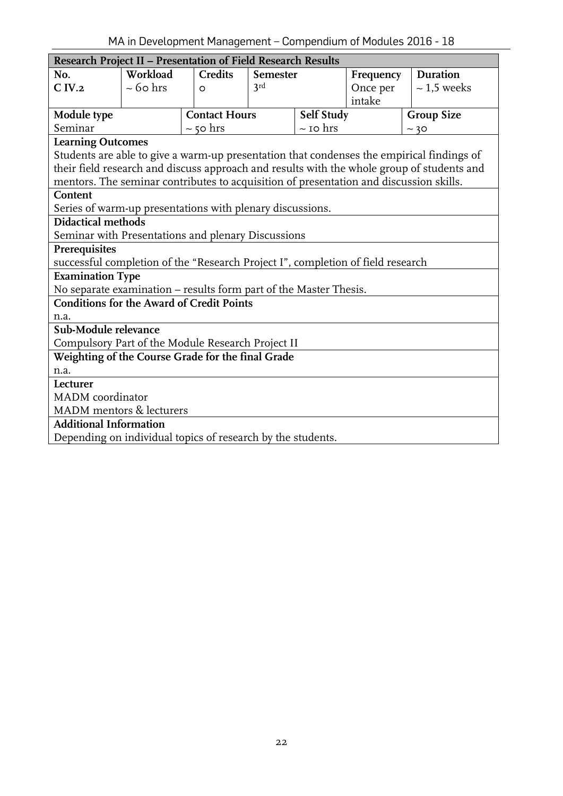<span id="page-21-0"></span>

| Research Project II - Presentation of Field Research Results                           |               |                      |                 |                          |           |                                                                                            |  |
|----------------------------------------------------------------------------------------|---------------|----------------------|-----------------|--------------------------|-----------|--------------------------------------------------------------------------------------------|--|
| No.                                                                                    | Workload      | <b>Credits</b>       | <b>Semester</b> |                          | Frequency | <b>Duration</b>                                                                            |  |
| C IV.2                                                                                 | $\sim$ 60 hrs | $\circ$              | 3rd             |                          |           | $\sim$ 1,5 weeks                                                                           |  |
|                                                                                        |               |                      |                 |                          | intake    |                                                                                            |  |
| Module type                                                                            |               | <b>Contact Hours</b> |                 | Self Study               |           | <b>Group Size</b>                                                                          |  |
| Seminar                                                                                |               | $\sim$ 50 hrs        |                 | $\sim$ 10 $\mathrm{hrs}$ |           | ~20                                                                                        |  |
| <b>Learning Outcomes</b>                                                               |               |                      |                 |                          |           |                                                                                            |  |
|                                                                                        |               |                      |                 |                          |           | Students are able to give a warm-up presentation that condenses the empirical findings of  |  |
|                                                                                        |               |                      |                 |                          |           | their field research and discuss approach and results with the whole group of students and |  |
| mentors. The seminar contributes to acquisition of presentation and discussion skills. |               |                      |                 |                          |           |                                                                                            |  |
| Content                                                                                |               |                      |                 |                          |           |                                                                                            |  |
| Series of warm-up presentations with plenary discussions.                              |               |                      |                 |                          |           |                                                                                            |  |
| <b>Didactical methods</b>                                                              |               |                      |                 |                          |           |                                                                                            |  |
| Seminar with Presentations and plenary Discussions                                     |               |                      |                 |                          |           |                                                                                            |  |
| Prerequisites                                                                          |               |                      |                 |                          |           |                                                                                            |  |
| successful completion of the "Research Project I", completion of field research        |               |                      |                 |                          |           |                                                                                            |  |
| <b>Examination Type</b>                                                                |               |                      |                 |                          |           |                                                                                            |  |
| No separate examination – results form part of the Master Thesis.                      |               |                      |                 |                          |           |                                                                                            |  |
| <b>Conditions for the Award of Credit Points</b>                                       |               |                      |                 |                          |           |                                                                                            |  |
| n.a.                                                                                   |               |                      |                 |                          |           |                                                                                            |  |
| Sub-Module relevance                                                                   |               |                      |                 |                          |           |                                                                                            |  |
| Compulsory Part of the Module Research Project II                                      |               |                      |                 |                          |           |                                                                                            |  |
| Weighting of the Course Grade for the final Grade                                      |               |                      |                 |                          |           |                                                                                            |  |
| n.a.                                                                                   |               |                      |                 |                          |           |                                                                                            |  |
| Lecturer                                                                               |               |                      |                 |                          |           |                                                                                            |  |
| MADM coordinator                                                                       |               |                      |                 |                          |           |                                                                                            |  |
| MADM mentors & lecturers                                                               |               |                      |                 |                          |           |                                                                                            |  |
| <b>Additional Information</b>                                                          |               |                      |                 |                          |           |                                                                                            |  |
| Depending on individual topics of research by the students.                            |               |                      |                 |                          |           |                                                                                            |  |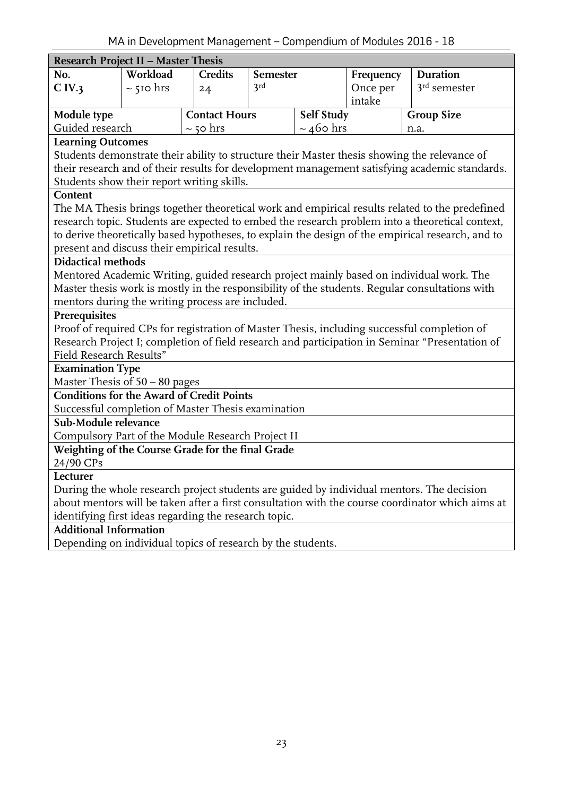<span id="page-22-0"></span>

|                                                             | $\ldots$ . The bevelopment management compension of modeles 2010                               |                      |                 |                   |           |                                                                                                   |  |
|-------------------------------------------------------------|------------------------------------------------------------------------------------------------|----------------------|-----------------|-------------------|-----------|---------------------------------------------------------------------------------------------------|--|
| <b>Research Project II - Master Thesis</b>                  |                                                                                                |                      |                 |                   |           |                                                                                                   |  |
| No.                                                         | Workload                                                                                       | <b>Credits</b>       | <b>Semester</b> |                   | Frequency | Duration                                                                                          |  |
| C IV.3                                                      | $\sim$ 510 hrs                                                                                 | 24                   | 3rd             |                   | Once per  | $3rd$ semester                                                                                    |  |
|                                                             |                                                                                                |                      |                 |                   | intake    |                                                                                                   |  |
| Module type                                                 |                                                                                                | <b>Contact Hours</b> |                 | <b>Self Study</b> |           | <b>Group Size</b>                                                                                 |  |
| Guided research                                             |                                                                                                | $\sim$ 50 hrs        |                 | $\sim$ 460 hrs    |           | n.a.                                                                                              |  |
| <b>Learning Outcomes</b>                                    |                                                                                                |                      |                 |                   |           |                                                                                                   |  |
|                                                             |                                                                                                |                      |                 |                   |           | Students demonstrate their ability to structure their Master thesis showing the relevance of      |  |
|                                                             |                                                                                                |                      |                 |                   |           | their research and of their results for development management satisfying academic standards.     |  |
| Students show their report writing skills.                  |                                                                                                |                      |                 |                   |           |                                                                                                   |  |
| Content                                                     |                                                                                                |                      |                 |                   |           |                                                                                                   |  |
|                                                             |                                                                                                |                      |                 |                   |           | The MA Thesis brings together theoretical work and empirical results related to the predefined    |  |
|                                                             |                                                                                                |                      |                 |                   |           | research topic. Students are expected to embed the research problem into a theoretical context,   |  |
|                                                             |                                                                                                |                      |                 |                   |           | to derive theoretically based hypotheses, to explain the design of the empirical research, and to |  |
| present and discuss their empirical results.                |                                                                                                |                      |                 |                   |           |                                                                                                   |  |
| Didactical methods                                          |                                                                                                |                      |                 |                   |           |                                                                                                   |  |
|                                                             |                                                                                                |                      |                 |                   |           | Mentored Academic Writing, guided research project mainly based on individual work. The           |  |
|                                                             | Master thesis work is mostly in the responsibility of the students. Regular consultations with |                      |                 |                   |           |                                                                                                   |  |
| mentors during the writing process are included.            |                                                                                                |                      |                 |                   |           |                                                                                                   |  |
| Prerequisites                                               |                                                                                                |                      |                 |                   |           |                                                                                                   |  |
|                                                             |                                                                                                |                      |                 |                   |           | Proof of required CPs for registration of Master Thesis, including successful completion of       |  |
|                                                             |                                                                                                |                      |                 |                   |           | Research Project I; completion of field research and participation in Seminar "Presentation of    |  |
| Field Research Results"                                     |                                                                                                |                      |                 |                   |           |                                                                                                   |  |
| <b>Examination Type</b>                                     |                                                                                                |                      |                 |                   |           |                                                                                                   |  |
| Master Thesis of $50 - 80$ pages                            |                                                                                                |                      |                 |                   |           |                                                                                                   |  |
| <b>Conditions for the Award of Credit Points</b>            |                                                                                                |                      |                 |                   |           |                                                                                                   |  |
| Successful completion of Master Thesis examination          |                                                                                                |                      |                 |                   |           |                                                                                                   |  |
| Sub-Module relevance                                        |                                                                                                |                      |                 |                   |           |                                                                                                   |  |
| Compulsory Part of the Module Research Project II           |                                                                                                |                      |                 |                   |           |                                                                                                   |  |
| Weighting of the Course Grade for the final Grade           |                                                                                                |                      |                 |                   |           |                                                                                                   |  |
| 24/90 CPs                                                   |                                                                                                |                      |                 |                   |           |                                                                                                   |  |
| Lecturer                                                    |                                                                                                |                      |                 |                   |           |                                                                                                   |  |
|                                                             |                                                                                                |                      |                 |                   |           | During the whole research project students are guided by individual mentors. The decision         |  |
|                                                             |                                                                                                |                      |                 |                   |           | about mentors will be taken after a first consultation with the course coordinator which aims at  |  |
| identifying first ideas regarding the research topic.       |                                                                                                |                      |                 |                   |           |                                                                                                   |  |
| <b>Additional Information</b>                               |                                                                                                |                      |                 |                   |           |                                                                                                   |  |
| Depending on individual topics of research by the students. |                                                                                                |                      |                 |                   |           |                                                                                                   |  |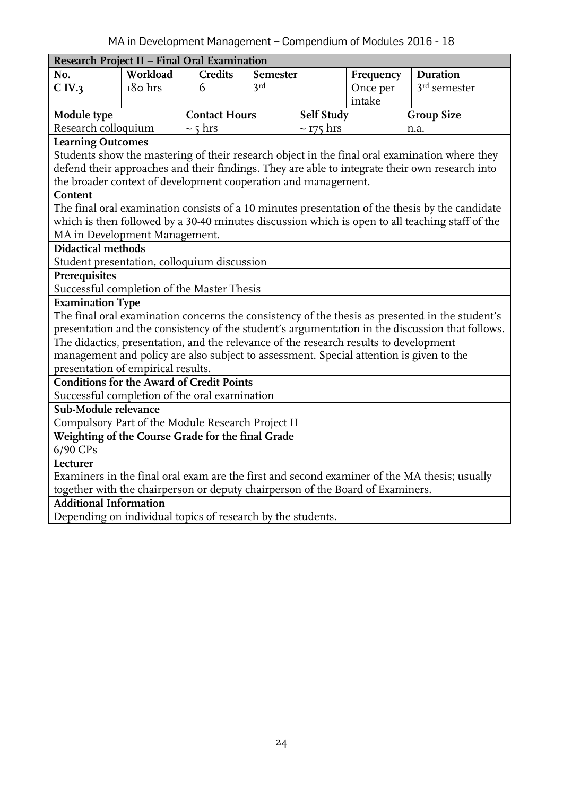<span id="page-23-0"></span>

| Research Project II - Final Oral Examination                                            |          |                      |                 |                   |           |                                                                                                 |
|-----------------------------------------------------------------------------------------|----------|----------------------|-----------------|-------------------|-----------|-------------------------------------------------------------------------------------------------|
| No.                                                                                     | Workload | <b>Credits</b>       | <b>Semester</b> |                   | Frequency | <b>Duration</b>                                                                                 |
| C IV.3                                                                                  | 180 hrs  | 6                    | 3rd             |                   | Once per  | $3rd$ semester                                                                                  |
|                                                                                         |          |                      |                 |                   | intake    |                                                                                                 |
| Module type                                                                             |          | <b>Contact Hours</b> |                 | <b>Self Study</b> |           | <b>Group Size</b>                                                                               |
| Research colloquium                                                                     |          | $\sim$ 5 hrs         |                 | $\sim$ 175 hrs    |           | n.a.                                                                                            |
| <b>Learning Outcomes</b>                                                                |          |                      |                 |                   |           |                                                                                                 |
|                                                                                         |          |                      |                 |                   |           | Students show the mastering of their research object in the final oral examination where they   |
|                                                                                         |          |                      |                 |                   |           | defend their approaches and their findings. They are able to integrate their own research into  |
| the broader context of development cooperation and management.                          |          |                      |                 |                   |           |                                                                                                 |
| Content                                                                                 |          |                      |                 |                   |           |                                                                                                 |
|                                                                                         |          |                      |                 |                   |           | The final oral examination consists of a 10 minutes presentation of the thesis by the candidate |
|                                                                                         |          |                      |                 |                   |           | which is then followed by a 30-40 minutes discussion which is open to all teaching staff of the |
| MA in Development Management.                                                           |          |                      |                 |                   |           |                                                                                                 |
| <b>Didactical methods</b>                                                               |          |                      |                 |                   |           |                                                                                                 |
| Student presentation, colloquium discussion                                             |          |                      |                 |                   |           |                                                                                                 |
| Prerequisites                                                                           |          |                      |                 |                   |           |                                                                                                 |
| Successful completion of the Master Thesis                                              |          |                      |                 |                   |           |                                                                                                 |
| <b>Examination Type</b>                                                                 |          |                      |                 |                   |           |                                                                                                 |
|                                                                                         |          |                      |                 |                   |           | The final oral examination concerns the consistency of the thesis as presented in the student's |
|                                                                                         |          |                      |                 |                   |           | presentation and the consistency of the student's argumentation in the discussion that follows. |
| The didactics, presentation, and the relevance of the research results to development   |          |                      |                 |                   |           |                                                                                                 |
| management and policy are also subject to assessment. Special attention is given to the |          |                      |                 |                   |           |                                                                                                 |
| presentation of empirical results.<br><b>Conditions for the Award of Credit Points</b>  |          |                      |                 |                   |           |                                                                                                 |
| Successful completion of the oral examination                                           |          |                      |                 |                   |           |                                                                                                 |
| Sub-Module relevance                                                                    |          |                      |                 |                   |           |                                                                                                 |
| Compulsory Part of the Module Research Project II                                       |          |                      |                 |                   |           |                                                                                                 |
| Weighting of the Course Grade for the final Grade                                       |          |                      |                 |                   |           |                                                                                                 |
| 6/90 CPs                                                                                |          |                      |                 |                   |           |                                                                                                 |
| Lecturer                                                                                |          |                      |                 |                   |           |                                                                                                 |
|                                                                                         |          |                      |                 |                   |           | Examiners in the final oral exam are the first and second examiner of the MA thesis; usually    |
| together with the chairperson or deputy chairperson of the Board of Examiners.          |          |                      |                 |                   |           |                                                                                                 |
| <b>Additional Information</b>                                                           |          |                      |                 |                   |           |                                                                                                 |
| Depending on individual topics of research by the students.                             |          |                      |                 |                   |           |                                                                                                 |
|                                                                                         |          |                      |                 |                   |           |                                                                                                 |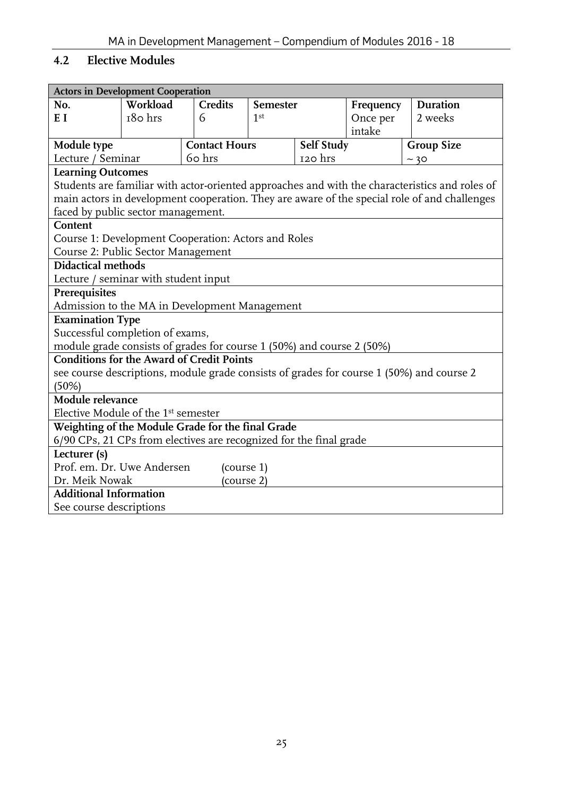# <span id="page-24-0"></span>**4.2 Elective Modules**

<span id="page-24-1"></span>

| <b>Actors in Development Cooperation</b>                                                       |                              |                      |                 |            |           |                                                                                          |  |
|------------------------------------------------------------------------------------------------|------------------------------|----------------------|-----------------|------------|-----------|------------------------------------------------------------------------------------------|--|
| No.                                                                                            | Workload                     | <b>Credits</b>       | Semester        |            | Frequency | Duration                                                                                 |  |
| E I                                                                                            | 180 hrs                      | 6                    | 1 <sup>st</sup> |            | Once per  | 2 weeks                                                                                  |  |
|                                                                                                |                              |                      |                 |            | intake    |                                                                                          |  |
| Module type                                                                                    |                              | <b>Contact Hours</b> |                 | Self Study |           | <b>Group Size</b>                                                                        |  |
| Lecture / Seminar                                                                              |                              | 60 hrs               | 120 hrs<br>~20  |            |           |                                                                                          |  |
| <b>Learning Outcomes</b>                                                                       |                              |                      |                 |            |           |                                                                                          |  |
| Students are familiar with actor-oriented approaches and with the characteristics and roles of |                              |                      |                 |            |           |                                                                                          |  |
| main actors in development cooperation. They are aware of the special role of and challenges   |                              |                      |                 |            |           |                                                                                          |  |
| faced by public sector management.                                                             |                              |                      |                 |            |           |                                                                                          |  |
| Content                                                                                        |                              |                      |                 |            |           |                                                                                          |  |
| Course 1: Development Cooperation: Actors and Roles                                            |                              |                      |                 |            |           |                                                                                          |  |
| Course 2: Public Sector Management                                                             |                              |                      |                 |            |           |                                                                                          |  |
| <b>Didactical methods</b>                                                                      |                              |                      |                 |            |           |                                                                                          |  |
| Lecture / seminar with student input                                                           |                              |                      |                 |            |           |                                                                                          |  |
| Prerequisites                                                                                  |                              |                      |                 |            |           |                                                                                          |  |
| Admission to the MA in Development Management                                                  |                              |                      |                 |            |           |                                                                                          |  |
| <b>Examination Type</b>                                                                        |                              |                      |                 |            |           |                                                                                          |  |
| Successful completion of exams,                                                                |                              |                      |                 |            |           |                                                                                          |  |
| module grade consists of grades for course 1 (50%) and course 2 (50%)                          |                              |                      |                 |            |           |                                                                                          |  |
| <b>Conditions for the Award of Credit Points</b>                                               |                              |                      |                 |            |           |                                                                                          |  |
|                                                                                                |                              |                      |                 |            |           | see course descriptions, module grade consists of grades for course 1 (50%) and course 2 |  |
| (50%)                                                                                          |                              |                      |                 |            |           |                                                                                          |  |
| Module relevance                                                                               |                              |                      |                 |            |           |                                                                                          |  |
| Elective Module of the 1 <sup>st</sup> semester                                                |                              |                      |                 |            |           |                                                                                          |  |
| Weighting of the Module Grade for the final Grade                                              |                              |                      |                 |            |           |                                                                                          |  |
| 6/90 CPs, 21 CPs from electives are recognized for the final grade                             |                              |                      |                 |            |           |                                                                                          |  |
| Lecturer (s)                                                                                   |                              |                      |                 |            |           |                                                                                          |  |
| Prof. em. Dr. Uwe Andersen                                                                     |                              | (course 1)           |                 |            |           |                                                                                          |  |
|                                                                                                | Dr. Meik Nowak<br>(course 2) |                      |                 |            |           |                                                                                          |  |
| <b>Additional Information</b>                                                                  |                              |                      |                 |            |           |                                                                                          |  |
| See course descriptions                                                                        |                              |                      |                 |            |           |                                                                                          |  |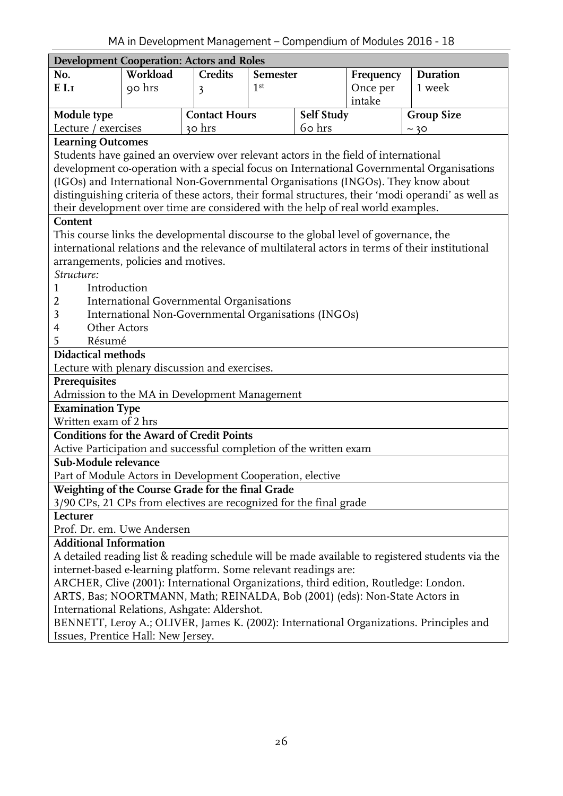<span id="page-25-0"></span>

| <b>Development Cooperation: Actors and Roles</b>                                     |                                                                                      |                                                      |                 |            |           |                                                                                                    |  |
|--------------------------------------------------------------------------------------|--------------------------------------------------------------------------------------|------------------------------------------------------|-----------------|------------|-----------|----------------------------------------------------------------------------------------------------|--|
| No.                                                                                  | Workload                                                                             | <b>Credits</b>                                       | Semester        |            | Frequency | Duration                                                                                           |  |
| $E$ I.I                                                                              | 90 hrs                                                                               | 3                                                    | 1 <sup>st</sup> |            | Once per  | 1 week                                                                                             |  |
|                                                                                      |                                                                                      |                                                      |                 |            | intake    |                                                                                                    |  |
| Module type                                                                          |                                                                                      | <b>Contact Hours</b>                                 |                 | Self Study |           | <b>Group Size</b>                                                                                  |  |
| Lecture / exercises                                                                  |                                                                                      | 30 hrs                                               |                 | 60 hrs     |           | ~20                                                                                                |  |
| <b>Learning Outcomes</b>                                                             |                                                                                      |                                                      |                 |            |           |                                                                                                    |  |
| Students have gained an overview over relevant actors in the field of international  |                                                                                      |                                                      |                 |            |           |                                                                                                    |  |
|                                                                                      |                                                                                      |                                                      |                 |            |           | development co-operation with a special focus on International Governmental Organisations          |  |
| (IGOs) and International Non-Governmental Organisations (INGOs). They know about     |                                                                                      |                                                      |                 |            |           |                                                                                                    |  |
|                                                                                      |                                                                                      |                                                      |                 |            |           | distinguishing criteria of these actors, their formal structures, their 'modi operandi' as well as |  |
| their development over time are considered with the help of real world examples.     |                                                                                      |                                                      |                 |            |           |                                                                                                    |  |
| Content                                                                              |                                                                                      |                                                      |                 |            |           |                                                                                                    |  |
| This course links the developmental discourse to the global level of governance, the |                                                                                      |                                                      |                 |            |           |                                                                                                    |  |
|                                                                                      |                                                                                      |                                                      |                 |            |           | international relations and the relevance of multilateral actors in terms of their institutional   |  |
| arrangements, policies and motives.                                                  |                                                                                      |                                                      |                 |            |           |                                                                                                    |  |
| Structure:                                                                           |                                                                                      |                                                      |                 |            |           |                                                                                                    |  |
| Introduction<br>1                                                                    |                                                                                      |                                                      |                 |            |           |                                                                                                    |  |
| 2                                                                                    |                                                                                      | International Governmental Organisations             |                 |            |           |                                                                                                    |  |
| 3                                                                                    |                                                                                      | International Non-Governmental Organisations (INGOs) |                 |            |           |                                                                                                    |  |
| Other Actors<br>4<br>Résumé                                                          |                                                                                      |                                                      |                 |            |           |                                                                                                    |  |
| 5<br><b>Didactical methods</b>                                                       |                                                                                      |                                                      |                 |            |           |                                                                                                    |  |
| Lecture with plenary discussion and exercises.                                       |                                                                                      |                                                      |                 |            |           |                                                                                                    |  |
| Prerequisites                                                                        |                                                                                      |                                                      |                 |            |           |                                                                                                    |  |
| Admission to the MA in Development Management                                        |                                                                                      |                                                      |                 |            |           |                                                                                                    |  |
| <b>Examination Type</b>                                                              |                                                                                      |                                                      |                 |            |           |                                                                                                    |  |
| Written exam of 2 hrs                                                                |                                                                                      |                                                      |                 |            |           |                                                                                                    |  |
| <b>Conditions for the Award of Credit Points</b>                                     |                                                                                      |                                                      |                 |            |           |                                                                                                    |  |
| Active Participation and successful completion of the written exam                   |                                                                                      |                                                      |                 |            |           |                                                                                                    |  |
| Sub-Module relevance                                                                 |                                                                                      |                                                      |                 |            |           |                                                                                                    |  |
| Part of Module Actors in Development Cooperation, elective                           |                                                                                      |                                                      |                 |            |           |                                                                                                    |  |
| Weighting of the Course Grade for the final Grade                                    |                                                                                      |                                                      |                 |            |           |                                                                                                    |  |
| 3/90 CPs, 21 CPs from electives are recognized for the final grade                   |                                                                                      |                                                      |                 |            |           |                                                                                                    |  |
| Lecturer                                                                             |                                                                                      |                                                      |                 |            |           |                                                                                                    |  |
| Prof. Dr. em. Uwe Andersen                                                           |                                                                                      |                                                      |                 |            |           |                                                                                                    |  |
| <b>Additional Information</b>                                                        |                                                                                      |                                                      |                 |            |           |                                                                                                    |  |
|                                                                                      |                                                                                      |                                                      |                 |            |           | A detailed reading list & reading schedule will be made available to registered students via the   |  |
|                                                                                      | internet-based e-learning platform. Some relevant readings are:                      |                                                      |                 |            |           |                                                                                                    |  |
|                                                                                      | ARCHER, Clive (2001): International Organizations, third edition, Routledge: London. |                                                      |                 |            |           |                                                                                                    |  |
| ARTS, Bas; NOORTMANN, Math; REINALDA, Bob (2001) (eds): Non-State Actors in          |                                                                                      |                                                      |                 |            |           |                                                                                                    |  |
| International Relations, Ashgate: Aldershot.                                         |                                                                                      |                                                      |                 |            |           |                                                                                                    |  |
|                                                                                      |                                                                                      |                                                      |                 |            |           | BENNETT, Leroy A.; OLIVER, James K. (2002): International Organizations. Principles and            |  |
| Issues, Prentice Hall: New Jersey.                                                   |                                                                                      |                                                      |                 |            |           |                                                                                                    |  |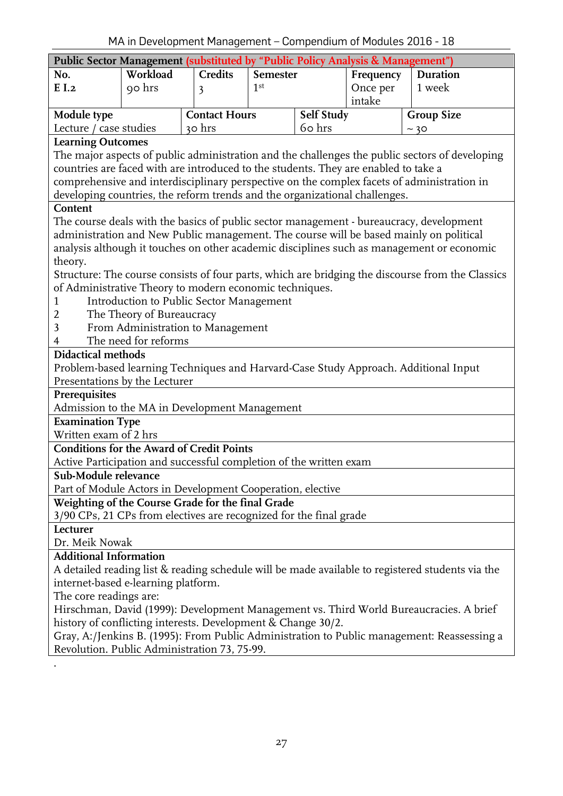<span id="page-26-0"></span>

| Public Sector Management (substituted by "Public Policy Analysis & Management")                |                                                                                                                                         |                                          |                 |            |           |                                                                                                  |  |  |  |
|------------------------------------------------------------------------------------------------|-----------------------------------------------------------------------------------------------------------------------------------------|------------------------------------------|-----------------|------------|-----------|--------------------------------------------------------------------------------------------------|--|--|--|
| No.                                                                                            | Workload                                                                                                                                | <b>Credits</b>                           | Semester        |            | Frequency | Duration                                                                                         |  |  |  |
| E I.2                                                                                          | 90 hrs                                                                                                                                  | 3                                        | 1 <sup>st</sup> |            | Once per  | 1 week                                                                                           |  |  |  |
|                                                                                                |                                                                                                                                         |                                          |                 |            | intake    |                                                                                                  |  |  |  |
| Module type                                                                                    |                                                                                                                                         | <b>Contact Hours</b>                     |                 | Self Study |           | <b>Group Size</b>                                                                                |  |  |  |
| Lecture / case studies                                                                         |                                                                                                                                         | 30 hrs                                   |                 | 60 hrs     |           | ~10                                                                                              |  |  |  |
| <b>Learning Outcomes</b>                                                                       |                                                                                                                                         |                                          |                 |            |           |                                                                                                  |  |  |  |
| The major aspects of public administration and the challenges the public sectors of developing |                                                                                                                                         |                                          |                 |            |           |                                                                                                  |  |  |  |
| countries are faced with are introduced to the students. They are enabled to take a            |                                                                                                                                         |                                          |                 |            |           |                                                                                                  |  |  |  |
|                                                                                                |                                                                                                                                         |                                          |                 |            |           | comprehensive and interdisciplinary perspective on the complex facets of administration in       |  |  |  |
|                                                                                                | developing countries, the reform trends and the organizational challenges.                                                              |                                          |                 |            |           |                                                                                                  |  |  |  |
| Content                                                                                        |                                                                                                                                         |                                          |                 |            |           |                                                                                                  |  |  |  |
|                                                                                                |                                                                                                                                         |                                          |                 |            |           | The course deals with the basics of public sector management - bureaucracy, development          |  |  |  |
|                                                                                                |                                                                                                                                         |                                          |                 |            |           | administration and New Public management. The course will be based mainly on political           |  |  |  |
|                                                                                                |                                                                                                                                         |                                          |                 |            |           | analysis although it touches on other academic disciplines such as management or economic        |  |  |  |
| theory.                                                                                        |                                                                                                                                         |                                          |                 |            |           |                                                                                                  |  |  |  |
|                                                                                                |                                                                                                                                         |                                          |                 |            |           | Structure: The course consists of four parts, which are bridging the discourse from the Classics |  |  |  |
| of Administrative Theory to modern economic techniques.                                        |                                                                                                                                         |                                          |                 |            |           |                                                                                                  |  |  |  |
|                                                                                                |                                                                                                                                         | Introduction to Public Sector Management |                 |            |           |                                                                                                  |  |  |  |
| The Theory of Bureaucracy<br>2                                                                 |                                                                                                                                         |                                          |                 |            |           |                                                                                                  |  |  |  |
| 3                                                                                              |                                                                                                                                         | From Administration to Management        |                 |            |           |                                                                                                  |  |  |  |
| 4                                                                                              | The need for reforms                                                                                                                    |                                          |                 |            |           |                                                                                                  |  |  |  |
| <b>Didactical methods</b>                                                                      |                                                                                                                                         |                                          |                 |            |           |                                                                                                  |  |  |  |
|                                                                                                |                                                                                                                                         |                                          |                 |            |           | Problem-based learning Techniques and Harvard-Case Study Approach. Additional Input              |  |  |  |
| Presentations by the Lecturer<br>Prerequisites                                                 |                                                                                                                                         |                                          |                 |            |           |                                                                                                  |  |  |  |
| Admission to the MA in Development Management                                                  |                                                                                                                                         |                                          |                 |            |           |                                                                                                  |  |  |  |
| <b>Examination Type</b>                                                                        |                                                                                                                                         |                                          |                 |            |           |                                                                                                  |  |  |  |
| Written exam of 2 hrs                                                                          |                                                                                                                                         |                                          |                 |            |           |                                                                                                  |  |  |  |
| <b>Conditions for the Award of Credit Points</b>                                               |                                                                                                                                         |                                          |                 |            |           |                                                                                                  |  |  |  |
| Active Participation and successful completion of the written exam                             |                                                                                                                                         |                                          |                 |            |           |                                                                                                  |  |  |  |
| Sub-Module relevance                                                                           |                                                                                                                                         |                                          |                 |            |           |                                                                                                  |  |  |  |
| Part of Module Actors in Development Cooperation, elective                                     |                                                                                                                                         |                                          |                 |            |           |                                                                                                  |  |  |  |
| Weighting of the Course Grade for the final Grade                                              |                                                                                                                                         |                                          |                 |            |           |                                                                                                  |  |  |  |
| 3/90 CPs, 21 CPs from electives are recognized for the final grade                             |                                                                                                                                         |                                          |                 |            |           |                                                                                                  |  |  |  |
| Lecturer                                                                                       |                                                                                                                                         |                                          |                 |            |           |                                                                                                  |  |  |  |
| Dr. Meik Nowak                                                                                 |                                                                                                                                         |                                          |                 |            |           |                                                                                                  |  |  |  |
| <b>Additional Information</b>                                                                  |                                                                                                                                         |                                          |                 |            |           |                                                                                                  |  |  |  |
|                                                                                                |                                                                                                                                         |                                          |                 |            |           |                                                                                                  |  |  |  |
|                                                                                                | A detailed reading list & reading schedule will be made available to registered students via the<br>internet-based e-learning platform. |                                          |                 |            |           |                                                                                                  |  |  |  |
| The core readings are:                                                                         |                                                                                                                                         |                                          |                 |            |           |                                                                                                  |  |  |  |
|                                                                                                |                                                                                                                                         |                                          |                 |            |           | Hirschman, David (1999): Development Management vs. Third World Bureaucracies. A brief           |  |  |  |
| history of conflicting interests. Development & Change 30/2.                                   |                                                                                                                                         |                                          |                 |            |           |                                                                                                  |  |  |  |
|                                                                                                |                                                                                                                                         |                                          |                 |            |           | Gray, A:/Jenkins B. (1995): From Public Administration to Public management: Reassessing a       |  |  |  |
| Revolution. Public Administration 73, 75-99.                                                   |                                                                                                                                         |                                          |                 |            |           |                                                                                                  |  |  |  |
|                                                                                                |                                                                                                                                         |                                          |                 |            |           |                                                                                                  |  |  |  |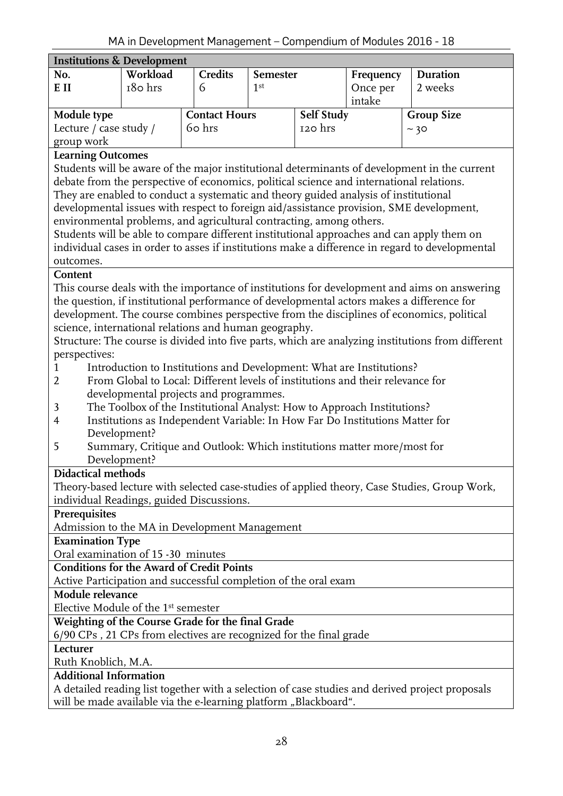<span id="page-27-0"></span>

|                                                                                              | <b>Institutions &amp; Development</b>                                                    |         |                 |         |           |                                                                                                   |  |  |  |  |
|----------------------------------------------------------------------------------------------|------------------------------------------------------------------------------------------|---------|-----------------|---------|-----------|---------------------------------------------------------------------------------------------------|--|--|--|--|
| No.                                                                                          | Workload                                                                                 | Credits | Semester        |         | Frequency | <b>Duration</b>                                                                                   |  |  |  |  |
| E II                                                                                         | 180 hrs                                                                                  | 6       | 1 <sup>st</sup> |         | Once per  | 2 weeks                                                                                           |  |  |  |  |
|                                                                                              |                                                                                          |         |                 |         | intake    |                                                                                                   |  |  |  |  |
| Module type                                                                                  | Self Study<br><b>Contact Hours</b>                                                       |         |                 |         |           | <b>Group Size</b>                                                                                 |  |  |  |  |
| Lecture / case study /                                                                       |                                                                                          | 60 hrs  |                 | 120 hrs |           | ~10                                                                                               |  |  |  |  |
| group work                                                                                   |                                                                                          |         |                 |         |           |                                                                                                   |  |  |  |  |
| <b>Learning Outcomes</b>                                                                     |                                                                                          |         |                 |         |           |                                                                                                   |  |  |  |  |
| Students will be aware of the major institutional determinants of development in the current |                                                                                          |         |                 |         |           |                                                                                                   |  |  |  |  |
|                                                                                              | debate from the perspective of economics, political science and international relations. |         |                 |         |           |                                                                                                   |  |  |  |  |
| They are enabled to conduct a systematic and theory guided analysis of institutional         |                                                                                          |         |                 |         |           |                                                                                                   |  |  |  |  |
| developmental issues with respect to foreign aid/assistance provision, SME development,      |                                                                                          |         |                 |         |           |                                                                                                   |  |  |  |  |
| environmental problems, and agricultural contracting, among others.                          |                                                                                          |         |                 |         |           |                                                                                                   |  |  |  |  |
|                                                                                              |                                                                                          |         |                 |         |           | Students will be able to compare different institutional approaches and can apply them on         |  |  |  |  |
|                                                                                              |                                                                                          |         |                 |         |           | individual cases in order to asses if institutions make a difference in regard to developmental   |  |  |  |  |
| outcomes.                                                                                    |                                                                                          |         |                 |         |           |                                                                                                   |  |  |  |  |
| Content                                                                                      |                                                                                          |         |                 |         |           |                                                                                                   |  |  |  |  |
|                                                                                              |                                                                                          |         |                 |         |           | This course deals with the importance of institutions for development and aims on answering       |  |  |  |  |
|                                                                                              |                                                                                          |         |                 |         |           | the question, if institutional performance of developmental actors makes a difference for         |  |  |  |  |
|                                                                                              |                                                                                          |         |                 |         |           | development. The course combines perspective from the disciplines of economics, political         |  |  |  |  |
| science, international relations and human geography.                                        |                                                                                          |         |                 |         |           |                                                                                                   |  |  |  |  |
|                                                                                              |                                                                                          |         |                 |         |           | Structure: The course is divided into five parts, which are analyzing institutions from different |  |  |  |  |
| perspectives:                                                                                |                                                                                          |         |                 |         |           |                                                                                                   |  |  |  |  |
| 1                                                                                            | Introduction to Institutions and Development: What are Institutions?                     |         |                 |         |           |                                                                                                   |  |  |  |  |
| 2                                                                                            | From Global to Local: Different levels of institutions and their relevance for           |         |                 |         |           |                                                                                                   |  |  |  |  |
|                                                                                              | developmental projects and programmes.                                                   |         |                 |         |           |                                                                                                   |  |  |  |  |
| 3                                                                                            | The Toolbox of the Institutional Analyst: How to Approach Institutions?                  |         |                 |         |           |                                                                                                   |  |  |  |  |
| $\overline{4}$                                                                               | Institutions as Independent Variable: In How Far Do Institutions Matter for              |         |                 |         |           |                                                                                                   |  |  |  |  |
|                                                                                              | Development?                                                                             |         |                 |         |           |                                                                                                   |  |  |  |  |
| 5                                                                                            | Summary, Critique and Outlook: Which institutions matter more/most for                   |         |                 |         |           |                                                                                                   |  |  |  |  |
|                                                                                              | Development?                                                                             |         |                 |         |           |                                                                                                   |  |  |  |  |
| <b>Didactical methods</b>                                                                    |                                                                                          |         |                 |         |           |                                                                                                   |  |  |  |  |
|                                                                                              |                                                                                          |         |                 |         |           | Theory-based lecture with selected case-studies of applied theory, Case Studies, Group Work,      |  |  |  |  |
| individual Readings, guided Discussions.                                                     |                                                                                          |         |                 |         |           |                                                                                                   |  |  |  |  |
| Prerequisites<br>Admission to the MA in Development Management                               |                                                                                          |         |                 |         |           |                                                                                                   |  |  |  |  |
| <b>Examination Type</b>                                                                      |                                                                                          |         |                 |         |           |                                                                                                   |  |  |  |  |
| Oral examination of 15 -30 minutes                                                           |                                                                                          |         |                 |         |           |                                                                                                   |  |  |  |  |
| <b>Conditions for the Award of Credit Points</b>                                             |                                                                                          |         |                 |         |           |                                                                                                   |  |  |  |  |
| Active Participation and successful completion of the oral exam                              |                                                                                          |         |                 |         |           |                                                                                                   |  |  |  |  |
|                                                                                              |                                                                                          |         |                 |         |           |                                                                                                   |  |  |  |  |
|                                                                                              | Module relevance<br>Elective Module of the 1 <sup>st</sup> semester                      |         |                 |         |           |                                                                                                   |  |  |  |  |
| Weighting of the Course Grade for the final Grade                                            |                                                                                          |         |                 |         |           |                                                                                                   |  |  |  |  |
| 6/90 CPs, 21 CPs from electives are recognized for the final grade                           |                                                                                          |         |                 |         |           |                                                                                                   |  |  |  |  |
| Lecturer                                                                                     |                                                                                          |         |                 |         |           |                                                                                                   |  |  |  |  |
| Ruth Knoblich, M.A.                                                                          |                                                                                          |         |                 |         |           |                                                                                                   |  |  |  |  |
| <b>Additional Information</b>                                                                |                                                                                          |         |                 |         |           |                                                                                                   |  |  |  |  |
|                                                                                              |                                                                                          |         |                 |         |           | A detailed reading list together with a selection of case studies and derived project proposals   |  |  |  |  |
| will be made available via the e-learning platform, Blackboard".                             |                                                                                          |         |                 |         |           |                                                                                                   |  |  |  |  |

will be made available via the e-learning platform "Blackboard".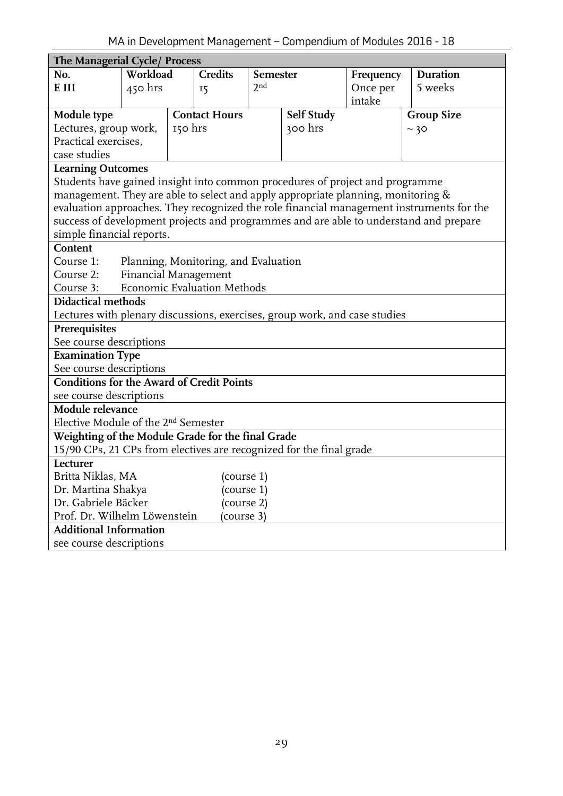<span id="page-28-0"></span>

| The Managerial Cycle/ Process                                                                           |          |         |                              |                 |            |           |                                                                                          |  |
|---------------------------------------------------------------------------------------------------------|----------|---------|------------------------------|-----------------|------------|-----------|------------------------------------------------------------------------------------------|--|
| No.                                                                                                     | Workload |         | Credits                      | <b>Semester</b> |            | Frequency | <b>Duration</b>                                                                          |  |
| E III                                                                                                   | 450 hrs  |         | 2 <sup>nd</sup><br><b>15</b> |                 |            | Once per  | 5 weeks                                                                                  |  |
|                                                                                                         |          |         |                              |                 |            | intake    |                                                                                          |  |
| Module type                                                                                             |          |         | <b>Contact Hours</b>         |                 | Self Study |           | <b>Group Size</b>                                                                        |  |
| Lectures, group work,                                                                                   |          | 150 hrs |                              |                 | 300 hrs    |           | ~10                                                                                      |  |
| Practical exercises,                                                                                    |          |         |                              |                 |            |           |                                                                                          |  |
| case studies                                                                                            |          |         |                              |                 |            |           |                                                                                          |  |
| <b>Learning Outcomes</b>                                                                                |          |         |                              |                 |            |           |                                                                                          |  |
| Students have gained insight into common procedures of project and programme                            |          |         |                              |                 |            |           |                                                                                          |  |
| management. They are able to select and apply appropriate planning, monitoring $\&$                     |          |         |                              |                 |            |           |                                                                                          |  |
|                                                                                                         |          |         |                              |                 |            |           | evaluation approaches. They recognized the role financial management instruments for the |  |
|                                                                                                         |          |         |                              |                 |            |           | success of development projects and programmes and are able to understand and prepare    |  |
| simple financial reports.                                                                               |          |         |                              |                 |            |           |                                                                                          |  |
| Content                                                                                                 |          |         |                              |                 |            |           |                                                                                          |  |
| Course 1:<br>Planning, Monitoring, and Evaluation                                                       |          |         |                              |                 |            |           |                                                                                          |  |
| Financial Management<br>Course 2:                                                                       |          |         |                              |                 |            |           |                                                                                          |  |
| Economic Evaluation Methods<br>Course 3:                                                                |          |         |                              |                 |            |           |                                                                                          |  |
| <b>Didactical methods</b><br>Lectures with plenary discussions, exercises, group work, and case studies |          |         |                              |                 |            |           |                                                                                          |  |
|                                                                                                         |          |         |                              |                 |            |           |                                                                                          |  |
| Prerequisites                                                                                           |          |         |                              |                 |            |           |                                                                                          |  |
| See course descriptions                                                                                 |          |         |                              |                 |            |           |                                                                                          |  |
| <b>Examination Type</b><br>See course descriptions                                                      |          |         |                              |                 |            |           |                                                                                          |  |
| <b>Conditions for the Award of Credit Points</b>                                                        |          |         |                              |                 |            |           |                                                                                          |  |
| see course descriptions                                                                                 |          |         |                              |                 |            |           |                                                                                          |  |
| Module relevance                                                                                        |          |         |                              |                 |            |           |                                                                                          |  |
| Elective Module of the 2 <sup>nd</sup> Semester                                                         |          |         |                              |                 |            |           |                                                                                          |  |
| Weighting of the Module Grade for the final Grade                                                       |          |         |                              |                 |            |           |                                                                                          |  |
| 15/90 CPs, 21 CPs from electives are recognized for the final grade                                     |          |         |                              |                 |            |           |                                                                                          |  |
| Lecturer                                                                                                |          |         |                              |                 |            |           |                                                                                          |  |
| Britta Niklas, MA                                                                                       |          |         | (course 1)                   |                 |            |           |                                                                                          |  |
| Dr. Martina Shakya                                                                                      |          |         | (course 1)                   |                 |            |           |                                                                                          |  |
| Dr. Gabriele Bäcker                                                                                     |          |         | (course 2)                   |                 |            |           |                                                                                          |  |
| Prof. Dr. Wilhelm Löwenstein                                                                            |          |         | (course 3)                   |                 |            |           |                                                                                          |  |
| <b>Additional Information</b>                                                                           |          |         |                              |                 |            |           |                                                                                          |  |
| see course descriptions                                                                                 |          |         |                              |                 |            |           |                                                                                          |  |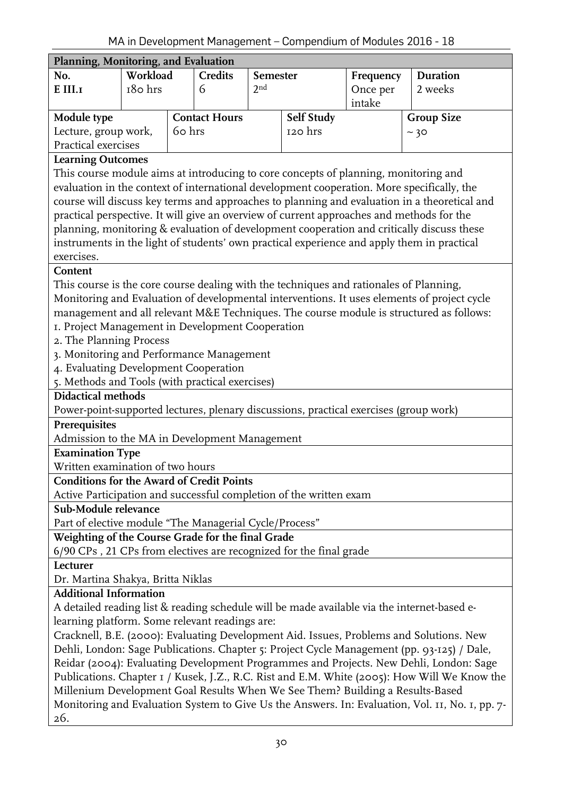<span id="page-29-0"></span>

|                                                                                                                                                                                        | Planning, Monitoring, and Evaluation |                      |         |                 |            |           |                                                                                                 |  |  |  |
|----------------------------------------------------------------------------------------------------------------------------------------------------------------------------------------|--------------------------------------|----------------------|---------|-----------------|------------|-----------|-------------------------------------------------------------------------------------------------|--|--|--|
| No.                                                                                                                                                                                    | Workload                             |                      | Credits | Semester        |            | Frequency | <b>Duration</b>                                                                                 |  |  |  |
| ${\bf E}$ III.<br>1                                                                                                                                                                    | 180 hrs                              |                      | 6       | 2 <sub>nd</sub> | Once per   |           | 2 weeks                                                                                         |  |  |  |
|                                                                                                                                                                                        |                                      |                      |         |                 | intake     |           |                                                                                                 |  |  |  |
| Module type                                                                                                                                                                            |                                      | <b>Contact Hours</b> |         |                 | Self Study |           | <b>Group Size</b>                                                                               |  |  |  |
| Lecture, group work,                                                                                                                                                                   |                                      | 60 hrs               |         |                 | 120 hrs    |           | ~10                                                                                             |  |  |  |
| Practical exercises                                                                                                                                                                    |                                      |                      |         |                 |            |           |                                                                                                 |  |  |  |
| <b>Learning Outcomes</b>                                                                                                                                                               |                                      |                      |         |                 |            |           |                                                                                                 |  |  |  |
| This course module aims at introducing to core concepts of planning, monitoring and                                                                                                    |                                      |                      |         |                 |            |           |                                                                                                 |  |  |  |
| evaluation in the context of international development cooperation. More specifically, the                                                                                             |                                      |                      |         |                 |            |           |                                                                                                 |  |  |  |
| course will discuss key terms and approaches to planning and evaluation in a theoretical and                                                                                           |                                      |                      |         |                 |            |           |                                                                                                 |  |  |  |
| practical perspective. It will give an overview of current approaches and methods for the<br>planning, monitoring & evaluation of development cooperation and critically discuss these |                                      |                      |         |                 |            |           |                                                                                                 |  |  |  |
|                                                                                                                                                                                        |                                      |                      |         |                 |            |           |                                                                                                 |  |  |  |
|                                                                                                                                                                                        |                                      |                      |         |                 |            |           | instruments in the light of students' own practical experience and apply them in practical      |  |  |  |
| exercises.                                                                                                                                                                             |                                      |                      |         |                 |            |           |                                                                                                 |  |  |  |
| Content                                                                                                                                                                                |                                      |                      |         |                 |            |           |                                                                                                 |  |  |  |
| This course is the core course dealing with the techniques and rationales of Planning,                                                                                                 |                                      |                      |         |                 |            |           | Monitoring and Evaluation of developmental interventions. It uses elements of project cycle     |  |  |  |
|                                                                                                                                                                                        |                                      |                      |         |                 |            |           |                                                                                                 |  |  |  |
| management and all relevant M&E Techniques. The course module is structured as follows:<br>I. Project Management in Development Cooperation                                            |                                      |                      |         |                 |            |           |                                                                                                 |  |  |  |
| 2. The Planning Process                                                                                                                                                                |                                      |                      |         |                 |            |           |                                                                                                 |  |  |  |
| 3. Monitoring and Performance Management                                                                                                                                               |                                      |                      |         |                 |            |           |                                                                                                 |  |  |  |
| 4. Evaluating Development Cooperation                                                                                                                                                  |                                      |                      |         |                 |            |           |                                                                                                 |  |  |  |
| 5. Methods and Tools (with practical exercises)                                                                                                                                        |                                      |                      |         |                 |            |           |                                                                                                 |  |  |  |
| <b>Didactical methods</b>                                                                                                                                                              |                                      |                      |         |                 |            |           |                                                                                                 |  |  |  |
| Power-point-supported lectures, plenary discussions, practical exercises (group work)                                                                                                  |                                      |                      |         |                 |            |           |                                                                                                 |  |  |  |
| Prerequisites                                                                                                                                                                          |                                      |                      |         |                 |            |           |                                                                                                 |  |  |  |
| Admission to the MA in Development Management                                                                                                                                          |                                      |                      |         |                 |            |           |                                                                                                 |  |  |  |
| <b>Examination Type</b>                                                                                                                                                                |                                      |                      |         |                 |            |           |                                                                                                 |  |  |  |
| Written examination of two hours                                                                                                                                                       |                                      |                      |         |                 |            |           |                                                                                                 |  |  |  |
| <b>Conditions for the Award of Credit Points</b>                                                                                                                                       |                                      |                      |         |                 |            |           |                                                                                                 |  |  |  |
| Active Participation and successful completion of the written exam<br>Sub-Module relevance                                                                                             |                                      |                      |         |                 |            |           |                                                                                                 |  |  |  |
| Part of elective module "The Managerial Cycle/Process"                                                                                                                                 |                                      |                      |         |                 |            |           |                                                                                                 |  |  |  |
| Weighting of the Course Grade for the final Grade                                                                                                                                      |                                      |                      |         |                 |            |           |                                                                                                 |  |  |  |
| 6/90 CPs, 21 CPs from electives are recognized for the final grade                                                                                                                     |                                      |                      |         |                 |            |           |                                                                                                 |  |  |  |
| Lecturer                                                                                                                                                                               |                                      |                      |         |                 |            |           |                                                                                                 |  |  |  |
| Dr. Martina Shakya, Britta Niklas                                                                                                                                                      |                                      |                      |         |                 |            |           |                                                                                                 |  |  |  |
| <b>Additional Information</b>                                                                                                                                                          |                                      |                      |         |                 |            |           |                                                                                                 |  |  |  |
|                                                                                                                                                                                        |                                      |                      |         |                 |            |           | A detailed reading list & reading schedule will be made available via the internet-based e-     |  |  |  |
| learning platform. Some relevant readings are:                                                                                                                                         |                                      |                      |         |                 |            |           |                                                                                                 |  |  |  |
|                                                                                                                                                                                        |                                      |                      |         |                 |            |           | Cracknell, B.E. (2000): Evaluating Development Aid. Issues, Problems and Solutions. New         |  |  |  |
|                                                                                                                                                                                        |                                      |                      |         |                 |            |           | Dehli, London: Sage Publications. Chapter 5: Project Cycle Management (pp. 93-125) / Dale,      |  |  |  |
|                                                                                                                                                                                        |                                      |                      |         |                 |            |           | Reidar (2004): Evaluating Development Programmes and Projects. New Dehli, London: Sage          |  |  |  |
|                                                                                                                                                                                        |                                      |                      |         |                 |            |           | Publications. Chapter I / Kusek, J.Z., R.C. Rist and E.M. White (2005): How Will We Know the    |  |  |  |
| Millenium Development Goal Results When We See Them? Building a Results-Based                                                                                                          |                                      |                      |         |                 |            |           |                                                                                                 |  |  |  |
|                                                                                                                                                                                        |                                      |                      |         |                 |            |           | Monitoring and Evaluation System to Give Us the Answers. In: Evaluation, Vol. II, No. I, pp. 7- |  |  |  |

26.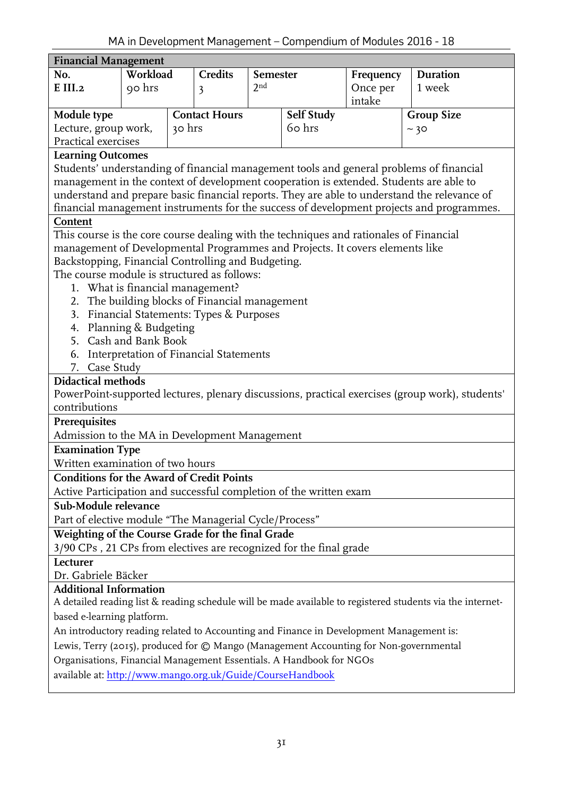<span id="page-30-0"></span>

| <b>Financial Management</b>                                                                       |          |        |                                        |                 |            |           |                                                                                                            |  |
|---------------------------------------------------------------------------------------------------|----------|--------|----------------------------------------|-----------------|------------|-----------|------------------------------------------------------------------------------------------------------------|--|
| No.                                                                                               | Workload |        | <b>Credits</b>                         | Semester        |            | Frequency | <b>Duration</b>                                                                                            |  |
| E <sub>III.2</sub>                                                                                | 90 hrs   |        | 3                                      | 2 <sub>nd</sub> |            | Once per  | 1 week                                                                                                     |  |
|                                                                                                   |          |        |                                        |                 |            | intake    |                                                                                                            |  |
| Module type                                                                                       |          |        | <b>Contact Hours</b>                   |                 | Self Study |           | <b>Group Size</b>                                                                                          |  |
| Lecture, group work,                                                                              |          | 30 hrs |                                        |                 | 60 hrs     |           | ~10                                                                                                        |  |
| Practical exercises                                                                               |          |        |                                        |                 |            |           |                                                                                                            |  |
| <b>Learning Outcomes</b>                                                                          |          |        |                                        |                 |            |           |                                                                                                            |  |
| Students' understanding of financial management tools and general problems of financial           |          |        |                                        |                 |            |           |                                                                                                            |  |
|                                                                                                   |          |        |                                        |                 |            |           | management in the context of development cooperation is extended. Students are able to                     |  |
| understand and prepare basic financial reports. They are able to understand the relevance of      |          |        |                                        |                 |            |           |                                                                                                            |  |
| financial management instruments for the success of development projects and programmes.          |          |        |                                        |                 |            |           |                                                                                                            |  |
| Content                                                                                           |          |        |                                        |                 |            |           |                                                                                                            |  |
| This course is the core course dealing with the techniques and rationales of Financial            |          |        |                                        |                 |            |           |                                                                                                            |  |
| management of Developmental Programmes and Projects. It covers elements like                      |          |        |                                        |                 |            |           |                                                                                                            |  |
| Backstopping, Financial Controlling and Budgeting.<br>The course module is structured as follows: |          |        |                                        |                 |            |           |                                                                                                            |  |
|                                                                                                   |          |        |                                        |                 |            |           |                                                                                                            |  |
| 1. What is financial management?                                                                  |          |        |                                        |                 |            |           |                                                                                                            |  |
| 2. The building blocks of Financial management<br>3.                                              |          |        |                                        |                 |            |           |                                                                                                            |  |
| Financial Statements: Types & Purposes<br>Planning & Budgeting<br>4.                              |          |        |                                        |                 |            |           |                                                                                                            |  |
| 5. Cash and Bank Book                                                                             |          |        |                                        |                 |            |           |                                                                                                            |  |
| 6.                                                                                                |          |        | Interpretation of Financial Statements |                 |            |           |                                                                                                            |  |
| 7. Case Study                                                                                     |          |        |                                        |                 |            |           |                                                                                                            |  |
| <b>Didactical methods</b>                                                                         |          |        |                                        |                 |            |           |                                                                                                            |  |
|                                                                                                   |          |        |                                        |                 |            |           | PowerPoint-supported lectures, plenary discussions, practical exercises (group work), students'            |  |
| contributions                                                                                     |          |        |                                        |                 |            |           |                                                                                                            |  |
| Prerequisites                                                                                     |          |        |                                        |                 |            |           |                                                                                                            |  |
| Admission to the MA in Development Management                                                     |          |        |                                        |                 |            |           |                                                                                                            |  |
| <b>Examination Type</b>                                                                           |          |        |                                        |                 |            |           |                                                                                                            |  |
| Written examination of two hours                                                                  |          |        |                                        |                 |            |           |                                                                                                            |  |
| <b>Conditions for the Award of Credit Points</b>                                                  |          |        |                                        |                 |            |           |                                                                                                            |  |
| Active Participation and successful completion of the written exam                                |          |        |                                        |                 |            |           |                                                                                                            |  |
| Sub-Module relevance                                                                              |          |        |                                        |                 |            |           |                                                                                                            |  |
| Part of elective module "The Managerial Cycle/Process"                                            |          |        |                                        |                 |            |           |                                                                                                            |  |
| Weighting of the Course Grade for the final Grade                                                 |          |        |                                        |                 |            |           |                                                                                                            |  |
| 3/90 CPs, 21 CPs from electives are recognized for the final grade                                |          |        |                                        |                 |            |           |                                                                                                            |  |
| Lecturer                                                                                          |          |        |                                        |                 |            |           |                                                                                                            |  |
| Dr. Gabriele Bäcker                                                                               |          |        |                                        |                 |            |           |                                                                                                            |  |
| <b>Additional Information</b>                                                                     |          |        |                                        |                 |            |           |                                                                                                            |  |
|                                                                                                   |          |        |                                        |                 |            |           | A detailed reading list & reading schedule will be made available to registered students via the internet- |  |
| based e-learning platform.                                                                        |          |        |                                        |                 |            |           |                                                                                                            |  |
| An introductory reading related to Accounting and Finance in Development Management is:           |          |        |                                        |                 |            |           |                                                                                                            |  |
| Lewis, Terry (2015), produced for @ Mango (Management Accounting for Non-governmental             |          |        |                                        |                 |            |           |                                                                                                            |  |
| Organisations, Financial Management Essentials. A Handbook for NGOs                               |          |        |                                        |                 |            |           |                                                                                                            |  |
| available at: http://www.mango.org.uk/Guide/CourseHandbook                                        |          |        |                                        |                 |            |           |                                                                                                            |  |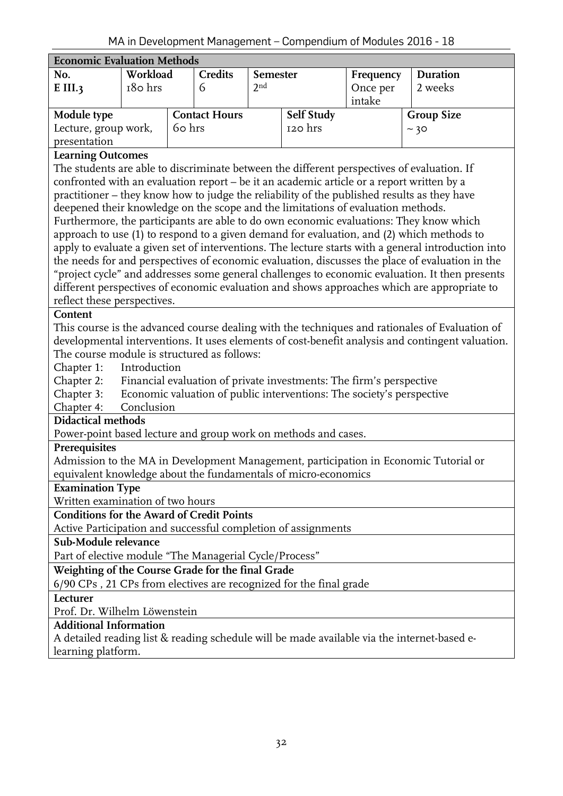<span id="page-31-0"></span>

| <b>Economic Evaluation Methods</b>                                                                                                                                                       |                                                                                            |        |                      |                 |                                                                       |           |                                                                                                     |  |
|------------------------------------------------------------------------------------------------------------------------------------------------------------------------------------------|--------------------------------------------------------------------------------------------|--------|----------------------|-----------------|-----------------------------------------------------------------------|-----------|-----------------------------------------------------------------------------------------------------|--|
| No.                                                                                                                                                                                      | Workload                                                                                   |        | <b>Credits</b>       | Semester        |                                                                       | Frequency | Duration                                                                                            |  |
| $E$ III.3                                                                                                                                                                                | 180 hrs                                                                                    |        | 6                    | 2 <sub>nd</sub> | Once per                                                              |           | 2 weeks                                                                                             |  |
|                                                                                                                                                                                          |                                                                                            |        |                      |                 | intake                                                                |           |                                                                                                     |  |
| Module type                                                                                                                                                                              |                                                                                            |        | <b>Contact Hours</b> |                 | <b>Self Study</b>                                                     |           | <b>Group Size</b>                                                                                   |  |
| Lecture, group work,                                                                                                                                                                     |                                                                                            | 60 hrs |                      |                 | 120 hrs                                                               |           | ~10                                                                                                 |  |
| presentation                                                                                                                                                                             |                                                                                            |        |                      |                 |                                                                       |           |                                                                                                     |  |
| <b>Learning Outcomes</b>                                                                                                                                                                 |                                                                                            |        |                      |                 |                                                                       |           |                                                                                                     |  |
|                                                                                                                                                                                          | The students are able to discriminate between the different perspectives of evaluation. If |        |                      |                 |                                                                       |           |                                                                                                     |  |
| confronted with an evaluation report - be it an academic article or a report written by a<br>practitioner - they know how to judge the reliability of the published results as they have |                                                                                            |        |                      |                 |                                                                       |           |                                                                                                     |  |
|                                                                                                                                                                                          |                                                                                            |        |                      |                 |                                                                       |           |                                                                                                     |  |
| deepened their knowledge on the scope and the limitations of evaluation methods.                                                                                                         |                                                                                            |        |                      |                 |                                                                       |           |                                                                                                     |  |
|                                                                                                                                                                                          |                                                                                            |        |                      |                 |                                                                       |           | Furthermore, the participants are able to do own economic evaluations: They know which              |  |
|                                                                                                                                                                                          |                                                                                            |        |                      |                 |                                                                       |           | approach to use (1) to respond to a given demand for evaluation, and (2) which methods to           |  |
|                                                                                                                                                                                          |                                                                                            |        |                      |                 |                                                                       |           | apply to evaluate a given set of interventions. The lecture starts with a general introduction into |  |
|                                                                                                                                                                                          |                                                                                            |        |                      |                 |                                                                       |           | the needs for and perspectives of economic evaluation, discusses the place of evaluation in the     |  |
| "project cycle" and addresses some general challenges to economic evaluation. It then presents                                                                                           |                                                                                            |        |                      |                 |                                                                       |           |                                                                                                     |  |
| different perspectives of economic evaluation and shows approaches which are appropriate to<br>reflect these perspectives.                                                               |                                                                                            |        |                      |                 |                                                                       |           |                                                                                                     |  |
|                                                                                                                                                                                          |                                                                                            |        |                      |                 |                                                                       |           |                                                                                                     |  |
| Content<br>This course is the advanced course dealing with the techniques and rationales of Evaluation of                                                                                |                                                                                            |        |                      |                 |                                                                       |           |                                                                                                     |  |
|                                                                                                                                                                                          |                                                                                            |        |                      |                 |                                                                       |           | developmental interventions. It uses elements of cost-benefit analysis and contingent valuation.    |  |
| The course module is structured as follows:                                                                                                                                              |                                                                                            |        |                      |                 |                                                                       |           |                                                                                                     |  |
| Chapter 1:                                                                                                                                                                               | Introduction                                                                               |        |                      |                 |                                                                       |           |                                                                                                     |  |
| Chapter 2:                                                                                                                                                                               |                                                                                            |        |                      |                 | Financial evaluation of private investments: The firm's perspective   |           |                                                                                                     |  |
| Chapter 3:                                                                                                                                                                               |                                                                                            |        |                      |                 | Economic valuation of public interventions: The society's perspective |           |                                                                                                     |  |
| Chapter 4:                                                                                                                                                                               | Conclusion                                                                                 |        |                      |                 |                                                                       |           |                                                                                                     |  |
| <b>Didactical methods</b>                                                                                                                                                                |                                                                                            |        |                      |                 |                                                                       |           |                                                                                                     |  |
| Power-point based lecture and group work on methods and cases.                                                                                                                           |                                                                                            |        |                      |                 |                                                                       |           |                                                                                                     |  |
| Prerequisites                                                                                                                                                                            |                                                                                            |        |                      |                 |                                                                       |           |                                                                                                     |  |
|                                                                                                                                                                                          |                                                                                            |        |                      |                 |                                                                       |           | Admission to the MA in Development Management, participation in Economic Tutorial or                |  |
| equivalent knowledge about the fundamentals of micro-economics                                                                                                                           |                                                                                            |        |                      |                 |                                                                       |           |                                                                                                     |  |
| <b>Examination Type</b>                                                                                                                                                                  |                                                                                            |        |                      |                 |                                                                       |           |                                                                                                     |  |
| Written examination of two hours                                                                                                                                                         |                                                                                            |        |                      |                 |                                                                       |           |                                                                                                     |  |
| <b>Conditions for the Award of Credit Points</b>                                                                                                                                         |                                                                                            |        |                      |                 |                                                                       |           |                                                                                                     |  |
| Active Participation and successful completion of assignments                                                                                                                            |                                                                                            |        |                      |                 |                                                                       |           |                                                                                                     |  |
| Sub-Module relevance                                                                                                                                                                     |                                                                                            |        |                      |                 |                                                                       |           |                                                                                                     |  |
| Part of elective module "The Managerial Cycle/Process"                                                                                                                                   |                                                                                            |        |                      |                 |                                                                       |           |                                                                                                     |  |
| Weighting of the Course Grade for the final Grade                                                                                                                                        |                                                                                            |        |                      |                 |                                                                       |           |                                                                                                     |  |
| 6/90 CPs, 21 CPs from electives are recognized for the final grade                                                                                                                       |                                                                                            |        |                      |                 |                                                                       |           |                                                                                                     |  |
| Lecturer                                                                                                                                                                                 |                                                                                            |        |                      |                 |                                                                       |           |                                                                                                     |  |
| Prof. Dr. Wilhelm Löwenstein                                                                                                                                                             |                                                                                            |        |                      |                 |                                                                       |           |                                                                                                     |  |
| <b>Additional Information</b>                                                                                                                                                            |                                                                                            |        |                      |                 |                                                                       |           |                                                                                                     |  |
|                                                                                                                                                                                          |                                                                                            |        |                      |                 |                                                                       |           | A detailed reading list & reading schedule will be made available via the internet-based e-         |  |
| learning platform.                                                                                                                                                                       |                                                                                            |        |                      |                 |                                                                       |           |                                                                                                     |  |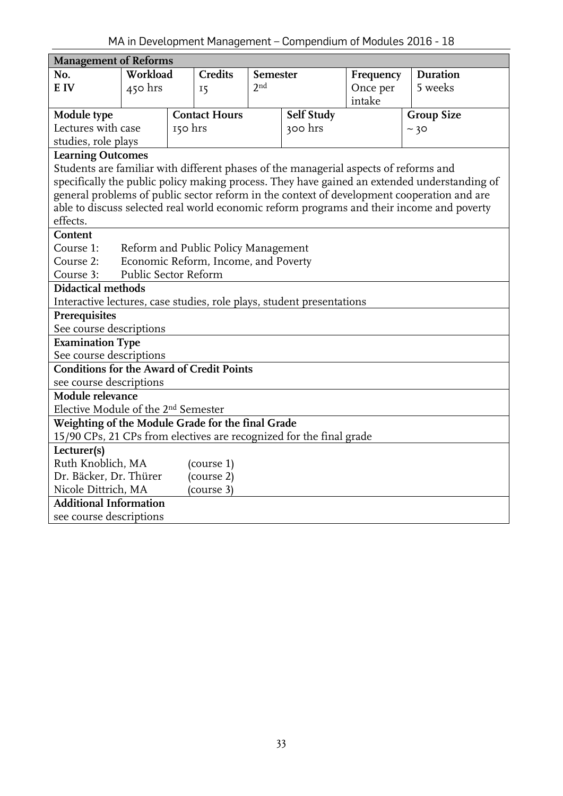<span id="page-32-0"></span>

| <b>Management of Reforms</b>                                                         |          |         |                                     |          |            |           |                                                                                              |  |
|--------------------------------------------------------------------------------------|----------|---------|-------------------------------------|----------|------------|-----------|----------------------------------------------------------------------------------------------|--|
| No.                                                                                  | Workload |         | <b>Credits</b>                      | Semester |            | Frequency | <b>Duration</b>                                                                              |  |
| E IV                                                                                 | 450 hrs  |         | 15                                  | 2nd      |            | Once per  | 5 weeks                                                                                      |  |
|                                                                                      |          |         |                                     |          |            | intake    |                                                                                              |  |
| Module type                                                                          |          |         | <b>Contact Hours</b>                |          | Self Study |           | <b>Group Size</b>                                                                            |  |
| Lectures with case                                                                   |          | 150 hrs |                                     |          | 300 hrs    |           | ~10                                                                                          |  |
| studies, role plays                                                                  |          |         |                                     |          |            |           |                                                                                              |  |
| <b>Learning Outcomes</b>                                                             |          |         |                                     |          |            |           |                                                                                              |  |
| Students are familiar with different phases of the managerial aspects of reforms and |          |         |                                     |          |            |           |                                                                                              |  |
|                                                                                      |          |         |                                     |          |            |           | specifically the public policy making process. They have gained an extended understanding of |  |
|                                                                                      |          |         |                                     |          |            |           | general problems of public sector reform in the context of development cooperation and are   |  |
|                                                                                      |          |         |                                     |          |            |           | able to discuss selected real world economic reform programs and their income and poverty    |  |
| effects.                                                                             |          |         |                                     |          |            |           |                                                                                              |  |
| Content                                                                              |          |         |                                     |          |            |           |                                                                                              |  |
| Course 1:                                                                            |          |         | Reform and Public Policy Management |          |            |           |                                                                                              |  |
| Economic Reform, Income, and Poverty<br>Course 2:                                    |          |         |                                     |          |            |           |                                                                                              |  |
| Public Sector Reform<br>Course 3:                                                    |          |         |                                     |          |            |           |                                                                                              |  |
| Didactical methods                                                                   |          |         |                                     |          |            |           |                                                                                              |  |
| Interactive lectures, case studies, role plays, student presentations                |          |         |                                     |          |            |           |                                                                                              |  |
| Prerequisites                                                                        |          |         |                                     |          |            |           |                                                                                              |  |
| See course descriptions                                                              |          |         |                                     |          |            |           |                                                                                              |  |
| <b>Examination Type</b>                                                              |          |         |                                     |          |            |           |                                                                                              |  |
| See course descriptions                                                              |          |         |                                     |          |            |           |                                                                                              |  |
| <b>Conditions for the Award of Credit Points</b>                                     |          |         |                                     |          |            |           |                                                                                              |  |
| see course descriptions                                                              |          |         |                                     |          |            |           |                                                                                              |  |
| Module relevance                                                                     |          |         |                                     |          |            |           |                                                                                              |  |
| Elective Module of the 2 <sup>nd</sup> Semester                                      |          |         |                                     |          |            |           |                                                                                              |  |
| Weighting of the Module Grade for the final Grade                                    |          |         |                                     |          |            |           |                                                                                              |  |
| 15/90 CPs, 21 CPs from electives are recognized for the final grade                  |          |         |                                     |          |            |           |                                                                                              |  |
| Lecturer(s)                                                                          |          |         |                                     |          |            |           |                                                                                              |  |
| Ruth Knoblich, MA                                                                    |          |         | (course 1)                          |          |            |           |                                                                                              |  |
| Dr. Bäcker, Dr. Thürer                                                               |          |         | (course 2)                          |          |            |           |                                                                                              |  |
| Nicole Dittrich, MA                                                                  |          |         | (course 3)                          |          |            |           |                                                                                              |  |
| <b>Additional Information</b>                                                        |          |         |                                     |          |            |           |                                                                                              |  |
| see course descriptions                                                              |          |         |                                     |          |            |           |                                                                                              |  |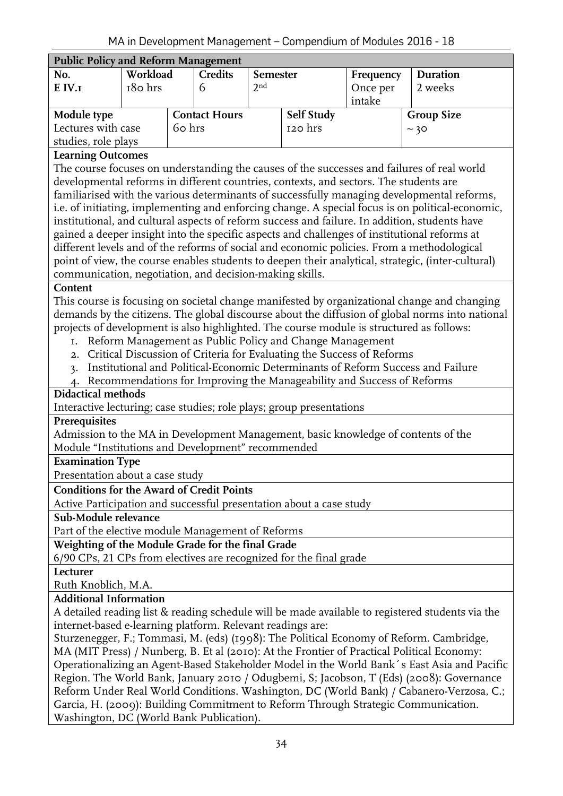<span id="page-33-0"></span>

| <b>Public Policy and Reform Management</b> |           |                      |         |                   |  |                   |          |  |
|--------------------------------------------|-----------|----------------------|---------|-------------------|--|-------------------|----------|--|
| No.                                        | Workload  |                      | Credits | Semester          |  | Frequency         | Duration |  |
| $E$ IV. $I$                                | $180$ hrs |                      |         | 2 <sup>nd</sup>   |  | Once per          | 2 weeks  |  |
|                                            |           |                      |         |                   |  | intake            |          |  |
| Module type                                |           | <b>Contact Hours</b> |         | <b>Self Study</b> |  | <b>Group Size</b> |          |  |
| Lectures with case<br>60 hrs               |           |                      |         | 120 hrs           |  | ~10               |          |  |
| studies, role plays                        |           |                      |         |                   |  |                   |          |  |

The course focuses on understanding the causes of the successes and failures of real world developmental reforms in different countries, contexts, and sectors. The students are familiarised with the various determinants of successfully managing developmental reforms, i.e. of initiating, implementing and enforcing change. A special focus is on political-economic, institutional, and cultural aspects of reform success and failure. In addition, students have gained a deeper insight into the specific aspects and challenges of institutional reforms at different levels and of the reforms of social and economic policies. From a methodological point of view, the course enables students to deepen their analytical, strategic, (inter-cultural) communication, negotiation, and decision-making skills.

#### **Content**

This course is focusing on societal change manifested by organizational change and changing demands by the citizens. The global discourse about the diffusion of global norms into national projects of development is also highlighted. The course module is structured as follows:

- 1. Reform Management as Public Policy and Change Management
- 2. Critical Discussion of Criteria for Evaluating the Success of Reforms
- 3. Institutional and Political-Economic Determinants of Reform Success and Failure
- 4. Recommendations for Improving the Manageability and Success of Reforms

# **Didactical methods**

Interactive lecturing; case studies; role plays; group presentations

#### **Prerequisites**

Admission to the MA in Development Management, basic knowledge of contents of the Module "Institutions and Development" recommended

#### **Examination Type**

Presentation about a case study

#### **Conditions for the Award of Credit Points**

Active Participation and successful presentation about a case study

#### **Sub-Module relevance**

Part of the elective module Management of Reforms

**Weighting of the Module Grade for the final Grade**

6/90 CPs, 21 CPs from electives are recognized for the final grade

#### **Lecturer**

Ruth Knoblich, M.A.

#### **Additional Information**

A detailed reading list & reading schedule will be made available to registered students via the internet-based e-learning platform. Relevant readings are:

Sturzenegger, F.; Tommasi, M. (eds) (1998): The Political Economy of Reform. Cambridge, MA (MIT Press) / Nunberg, B. Et al (2010): At the Frontier of Practical Political Economy: Operationalizing an Agent-Based Stakeholder Model in the World Bank´s East Asia and Pacific Region. The World Bank, January 2010 / Odugbemi, S; Jacobson, T (Eds) (2008): Governance Reform Under Real World Conditions. Washington, DC (World Bank) / Cabanero-Verzosa, C.; Garcia, H. (2009): Building Commitment to Reform Through Strategic Communication. Washington, DC (World Bank Publication).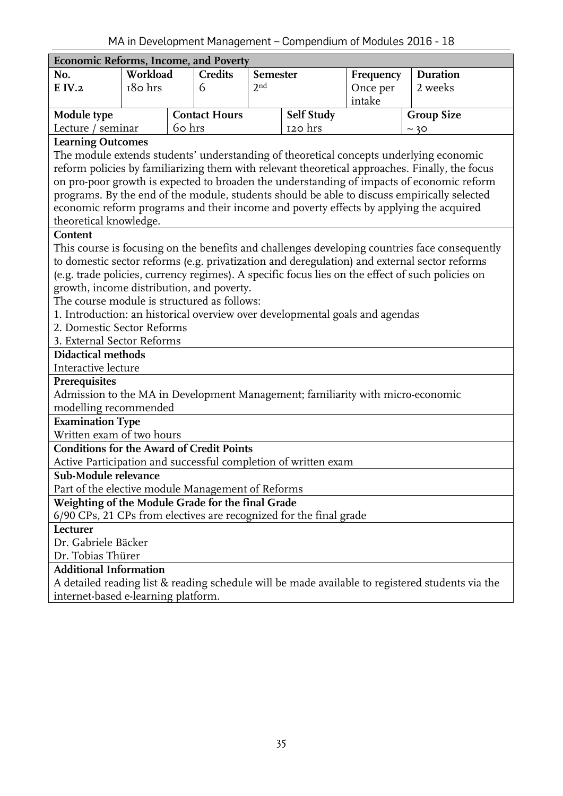<span id="page-34-0"></span>

| <b>Economic Reforms, Income, and Poverty</b><br>Workload<br><b>Credits</b><br>Duration<br>No.<br>Semester<br>Frequency<br>2 <sub>nd</sub><br>180 hrs<br>$E$ IV.2<br>Once per<br>2 weeks<br>6<br>intake<br>Self Study<br>Module type<br><b>Contact Hours</b><br><b>Group Size</b><br>Lecture / seminar<br>60 hrs<br>120 hrs<br>~10 |  |  |  |  |  |  |  |
|-----------------------------------------------------------------------------------------------------------------------------------------------------------------------------------------------------------------------------------------------------------------------------------------------------------------------------------|--|--|--|--|--|--|--|
|                                                                                                                                                                                                                                                                                                                                   |  |  |  |  |  |  |  |
|                                                                                                                                                                                                                                                                                                                                   |  |  |  |  |  |  |  |
|                                                                                                                                                                                                                                                                                                                                   |  |  |  |  |  |  |  |
|                                                                                                                                                                                                                                                                                                                                   |  |  |  |  |  |  |  |
|                                                                                                                                                                                                                                                                                                                                   |  |  |  |  |  |  |  |
| <b>Learning Outcomes</b>                                                                                                                                                                                                                                                                                                          |  |  |  |  |  |  |  |
| The module extends students' understanding of theoretical concepts underlying economic                                                                                                                                                                                                                                            |  |  |  |  |  |  |  |
| reform policies by familiarizing them with relevant theoretical approaches. Finally, the focus                                                                                                                                                                                                                                    |  |  |  |  |  |  |  |
| on pro-poor growth is expected to broaden the understanding of impacts of economic reform                                                                                                                                                                                                                                         |  |  |  |  |  |  |  |
| programs. By the end of the module, students should be able to discuss empirically selected                                                                                                                                                                                                                                       |  |  |  |  |  |  |  |
| economic reform programs and their income and poverty effects by applying the acquired                                                                                                                                                                                                                                            |  |  |  |  |  |  |  |
| theoretical knowledge.                                                                                                                                                                                                                                                                                                            |  |  |  |  |  |  |  |
| Content                                                                                                                                                                                                                                                                                                                           |  |  |  |  |  |  |  |
| This course is focusing on the benefits and challenges developing countries face consequently                                                                                                                                                                                                                                     |  |  |  |  |  |  |  |
| to domestic sector reforms (e.g. privatization and deregulation) and external sector reforms                                                                                                                                                                                                                                      |  |  |  |  |  |  |  |
| (e.g. trade policies, currency regimes). A specific focus lies on the effect of such policies on                                                                                                                                                                                                                                  |  |  |  |  |  |  |  |
| growth, income distribution, and poverty.                                                                                                                                                                                                                                                                                         |  |  |  |  |  |  |  |
| The course module is structured as follows:                                                                                                                                                                                                                                                                                       |  |  |  |  |  |  |  |
| 1. Introduction: an historical overview over developmental goals and agendas                                                                                                                                                                                                                                                      |  |  |  |  |  |  |  |
| 2. Domestic Sector Reforms                                                                                                                                                                                                                                                                                                        |  |  |  |  |  |  |  |
| 3. External Sector Reforms                                                                                                                                                                                                                                                                                                        |  |  |  |  |  |  |  |
| <b>Didactical methods</b>                                                                                                                                                                                                                                                                                                         |  |  |  |  |  |  |  |
| Interactive lecture                                                                                                                                                                                                                                                                                                               |  |  |  |  |  |  |  |
| Prerequisites                                                                                                                                                                                                                                                                                                                     |  |  |  |  |  |  |  |
| Admission to the MA in Development Management; familiarity with micro-economic                                                                                                                                                                                                                                                    |  |  |  |  |  |  |  |
| modelling recommended                                                                                                                                                                                                                                                                                                             |  |  |  |  |  |  |  |
| <b>Examination Type</b>                                                                                                                                                                                                                                                                                                           |  |  |  |  |  |  |  |
| Written exam of two hours                                                                                                                                                                                                                                                                                                         |  |  |  |  |  |  |  |
| <b>Conditions for the Award of Credit Points</b>                                                                                                                                                                                                                                                                                  |  |  |  |  |  |  |  |
| Active Participation and successful completion of written exam                                                                                                                                                                                                                                                                    |  |  |  |  |  |  |  |
| Sub-Module relevance                                                                                                                                                                                                                                                                                                              |  |  |  |  |  |  |  |
| Part of the elective module Management of Reforms                                                                                                                                                                                                                                                                                 |  |  |  |  |  |  |  |
| Weighting of the Module Grade for the final Grade                                                                                                                                                                                                                                                                                 |  |  |  |  |  |  |  |
| 6/90 CPs, 21 CPs from electives are recognized for the final grade                                                                                                                                                                                                                                                                |  |  |  |  |  |  |  |
| Lecturer                                                                                                                                                                                                                                                                                                                          |  |  |  |  |  |  |  |
| Dr. Gabriele Bäcker                                                                                                                                                                                                                                                                                                               |  |  |  |  |  |  |  |
| Dr. Tobias Thürer                                                                                                                                                                                                                                                                                                                 |  |  |  |  |  |  |  |
| <b>Additional Information</b>                                                                                                                                                                                                                                                                                                     |  |  |  |  |  |  |  |
| A detailed reading list & reading schedule will be made available to registered students via the                                                                                                                                                                                                                                  |  |  |  |  |  |  |  |
| internet-based e-learning platform.                                                                                                                                                                                                                                                                                               |  |  |  |  |  |  |  |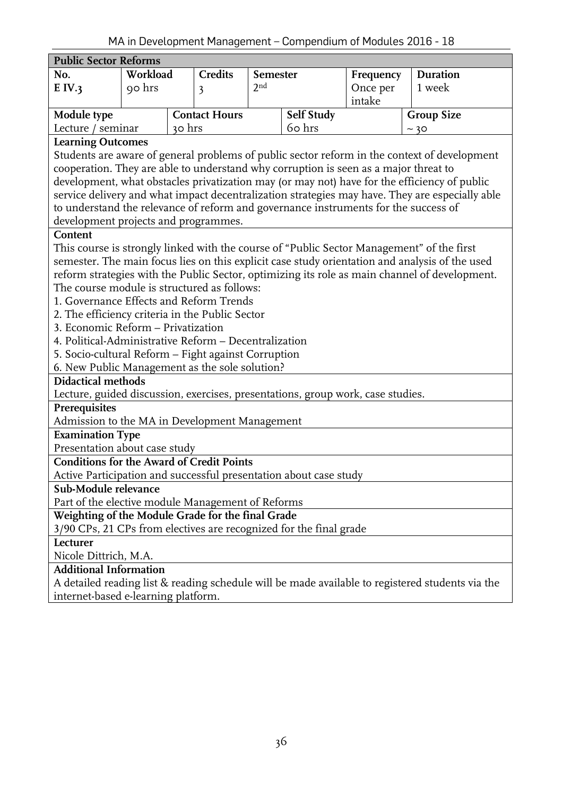<span id="page-35-0"></span>

|                                                                                                                                                                                      |          |  |                      |                 |                   | in in Development management - Compendiant or modules 2010 |                                                                                                  |  |
|--------------------------------------------------------------------------------------------------------------------------------------------------------------------------------------|----------|--|----------------------|-----------------|-------------------|------------------------------------------------------------|--------------------------------------------------------------------------------------------------|--|
| <b>Public Sector Reforms</b>                                                                                                                                                         |          |  |                      |                 |                   |                                                            |                                                                                                  |  |
| No.                                                                                                                                                                                  | Workload |  | <b>Credits</b>       | <b>Semester</b> |                   | Frequency                                                  | Duration                                                                                         |  |
| E IV.3                                                                                                                                                                               | 90 hrs   |  | 3                    | 2 <sub>nd</sub> | Once per          |                                                            | 1 week                                                                                           |  |
|                                                                                                                                                                                      |          |  |                      |                 |                   | intake                                                     |                                                                                                  |  |
| Module type                                                                                                                                                                          |          |  | <b>Contact Hours</b> |                 | <b>Self Study</b> |                                                            | <b>Group Size</b>                                                                                |  |
| 60 hrs<br>Lecture / seminar<br>30 hrs                                                                                                                                                |          |  |                      |                 |                   | ~10                                                        |                                                                                                  |  |
| <b>Learning Outcomes</b>                                                                                                                                                             |          |  |                      |                 |                   |                                                            |                                                                                                  |  |
| Students are aware of general problems of public sector reform in the context of development<br>cooperation. They are able to understand why corruption is seen as a major threat to |          |  |                      |                 |                   |                                                            |                                                                                                  |  |
|                                                                                                                                                                                      |          |  |                      |                 |                   |                                                            |                                                                                                  |  |
|                                                                                                                                                                                      |          |  |                      |                 |                   |                                                            | development, what obstacles privatization may (or may not) have for the efficiency of public     |  |
|                                                                                                                                                                                      |          |  |                      |                 |                   |                                                            | service delivery and what impact decentralization strategies may have. They are especially able  |  |
| to understand the relevance of reform and governance instruments for the success of                                                                                                  |          |  |                      |                 |                   |                                                            |                                                                                                  |  |
| development projects and programmes.                                                                                                                                                 |          |  |                      |                 |                   |                                                            |                                                                                                  |  |
| Content                                                                                                                                                                              |          |  |                      |                 |                   |                                                            |                                                                                                  |  |
|                                                                                                                                                                                      |          |  |                      |                 |                   |                                                            | This course is strongly linked with the course of "Public Sector Management" of the first        |  |
|                                                                                                                                                                                      |          |  |                      |                 |                   |                                                            | semester. The main focus lies on this explicit case study orientation and analysis of the used   |  |
|                                                                                                                                                                                      |          |  |                      |                 |                   |                                                            | reform strategies with the Public Sector, optimizing its role as main channel of development.    |  |
| The course module is structured as follows:                                                                                                                                          |          |  |                      |                 |                   |                                                            |                                                                                                  |  |
| 1. Governance Effects and Reform Trends                                                                                                                                              |          |  |                      |                 |                   |                                                            |                                                                                                  |  |
| 2. The efficiency criteria in the Public Sector                                                                                                                                      |          |  |                      |                 |                   |                                                            |                                                                                                  |  |
| 3. Economic Reform - Privatization                                                                                                                                                   |          |  |                      |                 |                   |                                                            |                                                                                                  |  |
| 4. Political-Administrative Reform - Decentralization                                                                                                                                |          |  |                      |                 |                   |                                                            |                                                                                                  |  |
| 5. Socio-cultural Reform - Fight against Corruption                                                                                                                                  |          |  |                      |                 |                   |                                                            |                                                                                                  |  |
| 6. New Public Management as the sole solution?                                                                                                                                       |          |  |                      |                 |                   |                                                            |                                                                                                  |  |
| <b>Didactical methods</b>                                                                                                                                                            |          |  |                      |                 |                   |                                                            |                                                                                                  |  |
| Lecture, guided discussion, exercises, presentations, group work, case studies.                                                                                                      |          |  |                      |                 |                   |                                                            |                                                                                                  |  |
| Prerequisites                                                                                                                                                                        |          |  |                      |                 |                   |                                                            |                                                                                                  |  |
| Admission to the MA in Development Management                                                                                                                                        |          |  |                      |                 |                   |                                                            |                                                                                                  |  |
| <b>Examination Type</b>                                                                                                                                                              |          |  |                      |                 |                   |                                                            |                                                                                                  |  |
| Presentation about case study                                                                                                                                                        |          |  |                      |                 |                   |                                                            |                                                                                                  |  |
| <b>Conditions for the Award of Credit Points</b>                                                                                                                                     |          |  |                      |                 |                   |                                                            |                                                                                                  |  |
| Active Participation and successful presentation about case study                                                                                                                    |          |  |                      |                 |                   |                                                            |                                                                                                  |  |
| Sub-Module relevance                                                                                                                                                                 |          |  |                      |                 |                   |                                                            |                                                                                                  |  |
| Part of the elective module Management of Reforms                                                                                                                                    |          |  |                      |                 |                   |                                                            |                                                                                                  |  |
| Weighting of the Module Grade for the final Grade                                                                                                                                    |          |  |                      |                 |                   |                                                            |                                                                                                  |  |
| 3/90 CPs, 21 CPs from electives are recognized for the final grade                                                                                                                   |          |  |                      |                 |                   |                                                            |                                                                                                  |  |
| Lecturer                                                                                                                                                                             |          |  |                      |                 |                   |                                                            |                                                                                                  |  |
| Nicole Dittrich, M.A.                                                                                                                                                                |          |  |                      |                 |                   |                                                            |                                                                                                  |  |
| <b>Additional Information</b>                                                                                                                                                        |          |  |                      |                 |                   |                                                            |                                                                                                  |  |
|                                                                                                                                                                                      |          |  |                      |                 |                   |                                                            | A detailed reading list & reading schedule will be made available to registered students via the |  |
| internet-based e-learning platform.                                                                                                                                                  |          |  |                      |                 |                   |                                                            |                                                                                                  |  |
|                                                                                                                                                                                      |          |  |                      |                 |                   |                                                            |                                                                                                  |  |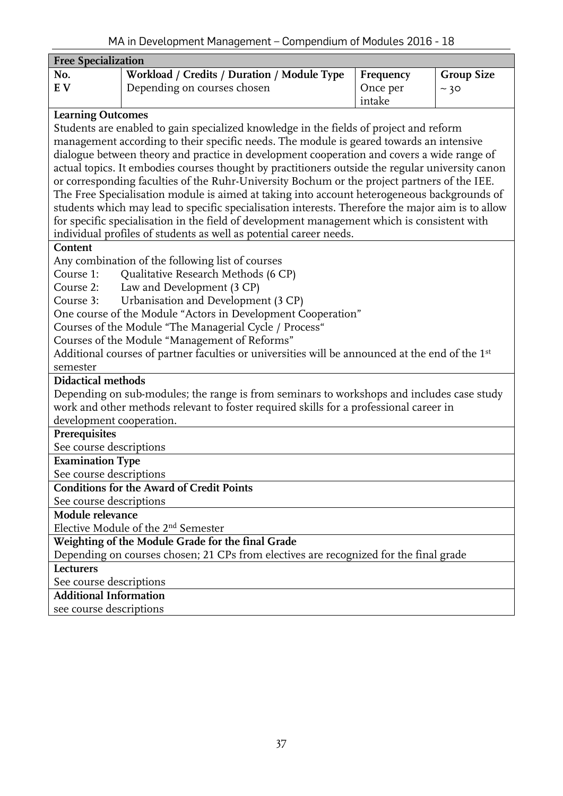<span id="page-36-0"></span>

| <b>Free Specialization</b>                  |                                                                                                   |           |                   |  |  |  |  |  |  |
|---------------------------------------------|---------------------------------------------------------------------------------------------------|-----------|-------------------|--|--|--|--|--|--|
| No.                                         | Workload / Credits / Duration / Module Type                                                       | Frequency | <b>Group Size</b> |  |  |  |  |  |  |
| E V                                         | Depending on courses chosen                                                                       | Once per  | ~10               |  |  |  |  |  |  |
|                                             |                                                                                                   | intake    |                   |  |  |  |  |  |  |
| <b>Learning Outcomes</b>                    |                                                                                                   |           |                   |  |  |  |  |  |  |
|                                             | Students are enabled to gain specialized knowledge in the fields of project and reform            |           |                   |  |  |  |  |  |  |
|                                             | management according to their specific needs. The module is geared towards an intensive           |           |                   |  |  |  |  |  |  |
|                                             | dialogue between theory and practice in development cooperation and covers a wide range of        |           |                   |  |  |  |  |  |  |
|                                             | actual topics. It embodies courses thought by practitioners outside the regular university canon  |           |                   |  |  |  |  |  |  |
|                                             | or corresponding faculties of the Ruhr-University Bochum or the project partners of the IEE.      |           |                   |  |  |  |  |  |  |
|                                             | The Free Specialisation module is aimed at taking into account heterogeneous backgrounds of       |           |                   |  |  |  |  |  |  |
|                                             | students which may lead to specific specialisation interests. Therefore the major aim is to allow |           |                   |  |  |  |  |  |  |
|                                             | for specific specialisation in the field of development management which is consistent with       |           |                   |  |  |  |  |  |  |
|                                             | individual profiles of students as well as potential career needs.                                |           |                   |  |  |  |  |  |  |
| Content                                     |                                                                                                   |           |                   |  |  |  |  |  |  |
|                                             | Any combination of the following list of courses                                                  |           |                   |  |  |  |  |  |  |
| Course 1:                                   | Qualitative Research Methods (6 CP)                                                               |           |                   |  |  |  |  |  |  |
| Course 2:                                   | Law and Development (3 CP)                                                                        |           |                   |  |  |  |  |  |  |
| Course 3:                                   | Urbanisation and Development (3 CP)                                                               |           |                   |  |  |  |  |  |  |
|                                             | One course of the Module "Actors in Development Cooperation"                                      |           |                   |  |  |  |  |  |  |
|                                             | Courses of the Module "The Managerial Cycle / Process"                                            |           |                   |  |  |  |  |  |  |
|                                             | Courses of the Module "Management of Reforms"                                                     |           |                   |  |  |  |  |  |  |
|                                             | Additional courses of partner faculties or universities will be announced at the end of the 1st   |           |                   |  |  |  |  |  |  |
| semester                                    |                                                                                                   |           |                   |  |  |  |  |  |  |
| <b>Didactical methods</b>                   |                                                                                                   |           |                   |  |  |  |  |  |  |
|                                             | Depending on sub-modules; the range is from seminars to workshops and includes case study         |           |                   |  |  |  |  |  |  |
|                                             | work and other methods relevant to foster required skills for a professional career in            |           |                   |  |  |  |  |  |  |
| development cooperation.                    |                                                                                                   |           |                   |  |  |  |  |  |  |
| Prerequisites<br>See course descriptions    |                                                                                                   |           |                   |  |  |  |  |  |  |
| <b>Examination Type</b>                     |                                                                                                   |           |                   |  |  |  |  |  |  |
| See course descriptions                     |                                                                                                   |           |                   |  |  |  |  |  |  |
|                                             | <b>Conditions for the Award of Credit Points</b>                                                  |           |                   |  |  |  |  |  |  |
|                                             |                                                                                                   |           |                   |  |  |  |  |  |  |
| See course descriptions<br>Module relevance |                                                                                                   |           |                   |  |  |  |  |  |  |
|                                             | Elective Module of the 2 <sup>nd</sup> Semester                                                   |           |                   |  |  |  |  |  |  |
|                                             |                                                                                                   |           |                   |  |  |  |  |  |  |
|                                             | Weighting of the Module Grade for the final Grade                                                 |           |                   |  |  |  |  |  |  |
| Lecturers                                   | Depending on courses chosen; 21 CPs from electives are recognized for the final grade             |           |                   |  |  |  |  |  |  |
|                                             | See course descriptions                                                                           |           |                   |  |  |  |  |  |  |
| <b>Additional Information</b>               |                                                                                                   |           |                   |  |  |  |  |  |  |
| see course descriptions                     |                                                                                                   |           |                   |  |  |  |  |  |  |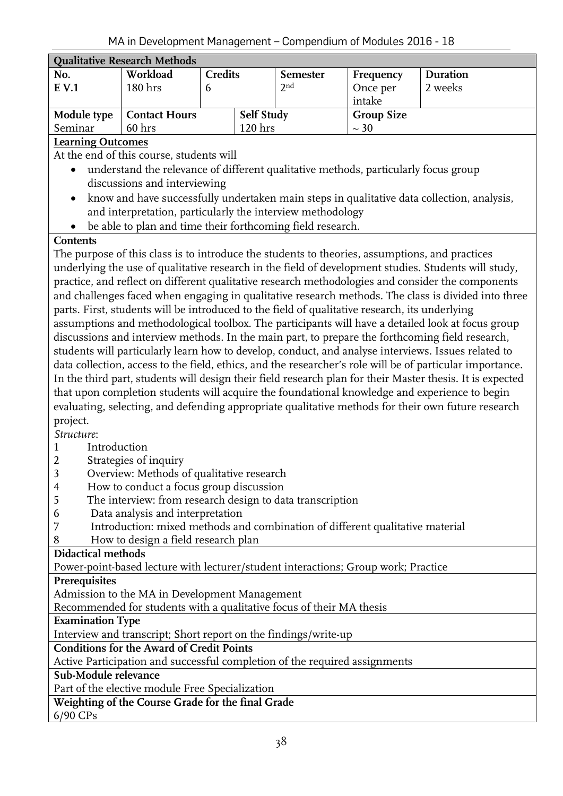<span id="page-37-0"></span>

| <b>Qualitative Research Methods</b> |                      |                   |                    |                 |                   |          |  |  |  |
|-------------------------------------|----------------------|-------------------|--------------------|-----------------|-------------------|----------|--|--|--|
| No.                                 | Workload             | <b>Credits</b>    |                    | <b>Semester</b> | Frequency         | Duration |  |  |  |
| $E$ V.1                             | 180 <sub>hrs</sub>   |                   |                    | 2 <sup>nd</sup> | Once per          | 2 weeks  |  |  |  |
|                                     |                      |                   |                    |                 | intake            |          |  |  |  |
| Module type                         | <b>Contact Hours</b> | <b>Self Study</b> |                    |                 | <b>Group Size</b> |          |  |  |  |
| Seminar                             | 60 <sub>hrs</sub>    |                   | 120 <sub>hrs</sub> |                 | $\sim$ 30         |          |  |  |  |
|                                     |                      |                   |                    |                 |                   |          |  |  |  |

At the end of this course, students will

- understand the relevance of different qualitative methods, particularly focus group discussions and interviewing
- know and have successfully undertaken main steps in qualitative data collection, analysis, and interpretation, particularly the interview methodology
- be able to plan and time their forthcoming field research.

# **Contents**

The purpose of this class is to introduce the students to theories, assumptions, and practices underlying the use of qualitative research in the field of development studies. Students will study, practice, and reflect on different qualitative research methodologies and consider the components and challenges faced when engaging in qualitative research methods. The class is divided into three parts. First, students will be introduced to the field of qualitative research, its underlying assumptions and methodological toolbox. The participants will have a detailed look at focus group discussions and interview methods. In the main part, to prepare the forthcoming field research, students will particularly learn how to develop, conduct, and analyse interviews. Issues related to data collection, access to the field, ethics, and the researcher's role will be of particular importance. In the third part, students will design their field research plan for their Master thesis. It is expected that upon completion students will acquire the foundational knowledge and experience to begin evaluating, selecting, and defending appropriate qualitative methods for their own future research project.

*Structure*:

# 1 Introduction

- 2 Strategies of inquiry
- 3 Overview: Methods of qualitative research
- 4 How to conduct a focus group discussion
- 5 The interview: from research design to data transcription
- 6Data analysis and interpretation
- 7 Introduction: mixed methods and combination of different qualitative material
- 8 How to design a field research plan

# **Didactical methods**

Power-point-based lecture with lecturer/student interactions; Group work; Practice

#### **Prerequisites**

Admission to the MA in Development Management

Recommended for students with a qualitative focus of their MA thesis

#### **Examination Type**

Interview and transcript; Short report on the findings/write-up

**Conditions for the Award of Credit Points**

Active Participation and successful completion of the required assignments

#### **Sub-Module relevance**

Part of the elective module Free Specialization

# **Weighting of the Course Grade for the final Grade**

6/90 CPs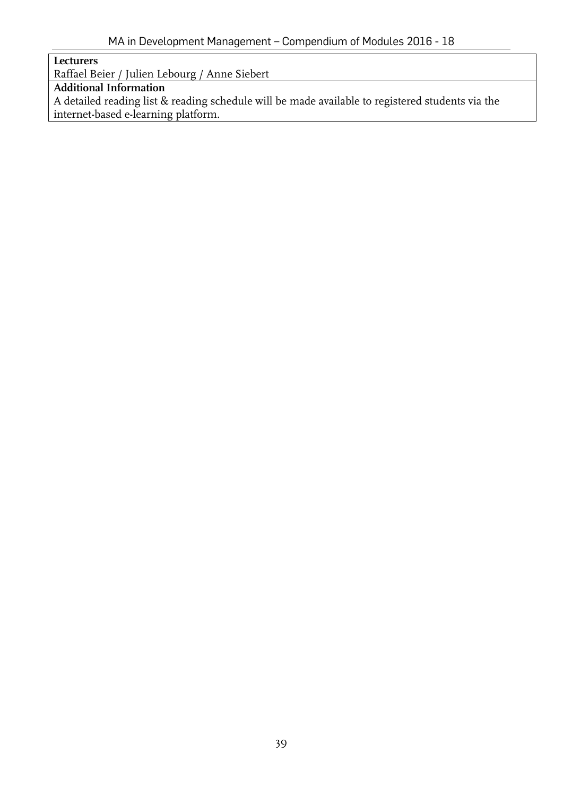**Lecturers**

Raffael Beier / Julien Lebourg / Anne Siebert

# **Additional Information**

A detailed reading list & reading schedule will be made available to registered students via the internet-based e-learning platform.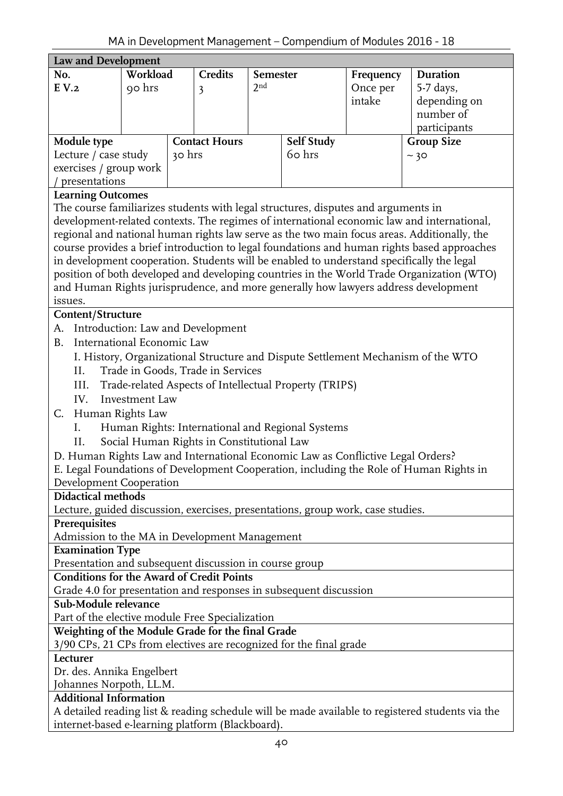<span id="page-39-0"></span>

| Law and Development                                                                                                     |                                           |        |                      |                 |                                                        |           |                                                                                                  |  |  |  |
|-------------------------------------------------------------------------------------------------------------------------|-------------------------------------------|--------|----------------------|-----------------|--------------------------------------------------------|-----------|--------------------------------------------------------------------------------------------------|--|--|--|
| No.                                                                                                                     | Workload                                  |        | <b>Credits</b>       | <b>Semester</b> |                                                        | Frequency | Duration                                                                                         |  |  |  |
| E V.2                                                                                                                   | 90 hrs                                    |        | 3                    | 2 <sub>nd</sub> |                                                        | Once per  | 5-7 days,                                                                                        |  |  |  |
|                                                                                                                         |                                           |        |                      |                 |                                                        | intake    | depending on                                                                                     |  |  |  |
|                                                                                                                         |                                           |        |                      |                 |                                                        |           | number of                                                                                        |  |  |  |
|                                                                                                                         |                                           |        |                      |                 |                                                        |           | participants                                                                                     |  |  |  |
| Module type                                                                                                             |                                           |        | <b>Contact Hours</b> |                 | Self Study                                             |           | <b>Group Size</b>                                                                                |  |  |  |
| Lecture / case study                                                                                                    |                                           | 30 hrs |                      |                 | 60 hrs                                                 |           | ~10                                                                                              |  |  |  |
| exercises / group work                                                                                                  |                                           |        |                      |                 |                                                        |           |                                                                                                  |  |  |  |
| presentations                                                                                                           |                                           |        |                      |                 |                                                        |           |                                                                                                  |  |  |  |
|                                                                                                                         | <b>Learning Outcomes</b>                  |        |                      |                 |                                                        |           |                                                                                                  |  |  |  |
| The course familiarizes students with legal structures, disputes and arguments in                                       |                                           |        |                      |                 |                                                        |           |                                                                                                  |  |  |  |
|                                                                                                                         |                                           |        |                      |                 |                                                        |           | development-related contexts. The regimes of international economic law and international,       |  |  |  |
|                                                                                                                         |                                           |        |                      |                 |                                                        |           | regional and national human rights law serve as the two main focus areas. Additionally, the      |  |  |  |
|                                                                                                                         |                                           |        |                      |                 |                                                        |           | course provides a brief introduction to legal foundations and human rights based approaches      |  |  |  |
|                                                                                                                         |                                           |        |                      |                 |                                                        |           | in development cooperation. Students will be enabled to understand specifically the legal        |  |  |  |
|                                                                                                                         |                                           |        |                      |                 |                                                        |           | position of both developed and developing countries in the World Trade Organization (WTO)        |  |  |  |
|                                                                                                                         |                                           |        |                      |                 |                                                        |           | and Human Rights jurisprudence, and more generally how lawyers address development               |  |  |  |
| issues.                                                                                                                 |                                           |        |                      |                 |                                                        |           |                                                                                                  |  |  |  |
| Content/Structure                                                                                                       |                                           |        |                      |                 |                                                        |           |                                                                                                  |  |  |  |
| Introduction: Law and Development<br>A.                                                                                 |                                           |        |                      |                 |                                                        |           |                                                                                                  |  |  |  |
| International Economic Law<br><b>B.</b>                                                                                 |                                           |        |                      |                 |                                                        |           |                                                                                                  |  |  |  |
| I. History, Organizational Structure and Dispute Settlement Mechanism of the WTO                                        |                                           |        |                      |                 |                                                        |           |                                                                                                  |  |  |  |
| Trade in Goods, Trade in Services<br>II.                                                                                |                                           |        |                      |                 |                                                        |           |                                                                                                  |  |  |  |
| III.                                                                                                                    |                                           |        |                      |                 | Trade-related Aspects of Intellectual Property (TRIPS) |           |                                                                                                  |  |  |  |
| IV.                                                                                                                     | Investment Law                            |        |                      |                 |                                                        |           |                                                                                                  |  |  |  |
| Human Rights Law<br>C.                                                                                                  |                                           |        |                      |                 |                                                        |           |                                                                                                  |  |  |  |
| I.                                                                                                                      |                                           |        |                      |                 | Human Rights: International and Regional Systems       |           |                                                                                                  |  |  |  |
| ΙΙ.                                                                                                                     | Social Human Rights in Constitutional Law |        |                      |                 |                                                        |           |                                                                                                  |  |  |  |
| D. Human Rights Law and International Economic Law as Conflictive Legal Orders?                                         |                                           |        |                      |                 |                                                        |           |                                                                                                  |  |  |  |
|                                                                                                                         |                                           |        |                      |                 |                                                        |           |                                                                                                  |  |  |  |
| Development Cooperation                                                                                                 |                                           |        |                      |                 |                                                        |           | E. Legal Foundations of Development Cooperation, including the Role of Human Rights in           |  |  |  |
| <b>Didactical methods</b>                                                                                               |                                           |        |                      |                 |                                                        |           |                                                                                                  |  |  |  |
|                                                                                                                         |                                           |        |                      |                 |                                                        |           |                                                                                                  |  |  |  |
| Lecture, guided discussion, exercises, presentations, group work, case studies.                                         |                                           |        |                      |                 |                                                        |           |                                                                                                  |  |  |  |
| Prerequisites                                                                                                           |                                           |        |                      |                 |                                                        |           |                                                                                                  |  |  |  |
| Admission to the MA in Development Management<br><b>Examination Type</b>                                                |                                           |        |                      |                 |                                                        |           |                                                                                                  |  |  |  |
| Presentation and subsequent discussion in course group                                                                  |                                           |        |                      |                 |                                                        |           |                                                                                                  |  |  |  |
| <b>Conditions for the Award of Credit Points</b>                                                                        |                                           |        |                      |                 |                                                        |           |                                                                                                  |  |  |  |
|                                                                                                                         |                                           |        |                      |                 |                                                        |           |                                                                                                  |  |  |  |
| Grade 4.0 for presentation and responses in subsequent discussion<br>Sub-Module relevance                               |                                           |        |                      |                 |                                                        |           |                                                                                                  |  |  |  |
|                                                                                                                         |                                           |        |                      |                 |                                                        |           |                                                                                                  |  |  |  |
| Part of the elective module Free Specialization                                                                         |                                           |        |                      |                 |                                                        |           |                                                                                                  |  |  |  |
| Weighting of the Module Grade for the final Grade<br>3/90 CPs, 21 CPs from electives are recognized for the final grade |                                           |        |                      |                 |                                                        |           |                                                                                                  |  |  |  |
| Lecturer                                                                                                                |                                           |        |                      |                 |                                                        |           |                                                                                                  |  |  |  |
| Dr. des. Annika Engelbert                                                                                               |                                           |        |                      |                 |                                                        |           |                                                                                                  |  |  |  |
| Johannes Norpoth, LL.M.                                                                                                 |                                           |        |                      |                 |                                                        |           |                                                                                                  |  |  |  |
| <b>Additional Information</b>                                                                                           |                                           |        |                      |                 |                                                        |           |                                                                                                  |  |  |  |
|                                                                                                                         |                                           |        |                      |                 |                                                        |           | A detailed reading list & reading schedule will be made available to registered students via the |  |  |  |
| internet-based e-learning platform (Blackboard).                                                                        |                                           |        |                      |                 |                                                        |           |                                                                                                  |  |  |  |
|                                                                                                                         |                                           |        |                      |                 |                                                        |           |                                                                                                  |  |  |  |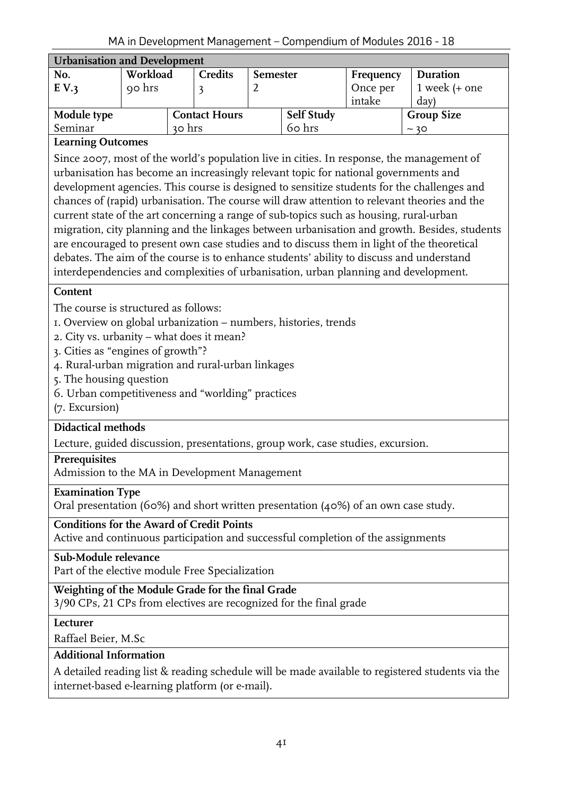<span id="page-40-0"></span>

| <b>Urbanisation and Development</b> |          |        |                      |                 |                   |           |                   |  |  |
|-------------------------------------|----------|--------|----------------------|-----------------|-------------------|-----------|-------------------|--|--|
| No.                                 | Workload |        | <b>Credits</b>       | <b>Semester</b> |                   | Frequency | Duration          |  |  |
| E V.3                               | 90 hrs   |        |                      |                 |                   | Once per  | 1 week $(+$ one   |  |  |
|                                     |          |        |                      |                 |                   | intake    | day)              |  |  |
| Module type                         |          |        | <b>Contact Hours</b> |                 | <b>Self Study</b> |           | <b>Group Size</b> |  |  |
| Seminar                             |          | 30 hrs |                      |                 | 60 hrs            |           | ~10               |  |  |

Since 2007, most of the world's population live in cities. In response, the management of urbanisation has become an increasingly relevant topic for national governments and development agencies. This course is designed to sensitize students for the challenges and chances of (rapid) urbanisation. The course will draw attention to relevant theories and the current state of the art concerning a range of sub-topics such as housing, rural-urban migration, city planning and the linkages between urbanisation and growth. Besides, students are encouraged to present own case studies and to discuss them in light of the theoretical debates. The aim of the course is to enhance students' ability to discuss and understand interdependencies and complexities of urbanisation, urban planning and development.

#### **Content**

The course is structured as follows:

- 1. Overview on global urbanization numbers, histories, trends
- 2. City vs. urbanity what does it mean?
- 3. Cities as "engines of growth"?
- 4. Rural-urban migration and rural-urban linkages
- 5. The housing question
- 6. Urban competitiveness and "worlding" practices
- (7. Excursion)

#### **Didactical methods**

Lecture, guided discussion, presentations, group work, case studies, excursion.

#### **Prerequisites**

Admission to the MA in Development Management

#### **Examination Type**

Oral presentation (60%) and short written presentation (40%) of an own case study.

#### **Conditions for the Award of Credit Points**

Active and continuous participation and successful completion of the assignments

### **Sub-Module relevance**

Part of the elective module Free Specialization

#### **Weighting of the Module Grade for the final Grade**

3/90 CPs, 21 CPs from electives are recognized for the final grade

**Lecturer**

Raffael Beier, M.Sc

### **Additional Information**

A detailed reading list & reading schedule will be made available to registered students via the internet-based e-learning platform (or e-mail).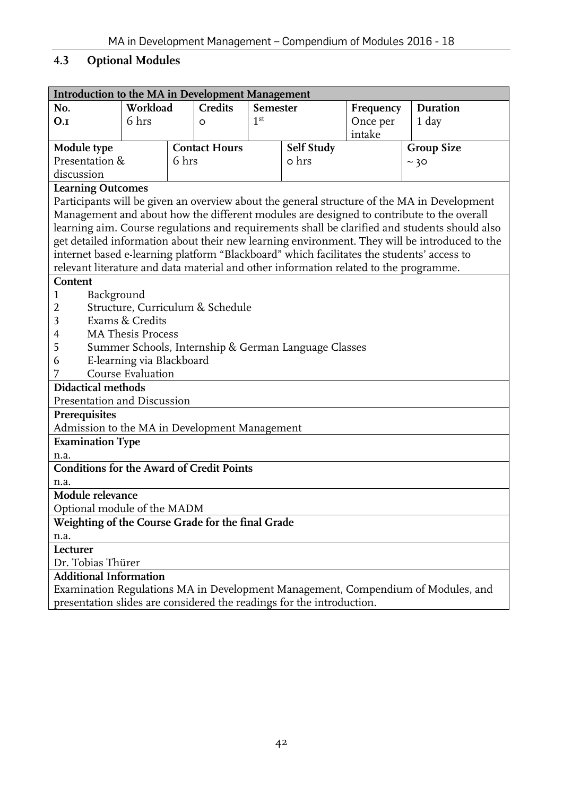# <span id="page-41-0"></span>**4.3 Optional Modules**

<span id="page-41-1"></span>

| Introduction to the MA in Development Management                                      |                           |       |                      |                 |            |           |                                                                                               |  |  |
|---------------------------------------------------------------------------------------|---------------------------|-------|----------------------|-----------------|------------|-----------|-----------------------------------------------------------------------------------------------|--|--|
| No.                                                                                   | Workload                  |       | <b>Credits</b>       | Semester        |            | Frequency | Duration                                                                                      |  |  |
| O.I                                                                                   | 6 hrs                     |       | O                    | 1 <sup>st</sup> |            | Once per  | $1 \,$ day                                                                                    |  |  |
|                                                                                       |                           |       |                      |                 |            | intake    |                                                                                               |  |  |
| Module type                                                                           |                           |       | <b>Contact Hours</b> |                 | Self Study |           | <b>Group Size</b>                                                                             |  |  |
| Presentation &                                                                        |                           | 6 hrs |                      |                 | o hrs      |           | ~10                                                                                           |  |  |
| discussion                                                                            |                           |       |                      |                 |            |           |                                                                                               |  |  |
| <b>Learning Outcomes</b>                                                              |                           |       |                      |                 |            |           |                                                                                               |  |  |
|                                                                                       |                           |       |                      |                 |            |           | Participants will be given an overview about the general structure of the MA in Development   |  |  |
|                                                                                       |                           |       |                      |                 |            |           | Management and about how the different modules are designed to contribute to the overall      |  |  |
|                                                                                       |                           |       |                      |                 |            |           | learning aim. Course regulations and requirements shall be clarified and students should also |  |  |
|                                                                                       |                           |       |                      |                 |            |           | get detailed information about their new learning environment. They will be introduced to the |  |  |
|                                                                                       |                           |       |                      |                 |            |           | internet based e-learning platform "Blackboard" which facilitates the students' access to     |  |  |
| relevant literature and data material and other information related to the programme. |                           |       |                      |                 |            |           |                                                                                               |  |  |
| Content                                                                               |                           |       |                      |                 |            |           |                                                                                               |  |  |
| $\mathbf{1}$<br>Background                                                            |                           |       |                      |                 |            |           |                                                                                               |  |  |
| Structure, Curriculum & Schedule<br>2                                                 |                           |       |                      |                 |            |           |                                                                                               |  |  |
| Exams & Credits<br>3                                                                  |                           |       |                      |                 |            |           |                                                                                               |  |  |
| <b>MA Thesis Process</b><br>4                                                         |                           |       |                      |                 |            |           |                                                                                               |  |  |
| 5<br>Summer Schools, Internship & German Language Classes                             |                           |       |                      |                 |            |           |                                                                                               |  |  |
| 6                                                                                     | E-learning via Blackboard |       |                      |                 |            |           |                                                                                               |  |  |
| 7                                                                                     | Course Evaluation         |       |                      |                 |            |           |                                                                                               |  |  |
| <b>Didactical methods</b>                                                             |                           |       |                      |                 |            |           |                                                                                               |  |  |
| Presentation and Discussion                                                           |                           |       |                      |                 |            |           |                                                                                               |  |  |
| Prerequisites                                                                         |                           |       |                      |                 |            |           |                                                                                               |  |  |
| Admission to the MA in Development Management                                         |                           |       |                      |                 |            |           |                                                                                               |  |  |
| <b>Examination Type</b>                                                               |                           |       |                      |                 |            |           |                                                                                               |  |  |
| n.a.                                                                                  |                           |       |                      |                 |            |           |                                                                                               |  |  |
| <b>Conditions for the Award of Credit Points</b>                                      |                           |       |                      |                 |            |           |                                                                                               |  |  |
| n.a.                                                                                  |                           |       |                      |                 |            |           |                                                                                               |  |  |
| Module relevance                                                                      |                           |       |                      |                 |            |           |                                                                                               |  |  |
| Optional module of the MADM                                                           |                           |       |                      |                 |            |           |                                                                                               |  |  |
| Weighting of the Course Grade for the final Grade                                     |                           |       |                      |                 |            |           |                                                                                               |  |  |
| n.a.                                                                                  |                           |       |                      |                 |            |           |                                                                                               |  |  |
| Lecturer                                                                              |                           |       |                      |                 |            |           |                                                                                               |  |  |
| Dr. Tobias Thürer                                                                     |                           |       |                      |                 |            |           |                                                                                               |  |  |
| <b>Additional Information</b>                                                         |                           |       |                      |                 |            |           |                                                                                               |  |  |
|                                                                                       |                           |       |                      |                 |            |           | Examination Regulations MA in Development Management, Compendium of Modules, and              |  |  |
| presentation slides are considered the readings for the introduction.                 |                           |       |                      |                 |            |           |                                                                                               |  |  |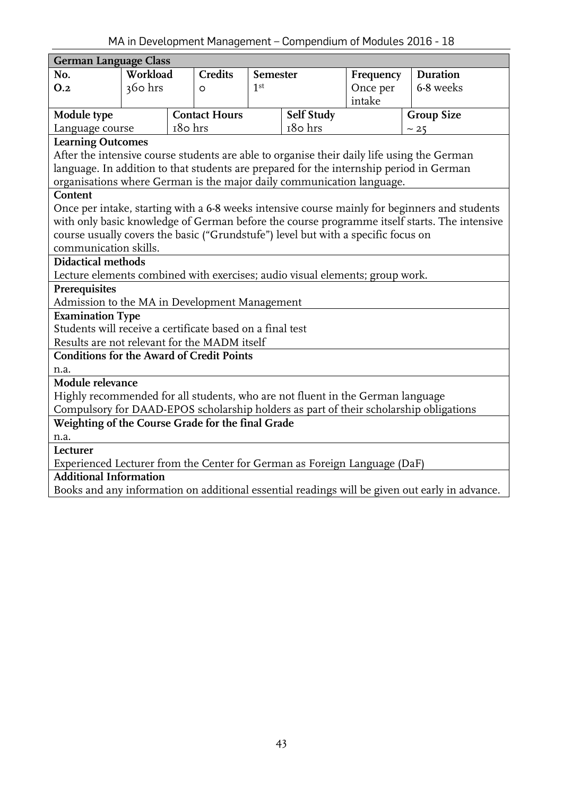<span id="page-42-0"></span>

| <b>German Language Class</b>                                                      |          |         |                      |                 |                   |           |                                                                                                |  |  |
|-----------------------------------------------------------------------------------|----------|---------|----------------------|-----------------|-------------------|-----------|------------------------------------------------------------------------------------------------|--|--|
| No.                                                                               | Workload |         | <b>Credits</b>       | <b>Semester</b> |                   | Frequency | Duration                                                                                       |  |  |
| 0.2                                                                               | 360 hrs  |         | $\circ$              | 1 <sup>st</sup> |                   | Once per  | 6-8 weeks                                                                                      |  |  |
|                                                                                   |          |         |                      |                 |                   | intake    |                                                                                                |  |  |
| Module type                                                                       |          |         | <b>Contact Hours</b> |                 | <b>Self Study</b> |           | <b>Group Size</b>                                                                              |  |  |
| Language course                                                                   |          | 180 hrs |                      |                 | 180 hrs           |           | ~25                                                                                            |  |  |
| <b>Learning Outcomes</b>                                                          |          |         |                      |                 |                   |           |                                                                                                |  |  |
|                                                                                   |          |         |                      |                 |                   |           | After the intensive course students are able to organise their daily life using the German     |  |  |
|                                                                                   |          |         |                      |                 |                   |           | language. In addition to that students are prepared for the internship period in German        |  |  |
| organisations where German is the major daily communication language.             |          |         |                      |                 |                   |           |                                                                                                |  |  |
| Content                                                                           |          |         |                      |                 |                   |           |                                                                                                |  |  |
|                                                                                   |          |         |                      |                 |                   |           | Once per intake, starting with a 6-8 weeks intensive course mainly for beginners and students  |  |  |
|                                                                                   |          |         |                      |                 |                   |           | with only basic knowledge of German before the course programme itself starts. The intensive   |  |  |
| course usually covers the basic ("Grundstufe") level but with a specific focus on |          |         |                      |                 |                   |           |                                                                                                |  |  |
| communication skills.                                                             |          |         |                      |                 |                   |           |                                                                                                |  |  |
| <b>Didactical methods</b>                                                         |          |         |                      |                 |                   |           |                                                                                                |  |  |
| Lecture elements combined with exercises; audio visual elements; group work.      |          |         |                      |                 |                   |           |                                                                                                |  |  |
| Prerequisites<br>Admission to the MA in Development Management                    |          |         |                      |                 |                   |           |                                                                                                |  |  |
| <b>Examination Type</b>                                                           |          |         |                      |                 |                   |           |                                                                                                |  |  |
| Students will receive a certificate based on a final test                         |          |         |                      |                 |                   |           |                                                                                                |  |  |
| Results are not relevant for the MADM itself                                      |          |         |                      |                 |                   |           |                                                                                                |  |  |
| <b>Conditions for the Award of Credit Points</b>                                  |          |         |                      |                 |                   |           |                                                                                                |  |  |
| n.a.                                                                              |          |         |                      |                 |                   |           |                                                                                                |  |  |
| Module relevance                                                                  |          |         |                      |                 |                   |           |                                                                                                |  |  |
| Highly recommended for all students, who are not fluent in the German language    |          |         |                      |                 |                   |           |                                                                                                |  |  |
|                                                                                   |          |         |                      |                 |                   |           | Compulsory for DAAD-EPOS scholarship holders as part of their scholarship obligations          |  |  |
| Weighting of the Course Grade for the final Grade                                 |          |         |                      |                 |                   |           |                                                                                                |  |  |
| n.a.                                                                              |          |         |                      |                 |                   |           |                                                                                                |  |  |
| Lecturer                                                                          |          |         |                      |                 |                   |           |                                                                                                |  |  |
| Experienced Lecturer from the Center for German as Foreign Language (DaF)         |          |         |                      |                 |                   |           |                                                                                                |  |  |
| <b>Additional Information</b>                                                     |          |         |                      |                 |                   |           |                                                                                                |  |  |
|                                                                                   |          |         |                      |                 |                   |           | Books and any information on additional essential readings will be given out early in advance. |  |  |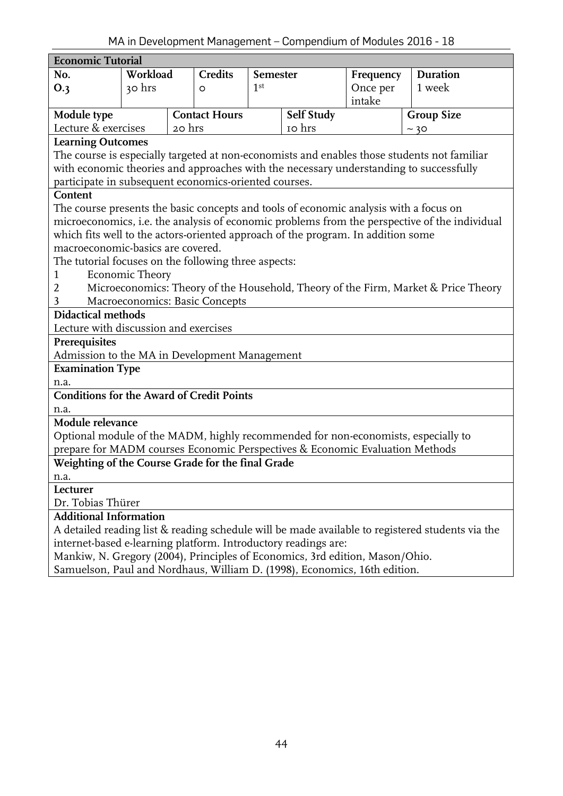<span id="page-43-0"></span>

| <b>Economic Tutorial</b>                                                               |                                                                                                      |        |                      |                 |                   |           |                                                                                                  |  |  |
|----------------------------------------------------------------------------------------|------------------------------------------------------------------------------------------------------|--------|----------------------|-----------------|-------------------|-----------|--------------------------------------------------------------------------------------------------|--|--|
| No.                                                                                    | Workload                                                                                             |        | <b>Credits</b>       | <b>Semester</b> |                   | Frequency | <b>Duration</b>                                                                                  |  |  |
| O.3                                                                                    | 30 hrs                                                                                               |        | O                    | 1 <sup>st</sup> | Once per          |           | 1 week                                                                                           |  |  |
|                                                                                        |                                                                                                      |        |                      |                 |                   | intake    |                                                                                                  |  |  |
| Module type                                                                            |                                                                                                      |        | <b>Contact Hours</b> |                 | <b>Self Study</b> |           | <b>Group Size</b>                                                                                |  |  |
| Lecture & exercises                                                                    |                                                                                                      | 20 hrs |                      |                 | 10 hrs            |           | ~20                                                                                              |  |  |
| <b>Learning Outcomes</b>                                                               |                                                                                                      |        |                      |                 |                   |           |                                                                                                  |  |  |
|                                                                                        | The course is especially targeted at non-economists and enables those students not familiar          |        |                      |                 |                   |           |                                                                                                  |  |  |
| with economic theories and approaches with the necessary understanding to successfully |                                                                                                      |        |                      |                 |                   |           |                                                                                                  |  |  |
| participate in subsequent economics-oriented courses.                                  |                                                                                                      |        |                      |                 |                   |           |                                                                                                  |  |  |
| Content                                                                                |                                                                                                      |        |                      |                 |                   |           |                                                                                                  |  |  |
| The course presents the basic concepts and tools of economic analysis with a focus on  |                                                                                                      |        |                      |                 |                   |           |                                                                                                  |  |  |
|                                                                                        |                                                                                                      |        |                      |                 |                   |           | microeconomics, i.e. the analysis of economic problems from the perspective of the individual    |  |  |
| which fits well to the actors-oriented approach of the program. In addition some       |                                                                                                      |        |                      |                 |                   |           |                                                                                                  |  |  |
| macroeconomic-basics are covered.                                                      |                                                                                                      |        |                      |                 |                   |           |                                                                                                  |  |  |
| The tutorial focuses on the following three aspects:                                   |                                                                                                      |        |                      |                 |                   |           |                                                                                                  |  |  |
| <b>Economic Theory</b><br>$\mathbf{1}$                                                 |                                                                                                      |        |                      |                 |                   |           |                                                                                                  |  |  |
|                                                                                        | $\overline{2}$<br>Microeconomics: Theory of the Household, Theory of the Firm, Market & Price Theory |        |                      |                 |                   |           |                                                                                                  |  |  |
| Macroeconomics: Basic Concepts<br>3                                                    |                                                                                                      |        |                      |                 |                   |           |                                                                                                  |  |  |
| <b>Didactical methods</b><br>Lecture with discussion and exercises                     |                                                                                                      |        |                      |                 |                   |           |                                                                                                  |  |  |
|                                                                                        |                                                                                                      |        |                      |                 |                   |           |                                                                                                  |  |  |
| Prerequisites<br>Admission to the MA in Development Management                         |                                                                                                      |        |                      |                 |                   |           |                                                                                                  |  |  |
| <b>Examination Type</b>                                                                |                                                                                                      |        |                      |                 |                   |           |                                                                                                  |  |  |
| n.a.                                                                                   |                                                                                                      |        |                      |                 |                   |           |                                                                                                  |  |  |
| <b>Conditions for the Award of Credit Points</b>                                       |                                                                                                      |        |                      |                 |                   |           |                                                                                                  |  |  |
| n.a.                                                                                   |                                                                                                      |        |                      |                 |                   |           |                                                                                                  |  |  |
| Module relevance                                                                       |                                                                                                      |        |                      |                 |                   |           |                                                                                                  |  |  |
|                                                                                        |                                                                                                      |        |                      |                 |                   |           | Optional module of the MADM, highly recommended for non-economists, especially to                |  |  |
| prepare for MADM courses Economic Perspectives & Economic Evaluation Methods           |                                                                                                      |        |                      |                 |                   |           |                                                                                                  |  |  |
| Weighting of the Course Grade for the final Grade                                      |                                                                                                      |        |                      |                 |                   |           |                                                                                                  |  |  |
| n.a.                                                                                   |                                                                                                      |        |                      |                 |                   |           |                                                                                                  |  |  |
| Lecturer                                                                               |                                                                                                      |        |                      |                 |                   |           |                                                                                                  |  |  |
| Dr. Tobias Thürer                                                                      |                                                                                                      |        |                      |                 |                   |           |                                                                                                  |  |  |
| <b>Additional Information</b>                                                          |                                                                                                      |        |                      |                 |                   |           |                                                                                                  |  |  |
|                                                                                        |                                                                                                      |        |                      |                 |                   |           | A detailed reading list & reading schedule will be made available to registered students via the |  |  |
| internet-based e-learning platform. Introductory readings are:                         |                                                                                                      |        |                      |                 |                   |           |                                                                                                  |  |  |
| Mankiw, N. Gregory (2004), Principles of Economics, 3rd edition, Mason/Ohio.           |                                                                                                      |        |                      |                 |                   |           |                                                                                                  |  |  |
| Samuelson, Paul and Nordhaus, William D. (1998), Economics, 16th edition.              |                                                                                                      |        |                      |                 |                   |           |                                                                                                  |  |  |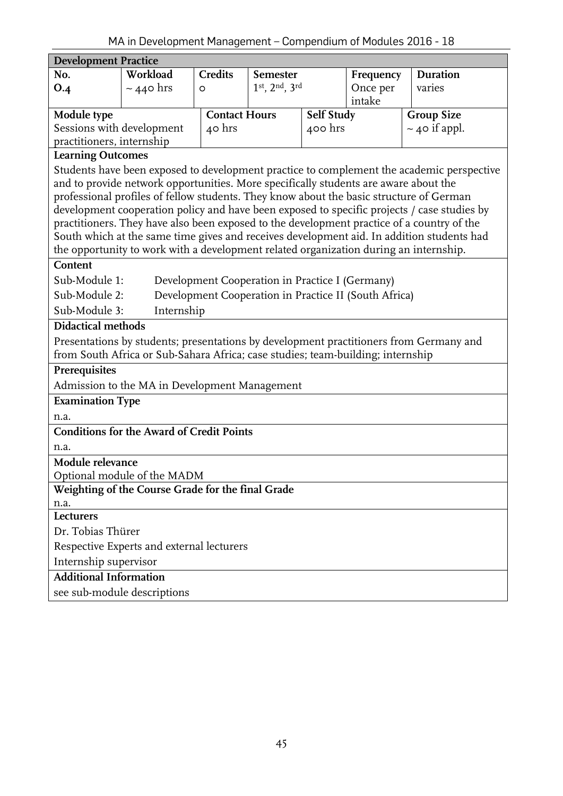<span id="page-44-0"></span>

| <b>Development Practice</b>                                                                                                                                                                                                                                                                                                                                                                                                                                                                                                                                                                                                                                                                                                                                                                                              |                                                                                 |                      |               |                   |           |                                                                                        |  |  |  |
|--------------------------------------------------------------------------------------------------------------------------------------------------------------------------------------------------------------------------------------------------------------------------------------------------------------------------------------------------------------------------------------------------------------------------------------------------------------------------------------------------------------------------------------------------------------------------------------------------------------------------------------------------------------------------------------------------------------------------------------------------------------------------------------------------------------------------|---------------------------------------------------------------------------------|----------------------|---------------|-------------------|-----------|----------------------------------------------------------------------------------------|--|--|--|
| No.                                                                                                                                                                                                                                                                                                                                                                                                                                                                                                                                                                                                                                                                                                                                                                                                                      | Workload                                                                        | <b>Credits</b>       | Semester      |                   | Frequency | <b>Duration</b>                                                                        |  |  |  |
| O.4                                                                                                                                                                                                                                                                                                                                                                                                                                                                                                                                                                                                                                                                                                                                                                                                                      | $\sim$ 440 hrs                                                                  | O                    | 1st, 2nd, 3rd |                   | Once per  | varies                                                                                 |  |  |  |
|                                                                                                                                                                                                                                                                                                                                                                                                                                                                                                                                                                                                                                                                                                                                                                                                                          |                                                                                 |                      |               |                   | intake    |                                                                                        |  |  |  |
| Module type                                                                                                                                                                                                                                                                                                                                                                                                                                                                                                                                                                                                                                                                                                                                                                                                              |                                                                                 | <b>Contact Hours</b> |               | <b>Self Study</b> |           | <b>Group Size</b>                                                                      |  |  |  |
| Sessions with development                                                                                                                                                                                                                                                                                                                                                                                                                                                                                                                                                                                                                                                                                                                                                                                                |                                                                                 | 40 hrs               |               | $400$ hrs         |           | $\sim$ 40 if appl.                                                                     |  |  |  |
| practitioners, internship<br><b>Learning Outcomes</b>                                                                                                                                                                                                                                                                                                                                                                                                                                                                                                                                                                                                                                                                                                                                                                    |                                                                                 |                      |               |                   |           |                                                                                        |  |  |  |
| Students have been exposed to development practice to complement the academic perspective<br>and to provide network opportunities. More specifically students are aware about the<br>professional profiles of fellow students. They know about the basic structure of German<br>development cooperation policy and have been exposed to specific projects / case studies by<br>practitioners. They have also been exposed to the development practice of a country of the<br>South which at the same time gives and receives development aid. In addition students had<br>the opportunity to work with a development related organization during an internship.<br>Content<br>Sub-Module 1:<br>Development Cooperation in Practice I (Germany)<br>Development Cooperation in Practice II (South Africa)<br>Sub-Module 2: |                                                                                 |                      |               |                   |           |                                                                                        |  |  |  |
| Sub-Module 3:<br>Internship                                                                                                                                                                                                                                                                                                                                                                                                                                                                                                                                                                                                                                                                                                                                                                                              |                                                                                 |                      |               |                   |           |                                                                                        |  |  |  |
| <b>Didactical methods</b>                                                                                                                                                                                                                                                                                                                                                                                                                                                                                                                                                                                                                                                                                                                                                                                                |                                                                                 |                      |               |                   |           |                                                                                        |  |  |  |
|                                                                                                                                                                                                                                                                                                                                                                                                                                                                                                                                                                                                                                                                                                                                                                                                                          | from South Africa or Sub-Sahara Africa; case studies; team-building; internship |                      |               |                   |           | Presentations by students; presentations by development practitioners from Germany and |  |  |  |
| Prerequisites                                                                                                                                                                                                                                                                                                                                                                                                                                                                                                                                                                                                                                                                                                                                                                                                            |                                                                                 |                      |               |                   |           |                                                                                        |  |  |  |
|                                                                                                                                                                                                                                                                                                                                                                                                                                                                                                                                                                                                                                                                                                                                                                                                                          | Admission to the MA in Development Management                                   |                      |               |                   |           |                                                                                        |  |  |  |
| <b>Examination Type</b>                                                                                                                                                                                                                                                                                                                                                                                                                                                                                                                                                                                                                                                                                                                                                                                                  |                                                                                 |                      |               |                   |           |                                                                                        |  |  |  |
| n.a.                                                                                                                                                                                                                                                                                                                                                                                                                                                                                                                                                                                                                                                                                                                                                                                                                     |                                                                                 |                      |               |                   |           |                                                                                        |  |  |  |
|                                                                                                                                                                                                                                                                                                                                                                                                                                                                                                                                                                                                                                                                                                                                                                                                                          | <b>Conditions for the Award of Credit Points</b>                                |                      |               |                   |           |                                                                                        |  |  |  |
| n.a.                                                                                                                                                                                                                                                                                                                                                                                                                                                                                                                                                                                                                                                                                                                                                                                                                     |                                                                                 |                      |               |                   |           |                                                                                        |  |  |  |
| Module relevance                                                                                                                                                                                                                                                                                                                                                                                                                                                                                                                                                                                                                                                                                                                                                                                                         | Optional module of the MADM                                                     |                      |               |                   |           |                                                                                        |  |  |  |
|                                                                                                                                                                                                                                                                                                                                                                                                                                                                                                                                                                                                                                                                                                                                                                                                                          | Weighting of the Course Grade for the final Grade                               |                      |               |                   |           |                                                                                        |  |  |  |
| n.a.                                                                                                                                                                                                                                                                                                                                                                                                                                                                                                                                                                                                                                                                                                                                                                                                                     |                                                                                 |                      |               |                   |           |                                                                                        |  |  |  |
| Lecturers                                                                                                                                                                                                                                                                                                                                                                                                                                                                                                                                                                                                                                                                                                                                                                                                                |                                                                                 |                      |               |                   |           |                                                                                        |  |  |  |
| Dr. Tobias Thürer                                                                                                                                                                                                                                                                                                                                                                                                                                                                                                                                                                                                                                                                                                                                                                                                        |                                                                                 |                      |               |                   |           |                                                                                        |  |  |  |
|                                                                                                                                                                                                                                                                                                                                                                                                                                                                                                                                                                                                                                                                                                                                                                                                                          | Respective Experts and external lecturers                                       |                      |               |                   |           |                                                                                        |  |  |  |
| Internship supervisor                                                                                                                                                                                                                                                                                                                                                                                                                                                                                                                                                                                                                                                                                                                                                                                                    |                                                                                 |                      |               |                   |           |                                                                                        |  |  |  |
|                                                                                                                                                                                                                                                                                                                                                                                                                                                                                                                                                                                                                                                                                                                                                                                                                          | <b>Additional Information</b>                                                   |                      |               |                   |           |                                                                                        |  |  |  |
|                                                                                                                                                                                                                                                                                                                                                                                                                                                                                                                                                                                                                                                                                                                                                                                                                          | see sub-module descriptions                                                     |                      |               |                   |           |                                                                                        |  |  |  |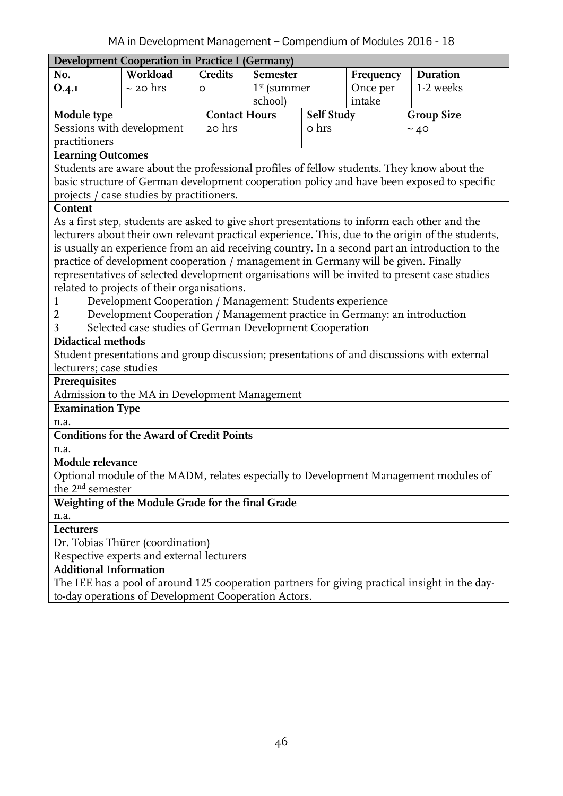<span id="page-45-0"></span>

| i'in ili Development management - Compendium or modules 2010<br>ᅩ◡<br><b>Development Cooperation in Practice I (Germany)</b> |                                                                                                                                              |                                |                 |                     |                       |                                                                                                   |  |  |  |
|------------------------------------------------------------------------------------------------------------------------------|----------------------------------------------------------------------------------------------------------------------------------------------|--------------------------------|-----------------|---------------------|-----------------------|---------------------------------------------------------------------------------------------------|--|--|--|
|                                                                                                                              |                                                                                                                                              |                                |                 |                     |                       |                                                                                                   |  |  |  |
| No.                                                                                                                          | Workload                                                                                                                                     | <b>Credits</b>                 | <b>Semester</b> |                     | Frequency<br>Once per | <b>Duration</b>                                                                                   |  |  |  |
| O.4.1                                                                                                                        | $\sim$ 20 hrs                                                                                                                                | O                              |                 | $1st$ (summer       |                       | 1-2 weeks                                                                                         |  |  |  |
|                                                                                                                              |                                                                                                                                              |                                | school)         |                     | intake                |                                                                                                   |  |  |  |
| Module type                                                                                                                  |                                                                                                                                              | <b>Contact Hours</b><br>20 hrs |                 | Self Study<br>o hrs |                       | <b>Group Size</b>                                                                                 |  |  |  |
| Sessions with development<br>practitioners                                                                                   |                                                                                                                                              |                                |                 |                     |                       | ~10                                                                                               |  |  |  |
| <b>Learning Outcomes</b>                                                                                                     |                                                                                                                                              |                                |                 |                     |                       |                                                                                                   |  |  |  |
|                                                                                                                              |                                                                                                                                              |                                |                 |                     |                       | Students are aware about the professional profiles of fellow students. They know about the        |  |  |  |
|                                                                                                                              |                                                                                                                                              |                                |                 |                     |                       | basic structure of German development cooperation policy and have been exposed to specific        |  |  |  |
|                                                                                                                              | projects / case studies by practitioners.                                                                                                    |                                |                 |                     |                       |                                                                                                   |  |  |  |
| Content                                                                                                                      |                                                                                                                                              |                                |                 |                     |                       |                                                                                                   |  |  |  |
|                                                                                                                              |                                                                                                                                              |                                |                 |                     |                       | As a first step, students are asked to give short presentations to inform each other and the      |  |  |  |
|                                                                                                                              |                                                                                                                                              |                                |                 |                     |                       | lecturers about their own relevant practical experience. This, due to the origin of the students, |  |  |  |
|                                                                                                                              |                                                                                                                                              |                                |                 |                     |                       | is usually an experience from an aid receiving country. In a second part an introduction to the   |  |  |  |
|                                                                                                                              | practice of development cooperation / management in Germany will be given. Finally                                                           |                                |                 |                     |                       |                                                                                                   |  |  |  |
|                                                                                                                              |                                                                                                                                              |                                |                 |                     |                       |                                                                                                   |  |  |  |
|                                                                                                                              | representatives of selected development organisations will be invited to present case studies<br>related to projects of their organisations. |                                |                 |                     |                       |                                                                                                   |  |  |  |
| 1                                                                                                                            | Development Cooperation / Management: Students experience                                                                                    |                                |                 |                     |                       |                                                                                                   |  |  |  |
| $\overline{2}$                                                                                                               | Development Cooperation / Management practice in Germany: an introduction                                                                    |                                |                 |                     |                       |                                                                                                   |  |  |  |
| 3                                                                                                                            | Selected case studies of German Development Cooperation                                                                                      |                                |                 |                     |                       |                                                                                                   |  |  |  |
| <b>Didactical methods</b>                                                                                                    |                                                                                                                                              |                                |                 |                     |                       |                                                                                                   |  |  |  |
|                                                                                                                              |                                                                                                                                              |                                |                 |                     |                       | Student presentations and group discussion; presentations of and discussions with external        |  |  |  |
| lecturers; case studies                                                                                                      |                                                                                                                                              |                                |                 |                     |                       |                                                                                                   |  |  |  |
| Prerequisites                                                                                                                |                                                                                                                                              |                                |                 |                     |                       |                                                                                                   |  |  |  |
|                                                                                                                              | Admission to the MA in Development Management                                                                                                |                                |                 |                     |                       |                                                                                                   |  |  |  |
| <b>Examination Type</b>                                                                                                      |                                                                                                                                              |                                |                 |                     |                       |                                                                                                   |  |  |  |
| n.a.                                                                                                                         |                                                                                                                                              |                                |                 |                     |                       |                                                                                                   |  |  |  |
|                                                                                                                              | <b>Conditions for the Award of Credit Points</b>                                                                                             |                                |                 |                     |                       |                                                                                                   |  |  |  |
| n.a.                                                                                                                         |                                                                                                                                              |                                |                 |                     |                       |                                                                                                   |  |  |  |
| Module relevance                                                                                                             |                                                                                                                                              |                                |                 |                     |                       |                                                                                                   |  |  |  |
|                                                                                                                              |                                                                                                                                              |                                |                 |                     |                       | Optional module of the MADM, relates especially to Development Management modules of              |  |  |  |
| the 2 <sup>nd</sup> semester                                                                                                 |                                                                                                                                              |                                |                 |                     |                       |                                                                                                   |  |  |  |
|                                                                                                                              | Weighting of the Module Grade for the final Grade                                                                                            |                                |                 |                     |                       |                                                                                                   |  |  |  |
| n.a.                                                                                                                         |                                                                                                                                              |                                |                 |                     |                       |                                                                                                   |  |  |  |
| Lecturers                                                                                                                    |                                                                                                                                              |                                |                 |                     |                       |                                                                                                   |  |  |  |
|                                                                                                                              | Dr. Tobias Thürer (coordination)                                                                                                             |                                |                 |                     |                       |                                                                                                   |  |  |  |
|                                                                                                                              | Respective experts and external lecturers                                                                                                    |                                |                 |                     |                       |                                                                                                   |  |  |  |
| <b>Additional Information</b>                                                                                                |                                                                                                                                              |                                |                 |                     |                       |                                                                                                   |  |  |  |
|                                                                                                                              |                                                                                                                                              |                                |                 |                     |                       | The IEE has a pool of around 125 cooperation partners for giving practical insight in the day-    |  |  |  |
|                                                                                                                              | to-day operations of Development Cooperation Actors.                                                                                         |                                |                 |                     |                       |                                                                                                   |  |  |  |
|                                                                                                                              |                                                                                                                                              |                                |                 |                     |                       |                                                                                                   |  |  |  |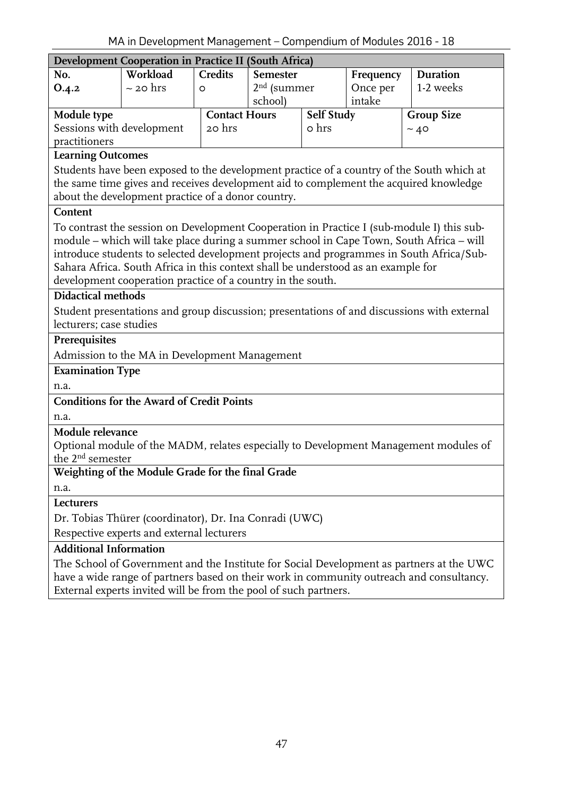<span id="page-46-0"></span>

|                                                                                   | i'in in Development management - Compendition modules 2010<br>ᅩ◡ |                      |                 |               |                       |                                                                                            |  |  |  |  |
|-----------------------------------------------------------------------------------|------------------------------------------------------------------|----------------------|-----------------|---------------|-----------------------|--------------------------------------------------------------------------------------------|--|--|--|--|
|                                                                                   | Development Cooperation in Practice II (South Africa)            |                      |                 |               |                       |                                                                                            |  |  |  |  |
| No.                                                                               | Workload                                                         | Credits              | <b>Semester</b> |               | Frequency<br>Once per | <b>Duration</b>                                                                            |  |  |  |  |
| 0.4.2                                                                             | $\sim$ 20 hrs                                                    | $\circ$              | school)         | $2nd$ (summer |                       | 1-2 weeks                                                                                  |  |  |  |  |
| Module type                                                                       |                                                                  | <b>Contact Hours</b> |                 | Self Study    | intake                | <b>Group Size</b>                                                                          |  |  |  |  |
| Sessions with development                                                         |                                                                  | 20 hrs               |                 | o hrs         |                       | ~10                                                                                        |  |  |  |  |
| practitioners                                                                     |                                                                  |                      |                 |               |                       |                                                                                            |  |  |  |  |
| <b>Learning Outcomes</b>                                                          |                                                                  |                      |                 |               |                       |                                                                                            |  |  |  |  |
|                                                                                   |                                                                  |                      |                 |               |                       | Students have been exposed to the development practice of a country of the South which at  |  |  |  |  |
|                                                                                   |                                                                  |                      |                 |               |                       | the same time gives and receives development aid to complement the acquired knowledge      |  |  |  |  |
|                                                                                   | about the development practice of a donor country.               |                      |                 |               |                       |                                                                                            |  |  |  |  |
| Content                                                                           |                                                                  |                      |                 |               |                       |                                                                                            |  |  |  |  |
|                                                                                   |                                                                  |                      |                 |               |                       | To contrast the session on Development Cooperation in Practice I (sub-module I) this sub-  |  |  |  |  |
|                                                                                   |                                                                  |                      |                 |               |                       | module - which will take place during a summer school in Cape Town, South Africa - will    |  |  |  |  |
|                                                                                   |                                                                  |                      |                 |               |                       | introduce students to selected development projects and programmes in South Africa/Sub-    |  |  |  |  |
| Sahara Africa. South Africa in this context shall be understood as an example for |                                                                  |                      |                 |               |                       |                                                                                            |  |  |  |  |
| development cooperation practice of a country in the south.                       |                                                                  |                      |                 |               |                       |                                                                                            |  |  |  |  |
| <b>Didactical methods</b>                                                         |                                                                  |                      |                 |               |                       |                                                                                            |  |  |  |  |
|                                                                                   |                                                                  |                      |                 |               |                       | Student presentations and group discussion; presentations of and discussions with external |  |  |  |  |
| lecturers; case studies                                                           |                                                                  |                      |                 |               |                       |                                                                                            |  |  |  |  |
| Prerequisites                                                                     |                                                                  |                      |                 |               |                       |                                                                                            |  |  |  |  |
|                                                                                   | Admission to the MA in Development Management                    |                      |                 |               |                       |                                                                                            |  |  |  |  |
| <b>Examination Type</b>                                                           |                                                                  |                      |                 |               |                       |                                                                                            |  |  |  |  |
| n.a.                                                                              |                                                                  |                      |                 |               |                       |                                                                                            |  |  |  |  |
|                                                                                   | <b>Conditions for the Award of Credit Points</b>                 |                      |                 |               |                       |                                                                                            |  |  |  |  |
| n.a.                                                                              |                                                                  |                      |                 |               |                       |                                                                                            |  |  |  |  |
| Module relevance                                                                  |                                                                  |                      |                 |               |                       |                                                                                            |  |  |  |  |
|                                                                                   |                                                                  |                      |                 |               |                       | Optional module of the MADM, relates especially to Development Management modules of       |  |  |  |  |
| the 2 <sup>nd</sup> semester                                                      |                                                                  |                      |                 |               |                       |                                                                                            |  |  |  |  |
|                                                                                   | Weighting of the Module Grade for the final Grade                |                      |                 |               |                       |                                                                                            |  |  |  |  |
| n.a.                                                                              |                                                                  |                      |                 |               |                       |                                                                                            |  |  |  |  |
| Lecturers                                                                         |                                                                  |                      |                 |               |                       |                                                                                            |  |  |  |  |
|                                                                                   | Dr. Tobias Thürer (coordinator), Dr. Ina Conradi (UWC)           |                      |                 |               |                       |                                                                                            |  |  |  |  |
| Respective experts and external lecturers                                         |                                                                  |                      |                 |               |                       |                                                                                            |  |  |  |  |
| <b>Additional Information</b>                                                     |                                                                  |                      |                 |               |                       |                                                                                            |  |  |  |  |
|                                                                                   |                                                                  |                      |                 |               |                       | The School of Government and the Institute for Social Development as partners at the UWC   |  |  |  |  |
|                                                                                   |                                                                  |                      |                 |               |                       | have a wide range of partners based on their work in community outreach and consultancy.   |  |  |  |  |
|                                                                                   | External experts invited will be from the pool of such partners. |                      |                 |               |                       |                                                                                            |  |  |  |  |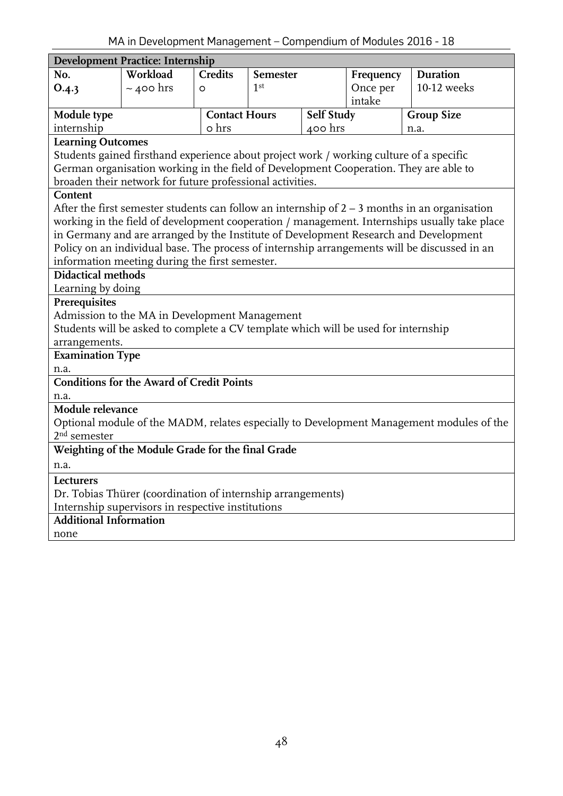<span id="page-47-0"></span>

| <b>Development Practice: Internship</b>                                                      |                                                                                         |                      |                 |            |           |                                                                                                 |  |  |  |
|----------------------------------------------------------------------------------------------|-----------------------------------------------------------------------------------------|----------------------|-----------------|------------|-----------|-------------------------------------------------------------------------------------------------|--|--|--|
| No.                                                                                          | Workload                                                                                | <b>Credits</b>       | <b>Semester</b> |            | Frequency | <b>Duration</b>                                                                                 |  |  |  |
| O.4.3                                                                                        | $\sim$ 400 hrs                                                                          | $\circ$              | 1 <sup>st</sup> |            | Once per  | 10-12 weeks                                                                                     |  |  |  |
|                                                                                              |                                                                                         |                      |                 |            | intake    |                                                                                                 |  |  |  |
| Module type                                                                                  |                                                                                         | <b>Contact Hours</b> |                 | Self Study |           | <b>Group Size</b>                                                                               |  |  |  |
| internship                                                                                   |                                                                                         | o hrs                |                 | 400 hrs    |           | n.a.                                                                                            |  |  |  |
| <b>Learning Outcomes</b>                                                                     |                                                                                         |                      |                 |            |           |                                                                                                 |  |  |  |
|                                                                                              | Students gained firsthand experience about project work / working culture of a specific |                      |                 |            |           |                                                                                                 |  |  |  |
|                                                                                              |                                                                                         |                      |                 |            |           | German organisation working in the field of Development Cooperation. They are able to           |  |  |  |
|                                                                                              | broaden their network for future professional activities.                               |                      |                 |            |           |                                                                                                 |  |  |  |
| Content                                                                                      |                                                                                         |                      |                 |            |           |                                                                                                 |  |  |  |
|                                                                                              |                                                                                         |                      |                 |            |           | After the first semester students can follow an internship of $2 - 3$ months in an organisation |  |  |  |
|                                                                                              |                                                                                         |                      |                 |            |           | working in the field of development cooperation / management. Internships usually take place    |  |  |  |
| in Germany and are arranged by the Institute of Development Research and Development         |                                                                                         |                      |                 |            |           |                                                                                                 |  |  |  |
| Policy on an individual base. The process of internship arrangements will be discussed in an |                                                                                         |                      |                 |            |           |                                                                                                 |  |  |  |
| information meeting during the first semester.                                               |                                                                                         |                      |                 |            |           |                                                                                                 |  |  |  |
| <b>Didactical methods</b>                                                                    |                                                                                         |                      |                 |            |           |                                                                                                 |  |  |  |
| Learning by doing                                                                            |                                                                                         |                      |                 |            |           |                                                                                                 |  |  |  |
| Prerequisites                                                                                |                                                                                         |                      |                 |            |           |                                                                                                 |  |  |  |
|                                                                                              | Admission to the MA in Development Management                                           |                      |                 |            |           |                                                                                                 |  |  |  |
|                                                                                              | Students will be asked to complete a CV template which will be used for internship      |                      |                 |            |           |                                                                                                 |  |  |  |
| arrangements.                                                                                |                                                                                         |                      |                 |            |           |                                                                                                 |  |  |  |
| <b>Examination Type</b>                                                                      |                                                                                         |                      |                 |            |           |                                                                                                 |  |  |  |
| n.a.                                                                                         |                                                                                         |                      |                 |            |           |                                                                                                 |  |  |  |
|                                                                                              | <b>Conditions for the Award of Credit Points</b>                                        |                      |                 |            |           |                                                                                                 |  |  |  |
| n.a.                                                                                         |                                                                                         |                      |                 |            |           |                                                                                                 |  |  |  |
| Module relevance                                                                             |                                                                                         |                      |                 |            |           |                                                                                                 |  |  |  |
| $2nd$ semester                                                                               |                                                                                         |                      |                 |            |           | Optional module of the MADM, relates especially to Development Management modules of the        |  |  |  |
|                                                                                              |                                                                                         |                      |                 |            |           |                                                                                                 |  |  |  |
|                                                                                              | Weighting of the Module Grade for the final Grade                                       |                      |                 |            |           |                                                                                                 |  |  |  |
| n.a.                                                                                         |                                                                                         |                      |                 |            |           |                                                                                                 |  |  |  |
| Lecturers                                                                                    |                                                                                         |                      |                 |            |           |                                                                                                 |  |  |  |
|                                                                                              | Dr. Tobias Thürer (coordination of internship arrangements)                             |                      |                 |            |           |                                                                                                 |  |  |  |
|                                                                                              | Internship supervisors in respective institutions                                       |                      |                 |            |           |                                                                                                 |  |  |  |
| <b>Additional Information</b>                                                                |                                                                                         |                      |                 |            |           |                                                                                                 |  |  |  |
| none                                                                                         |                                                                                         |                      |                 |            |           |                                                                                                 |  |  |  |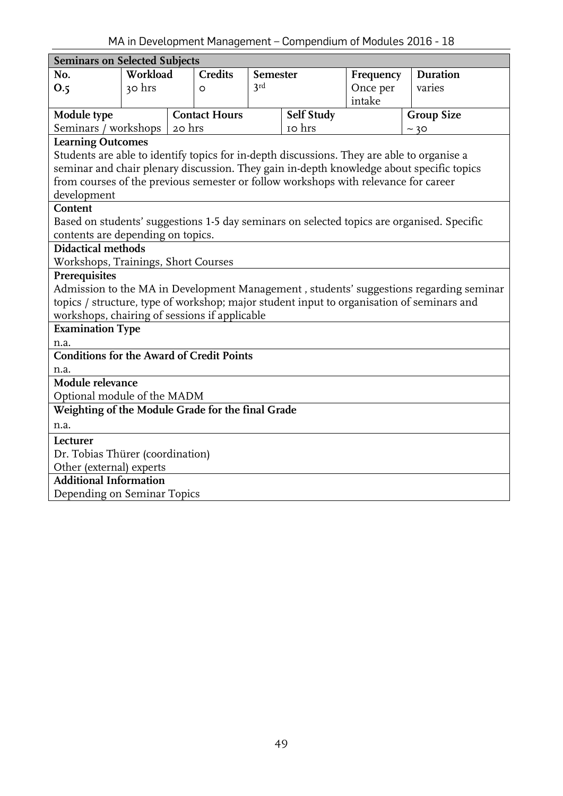<span id="page-48-0"></span>

| <b>Seminars on Selected Subjects</b>                                                                                   |          |        |                      |                 |                   |           |                                                                                            |  |  |
|------------------------------------------------------------------------------------------------------------------------|----------|--------|----------------------|-----------------|-------------------|-----------|--------------------------------------------------------------------------------------------|--|--|
| No.                                                                                                                    | Workload |        | <b>Credits</b>       | <b>Semester</b> |                   | Frequency | <b>Duration</b>                                                                            |  |  |
| O.5                                                                                                                    | 30 hrs   |        | $\circ$              | 3rd             |                   | Once per  | varies                                                                                     |  |  |
|                                                                                                                        |          |        |                      |                 |                   | intake    |                                                                                            |  |  |
| Module type                                                                                                            |          |        | <b>Contact Hours</b> |                 | <b>Self Study</b> |           | <b>Group Size</b>                                                                          |  |  |
| Seminars / workshops                                                                                                   |          | 20 hrs |                      |                 | 10 hrs            |           | ~10                                                                                        |  |  |
| <b>Learning Outcomes</b><br>Students are able to identify topics for in-depth discussions. They are able to organise a |          |        |                      |                 |                   |           |                                                                                            |  |  |
|                                                                                                                        |          |        |                      |                 |                   |           |                                                                                            |  |  |
|                                                                                                                        |          |        |                      |                 |                   |           | seminar and chair plenary discussion. They gain in-depth knowledge about specific topics   |  |  |
| from courses of the previous semester or follow workshops with relevance for career                                    |          |        |                      |                 |                   |           |                                                                                            |  |  |
| development                                                                                                            |          |        |                      |                 |                   |           |                                                                                            |  |  |
| Content                                                                                                                |          |        |                      |                 |                   |           |                                                                                            |  |  |
|                                                                                                                        |          |        |                      |                 |                   |           | Based on students' suggestions 1-5 day seminars on selected topics are organised. Specific |  |  |
| contents are depending on topics.                                                                                      |          |        |                      |                 |                   |           |                                                                                            |  |  |
| <b>Didactical methods</b><br>Workshops, Trainings, Short Courses                                                       |          |        |                      |                 |                   |           |                                                                                            |  |  |
| Prerequisites                                                                                                          |          |        |                      |                 |                   |           |                                                                                            |  |  |
|                                                                                                                        |          |        |                      |                 |                   |           | Admission to the MA in Development Management, students' suggestions regarding seminar     |  |  |
|                                                                                                                        |          |        |                      |                 |                   |           | topics / structure, type of workshop; major student input to organisation of seminars and  |  |  |
| workshops, chairing of sessions if applicable                                                                          |          |        |                      |                 |                   |           |                                                                                            |  |  |
| <b>Examination Type</b>                                                                                                |          |        |                      |                 |                   |           |                                                                                            |  |  |
| n.a.                                                                                                                   |          |        |                      |                 |                   |           |                                                                                            |  |  |
| <b>Conditions for the Award of Credit Points</b>                                                                       |          |        |                      |                 |                   |           |                                                                                            |  |  |
| n.a.                                                                                                                   |          |        |                      |                 |                   |           |                                                                                            |  |  |
| Module relevance                                                                                                       |          |        |                      |                 |                   |           |                                                                                            |  |  |
| Optional module of the MADM                                                                                            |          |        |                      |                 |                   |           |                                                                                            |  |  |
| Weighting of the Module Grade for the final Grade                                                                      |          |        |                      |                 |                   |           |                                                                                            |  |  |
| n.a.                                                                                                                   |          |        |                      |                 |                   |           |                                                                                            |  |  |
| Lecturer                                                                                                               |          |        |                      |                 |                   |           |                                                                                            |  |  |
| Dr. Tobias Thürer (coordination)                                                                                       |          |        |                      |                 |                   |           |                                                                                            |  |  |
| Other (external) experts                                                                                               |          |        |                      |                 |                   |           |                                                                                            |  |  |
| <b>Additional Information</b>                                                                                          |          |        |                      |                 |                   |           |                                                                                            |  |  |
| Depending on Seminar Topics                                                                                            |          |        |                      |                 |                   |           |                                                                                            |  |  |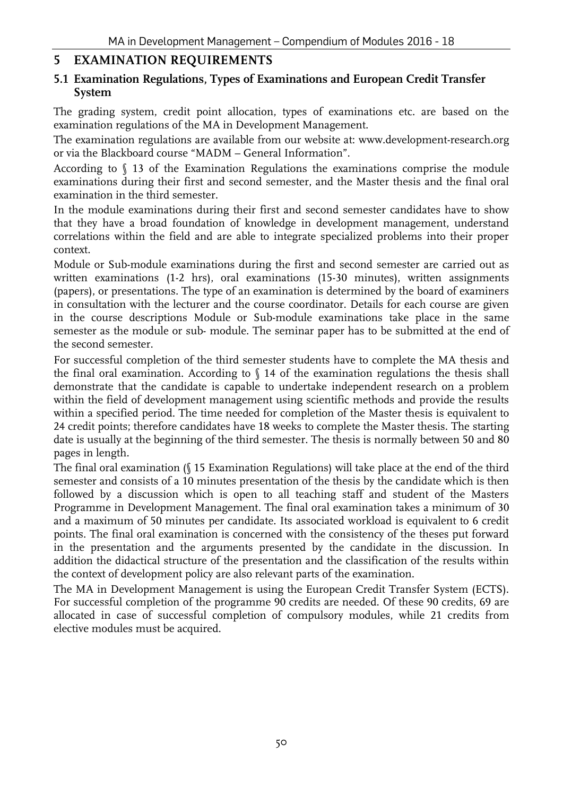# <span id="page-49-0"></span>**5 EXAMINATION REQUIREMENTS**

#### <span id="page-49-1"></span>**5.1 Examination Regulations, Types of Examinations and European Credit Transfer System**

The grading system, credit point allocation, types of examinations etc. are based on the examination regulations of the MA in Development Management.

The examination regulations are available from our website at: [www.development-research.org](http://www.development-research.org/)  or via the Blackboard course "MADM – General Information".

According to § 13 of the Examination Regulations the examinations comprise the module examinations during their first and second semester, and the Master thesis and the final oral examination in the third semester.

In the module examinations during their first and second semester candidates have to show that they have a broad foundation of knowledge in development management, understand correlations within the field and are able to integrate specialized problems into their proper context.

Module or Sub-module examinations during the first and second semester are carried out as written examinations (1-2 hrs), oral examinations (15-30 minutes), written assignments (papers), or presentations. The type of an examination is determined by the board of examiners in consultation with the lecturer and the course coordinator. Details for each course are given in the course descriptions Module or Sub-module examinations take place in the same semester as the module or sub- module. The seminar paper has to be submitted at the end of the second semester.

For successful completion of the third semester students have to complete the MA thesis and the final oral examination. According to  $\int$  14 of the examination regulations the thesis shall demonstrate that the candidate is capable to undertake independent research on a problem within the field of development management using scientific methods and provide the results within a specified period. The time needed for completion of the Master thesis is equivalent to 24 credit points; therefore candidates have 18 weeks to complete the Master thesis. The starting date is usually at the beginning of the third semester. The thesis is normally between 50 and 80 pages in length.

The final oral examination (§ 15 Examination Regulations) will take place at the end of the third semester and consists of a 10 minutes presentation of the thesis by the candidate which is then followed by a discussion which is open to all teaching staff and student of the Masters Programme in Development Management. The final oral examination takes a minimum of 30 and a maximum of 50 minutes per candidate. Its associated workload is equivalent to 6 credit points. The final oral examination is concerned with the consistency of the theses put forward in the presentation and the arguments presented by the candidate in the discussion. In addition the didactical structure of the presentation and the classification of the results within the context of development policy are also relevant parts of the examination.

The MA in Development Management is using the European Credit Transfer System (ECTS). For successful completion of the programme 90 credits are needed. Of these 90 credits, 69 are allocated in case of successful completion of compulsory modules, while 21 credits from elective modules must be acquired.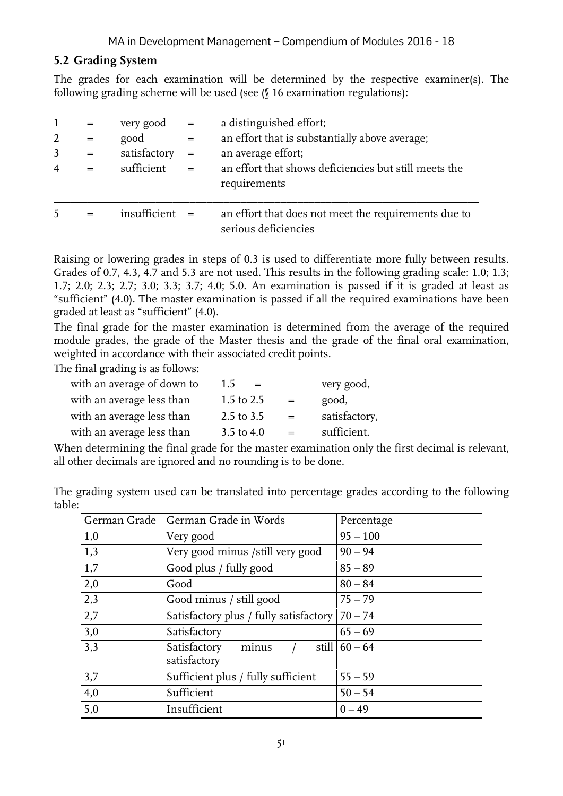### <span id="page-50-0"></span>**5.2 Grading System**

The grades for each examination will be determined by the respective examiner(s). The following grading scheme will be used (see (§ 16 examination regulations):

| 2<br>$\overline{4}$ | $=$ $\,$<br>$=$<br>$=$<br>$=$ | very good $=$<br>good<br>satisfactory<br>sufficient | $=$<br>$=$<br>$=$ | a distinguished effort;<br>an effort that is substantially above average;<br>an average effort;<br>an effort that shows deficiencies but still meets the |
|---------------------|-------------------------------|-----------------------------------------------------|-------------------|----------------------------------------------------------------------------------------------------------------------------------------------------------|
|                     |                               |                                                     |                   | requirements                                                                                                                                             |
|                     |                               | insufficient                                        |                   | an effort that does not meet the requirements due to<br>serious deficiencies                                                                             |

Raising or lowering grades in steps of 0.3 is used to differentiate more fully between results. Grades of 0.7, 4.3, 4.7 and 5.3 are not used. This results in the following grading scale: 1.0; 1.3; 1.7; 2.0; 2.3; 2.7; 3.0; 3.3; 3.7; 4.0; 5.0. An examination is passed if it is graded at least as "sufficient" (4.0). The master examination is passed if all the required examinations have been graded at least as "sufficient" (4.0).

The final grade for the master examination is determined from the average of the required module grades, the grade of the Master thesis and the grade of the final oral examination, weighted in accordance with their associated credit points.

The final grading is as follows:

| 1.5<br>$=$     |     | very good,    |
|----------------|-----|---------------|
| 1.5 to $2.5$   | $=$ | good,         |
| $2.5$ to $3.5$ | $=$ | satisfactory, |
| 3.5 to $4.0$   | $=$ | sufficient.   |
|                |     |               |

When determining the final grade for the master examination only the first decimal is relevant, all other decimals are ignored and no rounding is to be done.

| table: | The grading system used can be translated into percentage grades according to the following |                                      |            |  |  |  |
|--------|---------------------------------------------------------------------------------------------|--------------------------------------|------------|--|--|--|
|        |                                                                                             | German Grade   German Grade in Words | Percentage |  |  |  |

| German Grade   German Grade in Words |                                                  | Percentage       |
|--------------------------------------|--------------------------------------------------|------------------|
| 1,0                                  | Very good                                        | $95 - 100$       |
| 1,3                                  | Very good minus /still very good                 | $90 - 94$        |
| 1,7                                  | Good plus / fully good                           | $85 - 89$        |
| 2,0                                  | Good                                             | $80 - 84$        |
| 2,3                                  | Good minus / still good                          | $75 - 79$        |
| 2,7                                  | Satisfactory plus / fully satisfactory   70 - 74 |                  |
| 3,0                                  | Satisfactory                                     | $65 - 69$        |
| 3,3                                  | Satisfactory<br>minus<br>satisfactory            | still $ 60 - 64$ |
| 3,7                                  | Sufficient plus / fully sufficient               | $55 - 59$        |
| 4,0                                  | Sufficient                                       | $50 - 54$        |
| 5,0                                  | Insufficient                                     | $0 - 49$         |